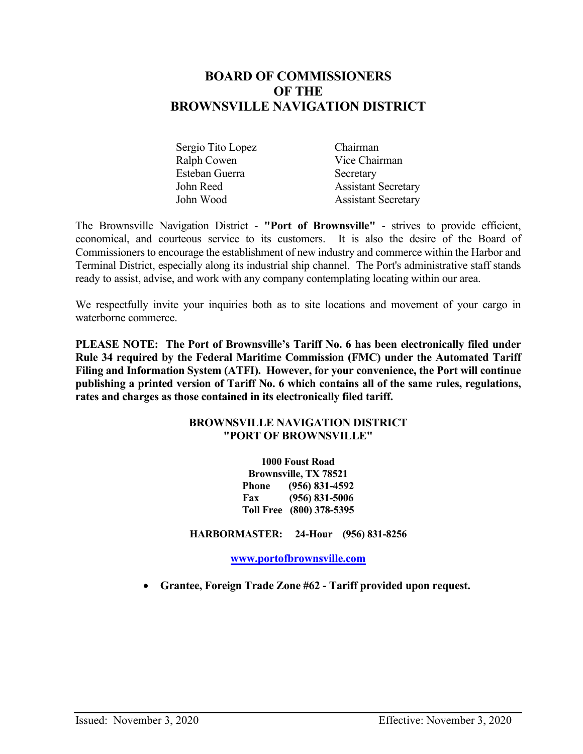# **BOARD OF COMMISSIONERS OF THE BROWNSVILLE NAVIGATION DISTRICT**

| Sergio Tito Lopez | Chairman                   |
|-------------------|----------------------------|
| Ralph Cowen       | Vice Chairman              |
| Esteban Guerra    | Secretary                  |
| John Reed         | <b>Assistant Secretary</b> |
| John Wood         | <b>Assistant Secretary</b> |

The Brownsville Navigation District - **"Port of Brownsville"** - strives to provide efficient, economical, and courteous service to its customers. It is also the desire of the Board of Commissioners to encourage the establishment of new industry and commerce within the Harbor and Terminal District, especially along its industrial ship channel. The Port's administrative staff stands ready to assist, advise, and work with any company contemplating locating within our area.

We respectfully invite your inquiries both as to site locations and movement of your cargo in waterborne commerce.

**PLEASE NOTE: The Port of Brownsville's Tariff No. 6 has been electronically filed under Rule 34 required by the Federal Maritime Commission (FMC) under the Automated Tariff Filing and Information System (ATFI). However, for your convenience, the Port will continue publishing a printed version of Tariff No. 6 which contains all of the same rules, regulations, rates and charges as those contained in its electronically filed tariff.**

### **BROWNSVILLE NAVIGATION DISTRICT "PORT OF BROWNSVILLE"**

**1000 Foust Road Brownsville, TX 78521 Phone (956) 831-4592 Fax (956) 831-5006 Toll Free (800) 378-5395**

**HARBORMASTER: 24-Hour (956) 831-8256**

**[www.portofbrownsville.com](http://www.portofbrownsville.com/)** 

• **Grantee, Foreign Trade Zone #62 - Tariff provided upon request.**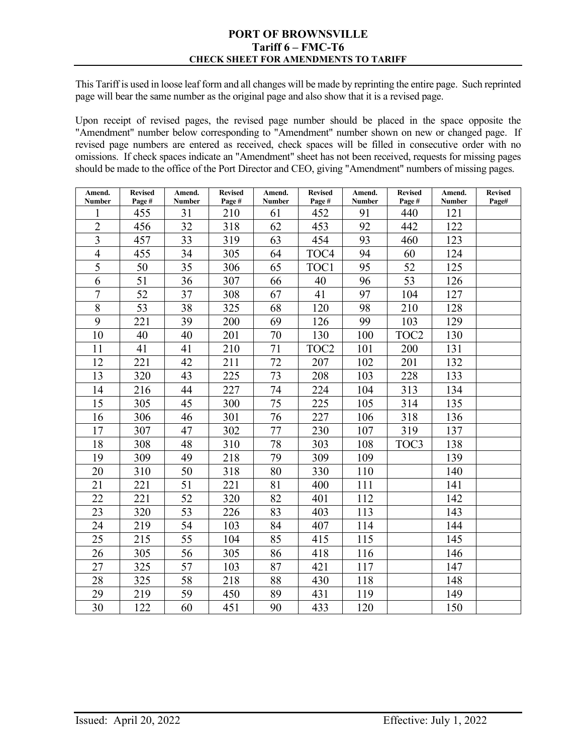#### **PORT OF BROWNSVILLE Tariff 6 – FMC-T6 CHECK SHEET FOR AMENDMENTS TO TARIFF**

This Tariff is used in loose leaf form and all changes will be made by reprinting the entire page. Such reprinted page will bear the same number as the original page and also show that it is a revised page.

Upon receipt of revised pages, the revised page number should be placed in the space opposite the "Amendment" number below corresponding to "Amendment" number shown on new or changed page. If revised page numbers are entered as received, check spaces will be filled in consecutive order with no omissions. If check spaces indicate an "Amendment" sheet has not been received, requests for missing pages should be made to the office of the Port Director and CEO, giving "Amendment" numbers of missing pages.

| Amend.<br>Number | <b>Revised</b><br>Page# | Amend.<br>Number | <b>Revised</b><br>Page# | Amend.<br>Number | <b>Revised</b><br>Page# | Amend.<br><b>Number</b> | <b>Revised</b><br>Page# | Amend.<br><b>Number</b> | <b>Revised</b><br>Page# |
|------------------|-------------------------|------------------|-------------------------|------------------|-------------------------|-------------------------|-------------------------|-------------------------|-------------------------|
| 1                | 455                     | 31               | 210                     | 61               | 452                     | 91                      | 440                     | 121                     |                         |
| $\overline{2}$   | 456                     | 32               | 318                     | 62               | 453                     | 92                      | 442                     | 122                     |                         |
| $\overline{3}$   | 457                     | 33               | 319                     | 63               | 454                     | 93                      | 460                     | 123                     |                         |
| $\overline{4}$   | 455                     | 34               | 305                     | 64               | TOC <sub>4</sub>        | 94                      | 60                      | 124                     |                         |
| 5                | 50                      | 35               | 306                     | 65               | TOC1                    | 95                      | 52                      | 125                     |                         |
| 6                | 51                      | 36               | 307                     | 66               | 40                      | 96                      | 53                      | 126                     |                         |
| $\overline{7}$   | 52                      | 37               | 308                     | 67               | 41                      | 97                      | 104                     | 127                     |                         |
| 8                | 53                      | 38               | 325                     | 68               | 120                     | 98                      | 210                     | 128                     |                         |
| 9                | 221                     | 39               | 200                     | 69               | 126                     | 99                      | 103                     | 129                     |                         |
| 10               | 40                      | 40               | 201                     | 70               | 130                     | 100                     | TOC <sub>2</sub>        | 130                     |                         |
| 11               | 41                      | 41               | 210                     | 71               | TOC <sub>2</sub>        | 101                     | 200                     | 131                     |                         |
| 12               | 221                     | 42               | 211                     | 72               | 207                     | 102                     | 201                     | 132                     |                         |
| 13               | 320                     | 43               | 225                     | 73               | 208                     | 103                     | 228                     | 133                     |                         |
| 14               | 216                     | 44               | 227                     | 74               | 224                     | 104                     | 313                     | 134                     |                         |
| 15               | 305                     | 45               | 300                     | 75               | 225                     | 105                     | 314                     | 135                     |                         |
| 16               | 306                     | 46               | 301                     | 76               | 227                     | 106                     | 318                     | 136                     |                         |
| 17               | 307                     | 47               | 302                     | 77               | 230                     | 107                     | 319                     | 137                     |                         |
| 18               | 308                     | 48               | 310                     | 78               | 303                     | 108                     | TOC3                    | 138                     |                         |
| 19               | 309                     | 49               | 218                     | 79               | 309                     | 109                     |                         | 139                     |                         |
| 20               | 310                     | 50               | 318                     | 80               | 330                     | 110                     |                         | 140                     |                         |
| 21               | 221                     | 51               | 221                     | 81               | 400                     | 111                     |                         | 141                     |                         |
| 22               | 221                     | 52               | 320                     | 82               | 401                     | 112                     |                         | 142                     |                         |
| 23               | 320                     | 53               | 226                     | 83               | 403                     | 113                     |                         | 143                     |                         |
| 24               | 219                     | 54               | 103                     | 84               | 407                     | 114                     |                         | 144                     |                         |
| 25               | 215                     | 55               | 104                     | 85               | 415                     | 115                     |                         | 145                     |                         |
| 26               | 305                     | 56               | 305                     | 86               | 418                     | 116                     |                         | 146                     |                         |
| 27               | 325                     | 57               | 103                     | 87               | 421                     | 117                     |                         | 147                     |                         |
| 28               | 325                     | 58               | 218                     | 88               | 430                     | 118                     |                         | 148                     |                         |
| 29               | 219                     | 59               | 450                     | 89               | 431                     | 119                     |                         | 149                     |                         |
| 30               | 122                     | 60               | 451                     | 90               | 433                     | 120                     |                         | 150                     |                         |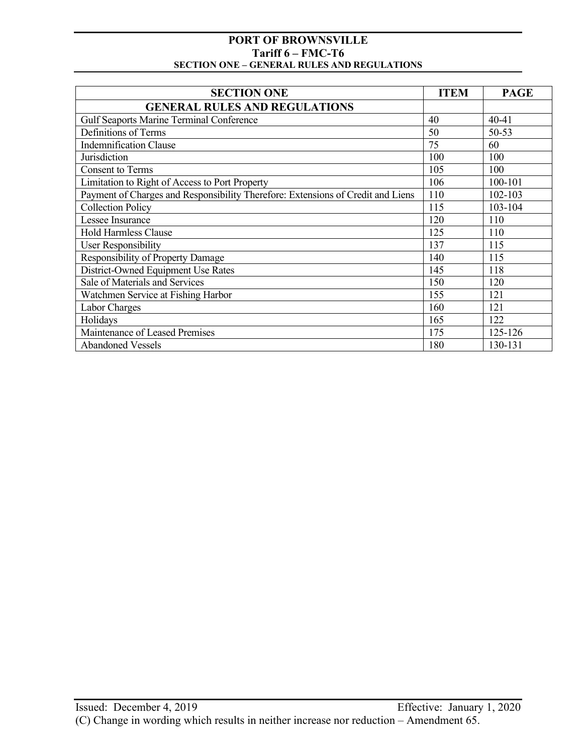| <b>SECTION ONE</b>                                                              | <b>ITEM</b> | <b>PAGE</b> |
|---------------------------------------------------------------------------------|-------------|-------------|
| <b>GENERAL RULES AND REGULATIONS</b>                                            |             |             |
| <b>Gulf Seaports Marine Terminal Conference</b>                                 | 40          | 40-41       |
| Definitions of Terms                                                            | 50          | $50 - 53$   |
| <b>Indemnification Clause</b>                                                   | 75          | 60          |
| Jurisdiction                                                                    | 100         | 100         |
| <b>Consent to Terms</b>                                                         | 105         | 100         |
| Limitation to Right of Access to Port Property                                  | 106         | 100-101     |
| Payment of Charges and Responsibility Therefore: Extensions of Credit and Liens | 110         | 102-103     |
| <b>Collection Policy</b>                                                        | 115         | 103-104     |
| Lessee Insurance                                                                | 120         | 110         |
| <b>Hold Harmless Clause</b>                                                     | 125         | 110         |
| <b>User Responsibility</b>                                                      | 137         | 115         |
| Responsibility of Property Damage                                               | 140         | 115         |
| District-Owned Equipment Use Rates                                              | 145         | 118         |
| Sale of Materials and Services                                                  | 150         | 120         |
| Watchmen Service at Fishing Harbor                                              | 155         | 121         |
| Labor Charges                                                                   | 160         | 121         |
| Holidays                                                                        | 165         | 122         |
| Maintenance of Leased Premises                                                  | 175         | 125-126     |
| <b>Abandoned Vessels</b>                                                        | 180         | 130-131     |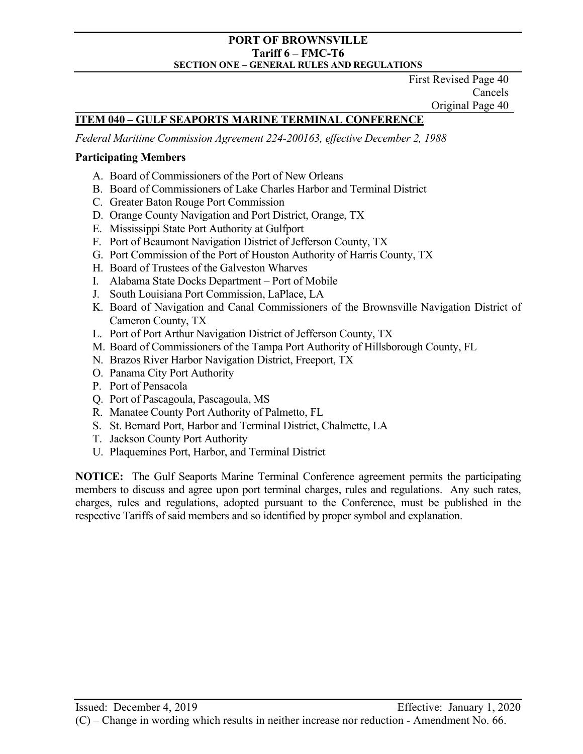First Revised Page 40 Cancels Original Page 40

# **ITEM 040 – GULF SEAPORTS MARINE TERMINAL CONFERENCE**

*Federal Maritime Commission Agreement 224-200163, effective December 2, 1988*

## **Participating Members**

- A. Board of Commissioners of the Port of New Orleans
- B. Board of Commissioners of Lake Charles Harbor and Terminal District
- C. Greater Baton Rouge Port Commission
- D. Orange County Navigation and Port District, Orange, TX
- E. Mississippi State Port Authority at Gulfport
- F. Port of Beaumont Navigation District of Jefferson County, TX
- G. Port Commission of the Port of Houston Authority of Harris County, TX
- H. Board of Trustees of the Galveston Wharves
- I. Alabama State Docks Department Port of Mobile
- J. South Louisiana Port Commission, LaPlace, LA
- K. Board of Navigation and Canal Commissioners of the Brownsville Navigation District of Cameron County, TX
- L. Port of Port Arthur Navigation District of Jefferson County, TX
- M. Board of Commissioners of the Tampa Port Authority of Hillsborough County, FL
- N. Brazos River Harbor Navigation District, Freeport, TX
- O. Panama City Port Authority
- P. Port of Pensacola
- Q. Port of Pascagoula, Pascagoula, MS
- R. Manatee County Port Authority of Palmetto, FL
- S. St. Bernard Port, Harbor and Terminal District, Chalmette, LA
- T. Jackson County Port Authority
- U. Plaquemines Port, Harbor, and Terminal District

**NOTICE:** The Gulf Seaports Marine Terminal Conference agreement permits the participating members to discuss and agree upon port terminal charges, rules and regulations. Any such rates, charges, rules and regulations, adopted pursuant to the Conference, must be published in the respective Tariffs of said members and so identified by proper symbol and explanation.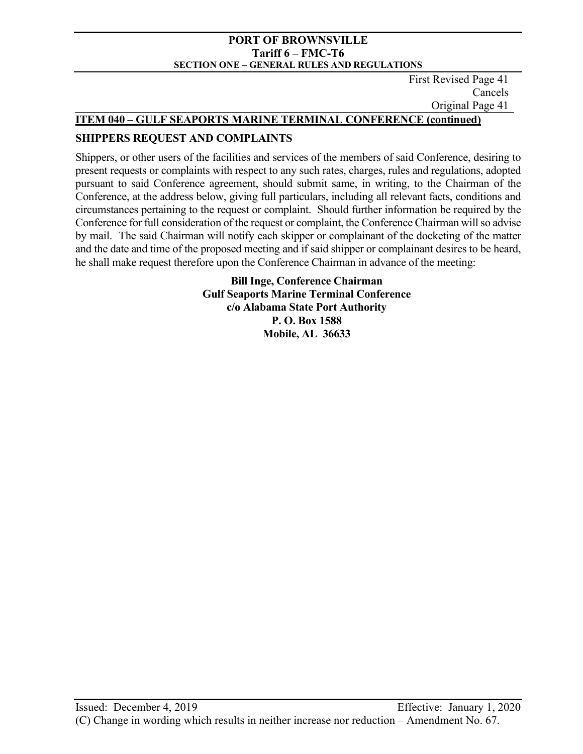First Revised Page 41 Cancels Original Page 41

## **ITEM 040 – GULF SEAPORTS MARINE TERMINAL CONFERENCE (continued)**

## **SHIPPERS REQUEST AND COMPLAINTS**

Shippers, or other users of the facilities and services of the members of said Conference, desiring to present requests or complaints with respect to any such rates, charges, rules and regulations, adopted pursuant to said Conference agreement, should submit same, in writing, to the Chairman of the Conference, at the address below, giving full particulars, including all relevant facts, conditions and circumstances pertaining to the request or complaint. Should further information be required by the Conference for full consideration of the request or complaint, the Conference Chairman will so advise by mail. The said Chairman will notify each skipper or complainant of the docketing of the matter and the date and time of the proposed meeting and if said shipper or complainant desires to be heard, he shall make request therefore upon the Conference Chairman in advance of the meeting:

> **Bill Inge, Conference Chairman Gulf Seaports Marine Terminal Conference c/o Alabama State Port Authority P. O. Box 1588 Mobile, AL 36633**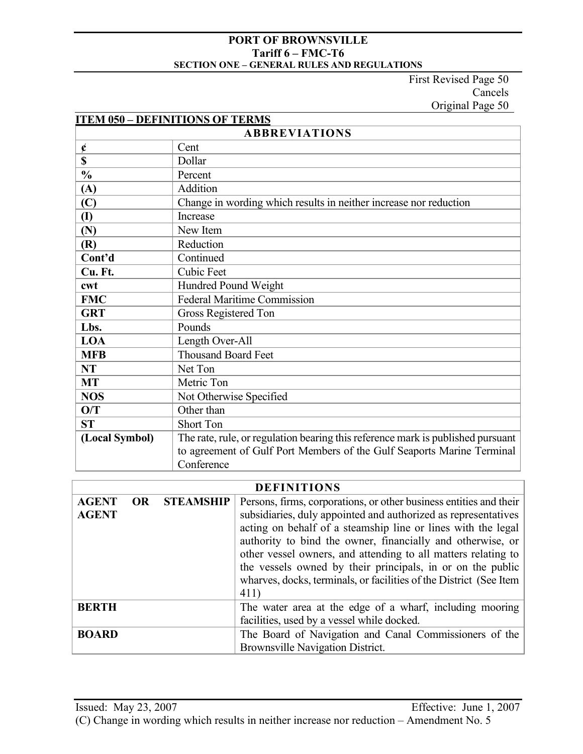First Revised Page 50 Cancels Original Page 50

| <b>ITEM 050 - DEFINITIONS OF TERMS</b> |                                                                                 |  |  |  |
|----------------------------------------|---------------------------------------------------------------------------------|--|--|--|
| <b>ABBREVIATIONS</b>                   |                                                                                 |  |  |  |
| ¢                                      | Cent                                                                            |  |  |  |
| \$                                     | Dollar                                                                          |  |  |  |
| $\frac{0}{0}$                          | Percent                                                                         |  |  |  |
| (A)                                    | Addition                                                                        |  |  |  |
| $\left(\mathbf{C}\right)$              | Change in wording which results in neither increase nor reduction               |  |  |  |
| $\mathbf{I}$                           | Increase                                                                        |  |  |  |
| (N)                                    | New Item                                                                        |  |  |  |
| (R)                                    | Reduction                                                                       |  |  |  |
| Cont'd                                 | Continued                                                                       |  |  |  |
| Cu. Ft.                                | <b>Cubic Feet</b>                                                               |  |  |  |
| cwt                                    | Hundred Pound Weight                                                            |  |  |  |
| <b>FMC</b>                             | <b>Federal Maritime Commission</b>                                              |  |  |  |
| <b>GRT</b>                             | Gross Registered Ton                                                            |  |  |  |
| Lbs.                                   | Pounds                                                                          |  |  |  |
| <b>LOA</b>                             | Length Over-All                                                                 |  |  |  |
| <b>MFB</b>                             | <b>Thousand Board Feet</b>                                                      |  |  |  |
| <b>NT</b>                              | Net Ton                                                                         |  |  |  |
| <b>MT</b>                              | Metric Ton                                                                      |  |  |  |
| <b>NOS</b>                             | Not Otherwise Specified                                                         |  |  |  |
| O/T                                    | Other than                                                                      |  |  |  |
| <b>ST</b>                              | <b>Short Ton</b>                                                                |  |  |  |
| (Local Symbol)                         | The rate, rule, or regulation bearing this reference mark is published pursuant |  |  |  |
|                                        | to agreement of Gulf Port Members of the Gulf Seaports Marine Terminal          |  |  |  |
|                                        | Conference                                                                      |  |  |  |

# **DEFINITIONS**

| <b>AGENT</b> | <b>OR</b> | <b>STEAMSHIP</b> | Persons, firms, corporations, or other business entities and their |  |
|--------------|-----------|------------------|--------------------------------------------------------------------|--|
| <b>AGENT</b> |           |                  | subsidiaries, duly appointed and authorized as representatives     |  |
|              |           |                  | acting on behalf of a steamship line or lines with the legal       |  |
|              |           |                  | authority to bind the owner, financially and otherwise, or         |  |
|              |           |                  | other vessel owners, and attending to all matters relating to      |  |
|              |           |                  | the vessels owned by their principals, in or on the public         |  |
|              |           |                  | wharves, docks, terminals, or facilities of the District (See Item |  |
|              |           |                  | 411)                                                               |  |
| <b>BERTH</b> |           |                  | The water area at the edge of a wharf, including mooring           |  |
|              |           |                  | facilities, used by a vessel while docked.                         |  |
| <b>BOARD</b> |           |                  | The Board of Navigation and Canal Commissioners of the             |  |
|              |           |                  | Brownsville Navigation District.                                   |  |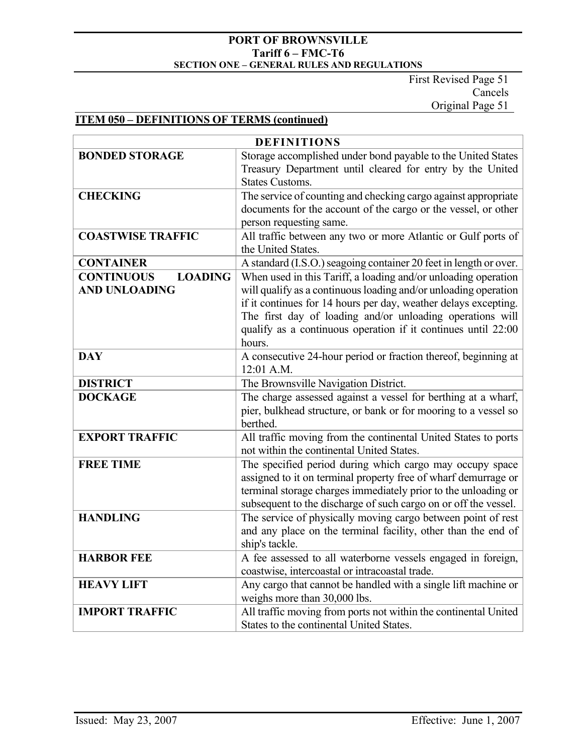First Revised Page 51 Cancels Original Page 51

# **ITEM 050 – DEFINITIONS OF TERMS (continued)**

| <b>DEFINITIONS</b>                                          |                                                                                                                                                                                                                                                                                                                                              |  |  |  |
|-------------------------------------------------------------|----------------------------------------------------------------------------------------------------------------------------------------------------------------------------------------------------------------------------------------------------------------------------------------------------------------------------------------------|--|--|--|
| <b>BONDED STORAGE</b>                                       | Storage accomplished under bond payable to the United States<br>Treasury Department until cleared for entry by the United<br><b>States Customs.</b>                                                                                                                                                                                          |  |  |  |
| <b>CHECKING</b>                                             | The service of counting and checking cargo against appropriate<br>documents for the account of the cargo or the vessel, or other<br>person requesting same.                                                                                                                                                                                  |  |  |  |
| <b>COASTWISE TRAFFIC</b>                                    | All traffic between any two or more Atlantic or Gulf ports of<br>the United States.                                                                                                                                                                                                                                                          |  |  |  |
| <b>CONTAINER</b>                                            | A standard (I.S.O.) seagoing container 20 feet in length or over.                                                                                                                                                                                                                                                                            |  |  |  |
| <b>CONTINUOUS</b><br><b>LOADING</b><br><b>AND UNLOADING</b> | When used in this Tariff, a loading and/or unloading operation<br>will qualify as a continuous loading and/or unloading operation<br>if it continues for 14 hours per day, weather delays excepting.<br>The first day of loading and/or unloading operations will<br>qualify as a continuous operation if it continues until 22:00<br>hours. |  |  |  |
| <b>DAY</b>                                                  | A consecutive 24-hour period or fraction thereof, beginning at<br>12:01 A.M.                                                                                                                                                                                                                                                                 |  |  |  |
| <b>DISTRICT</b>                                             | The Brownsville Navigation District.                                                                                                                                                                                                                                                                                                         |  |  |  |
| <b>DOCKAGE</b>                                              | The charge assessed against a vessel for berthing at a wharf,<br>pier, bulkhead structure, or bank or for mooring to a vessel so<br>berthed.                                                                                                                                                                                                 |  |  |  |
| <b>EXPORT TRAFFIC</b>                                       | All traffic moving from the continental United States to ports<br>not within the continental United States.                                                                                                                                                                                                                                  |  |  |  |
| <b>FREE TIME</b>                                            | The specified period during which cargo may occupy space<br>assigned to it on terminal property free of wharf demurrage or<br>terminal storage charges immediately prior to the unloading or<br>subsequent to the discharge of such cargo on or off the vessel.                                                                              |  |  |  |
| <b>HANDLING</b>                                             | The service of physically moving cargo between point of rest<br>and any place on the terminal facility, other than the end of<br>ship's tackle.                                                                                                                                                                                              |  |  |  |
| <b>HARBOR FEE</b>                                           | A fee assessed to all waterborne vessels engaged in foreign,<br>coastwise, intercoastal or intracoastal trade.                                                                                                                                                                                                                               |  |  |  |
| <b>HEAVY LIFT</b>                                           | Any cargo that cannot be handled with a single lift machine or<br>weighs more than 30,000 lbs.                                                                                                                                                                                                                                               |  |  |  |
| <b>IMPORT TRAFFIC</b>                                       | All traffic moving from ports not within the continental United<br>States to the continental United States.                                                                                                                                                                                                                                  |  |  |  |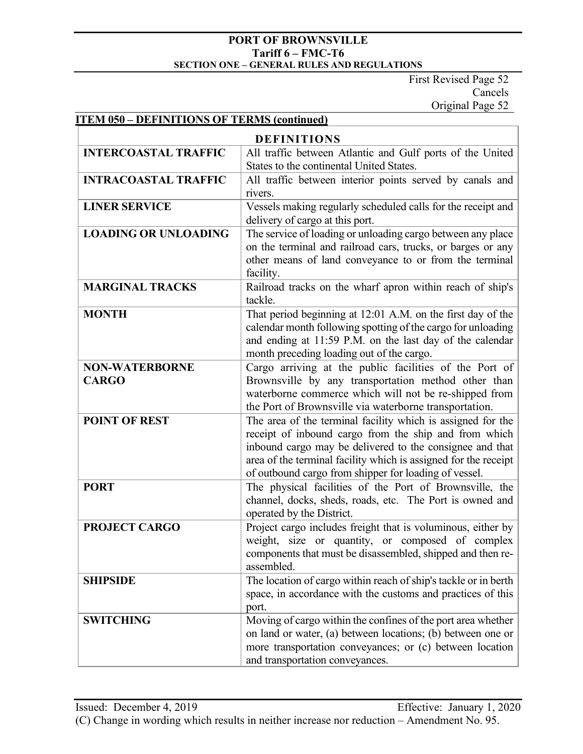First Revised Page 52 Cancels Original Page 52

# **ITEM 050 – DEFINITIONS OF TERMS (continued)**

| <b>DEFINITIONS</b>                    |                                                                                                                                                                                                                                                                                                              |  |  |  |
|---------------------------------------|--------------------------------------------------------------------------------------------------------------------------------------------------------------------------------------------------------------------------------------------------------------------------------------------------------------|--|--|--|
| <b>INTERCOASTAL TRAFFIC</b>           | All traffic between Atlantic and Gulf ports of the United<br>States to the continental United States.                                                                                                                                                                                                        |  |  |  |
| <b>INTRACOASTAL TRAFFIC</b>           | All traffic between interior points served by canals and<br>rivers.                                                                                                                                                                                                                                          |  |  |  |
| <b>LINER SERVICE</b>                  | Vessels making regularly scheduled calls for the receipt and<br>delivery of cargo at this port.                                                                                                                                                                                                              |  |  |  |
| <b>LOADING OR UNLOADING</b>           | The service of loading or unloading cargo between any place<br>on the terminal and railroad cars, trucks, or barges or any<br>other means of land conveyance to or from the terminal<br>facility.                                                                                                            |  |  |  |
| <b>MARGINAL TRACKS</b>                | Railroad tracks on the wharf apron within reach of ship's<br>tackle.                                                                                                                                                                                                                                         |  |  |  |
| <b>MONTH</b>                          | That period beginning at 12:01 A.M. on the first day of the<br>calendar month following spotting of the cargo for unloading<br>and ending at 11:59 P.M. on the last day of the calendar<br>month preceding loading out of the cargo.                                                                         |  |  |  |
| <b>NON-WATERBORNE</b><br><b>CARGO</b> | Cargo arriving at the public facilities of the Port of<br>Brownsville by any transportation method other than<br>waterborne commerce which will not be re-shipped from<br>the Port of Brownsville via waterborne transportation.                                                                             |  |  |  |
| <b>POINT OF REST</b>                  | The area of the terminal facility which is assigned for the<br>receipt of inbound cargo from the ship and from which<br>inbound cargo may be delivered to the consignee and that<br>area of the terminal facility which is assigned for the receipt<br>of outbound cargo from shipper for loading of vessel. |  |  |  |
| <b>PORT</b>                           | The physical facilities of the Port of Brownsville, the<br>channel, docks, sheds, roads, etc. The Port is owned and<br>operated by the District.                                                                                                                                                             |  |  |  |
| <b>PROJECT CARGO</b>                  | Project cargo includes freight that is voluminous, either by<br>weight, size or quantity, or composed of complex<br>components that must be disassembled, shipped and then re-<br>assembled.                                                                                                                 |  |  |  |
| <b>SHIPSIDE</b>                       | The location of cargo within reach of ship's tackle or in berth<br>space, in accordance with the customs and practices of this<br>port.                                                                                                                                                                      |  |  |  |
| <b>SWITCHING</b>                      | Moving of cargo within the confines of the port area whether<br>on land or water, (a) between locations; (b) between one or<br>more transportation conveyances; or (c) between location<br>and transportation conveyances.                                                                                   |  |  |  |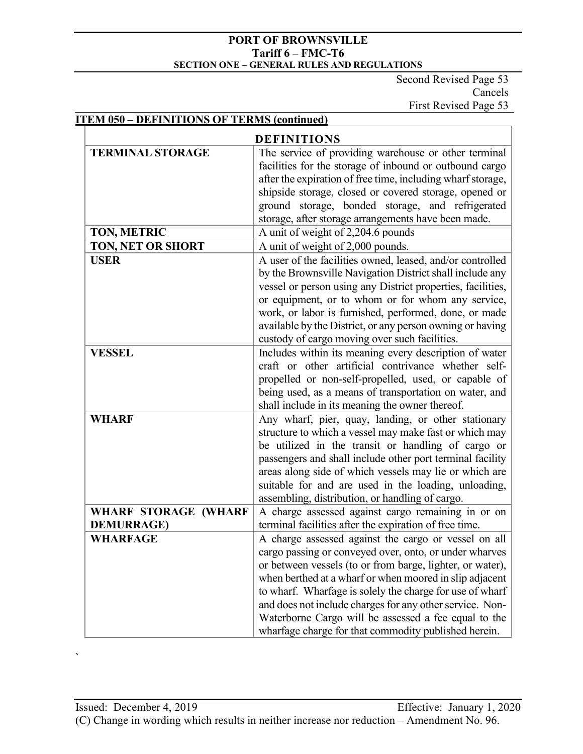Second Revised Page 53 Cancels First Revised Page 53

# **ITEM 050 – DEFINITIONS OF TERMS (continued)**

| <b>TERMINAL STORAGE</b><br>The service of providing warehouse or other terminal<br>facilities for the storage of inbound or outbound cargo<br>after the expiration of free time, including wharf storage,<br>shipside storage, closed or covered storage, opened or<br>ground storage, bonded storage, and refrigerated<br>storage, after storage arrangements have been made.<br>A unit of weight of 2,204.6 pounds<br>TON, METRIC |
|-------------------------------------------------------------------------------------------------------------------------------------------------------------------------------------------------------------------------------------------------------------------------------------------------------------------------------------------------------------------------------------------------------------------------------------|
|                                                                                                                                                                                                                                                                                                                                                                                                                                     |
|                                                                                                                                                                                                                                                                                                                                                                                                                                     |
|                                                                                                                                                                                                                                                                                                                                                                                                                                     |
|                                                                                                                                                                                                                                                                                                                                                                                                                                     |
|                                                                                                                                                                                                                                                                                                                                                                                                                                     |
|                                                                                                                                                                                                                                                                                                                                                                                                                                     |
|                                                                                                                                                                                                                                                                                                                                                                                                                                     |
| TON, NET OR SHORT<br>A unit of weight of 2,000 pounds.                                                                                                                                                                                                                                                                                                                                                                              |
| <b>USER</b><br>A user of the facilities owned, leased, and/or controlled                                                                                                                                                                                                                                                                                                                                                            |
| by the Brownsville Navigation District shall include any                                                                                                                                                                                                                                                                                                                                                                            |
| vessel or person using any District properties, facilities,                                                                                                                                                                                                                                                                                                                                                                         |
| or equipment, or to whom or for whom any service,                                                                                                                                                                                                                                                                                                                                                                                   |
| work, or labor is furnished, performed, done, or made                                                                                                                                                                                                                                                                                                                                                                               |
| available by the District, or any person owning or having                                                                                                                                                                                                                                                                                                                                                                           |
| custody of cargo moving over such facilities.                                                                                                                                                                                                                                                                                                                                                                                       |
| Includes within its meaning every description of water<br><b>VESSEL</b>                                                                                                                                                                                                                                                                                                                                                             |
| craft or other artificial contrivance whether self-                                                                                                                                                                                                                                                                                                                                                                                 |
| propelled or non-self-propelled, used, or capable of                                                                                                                                                                                                                                                                                                                                                                                |
| being used, as a means of transportation on water, and                                                                                                                                                                                                                                                                                                                                                                              |
| shall include in its meaning the owner thereof.                                                                                                                                                                                                                                                                                                                                                                                     |
| <b>WHARF</b><br>Any wharf, pier, quay, landing, or other stationary                                                                                                                                                                                                                                                                                                                                                                 |
| structure to which a vessel may make fast or which may                                                                                                                                                                                                                                                                                                                                                                              |
| be utilized in the transit or handling of cargo or                                                                                                                                                                                                                                                                                                                                                                                  |
| passengers and shall include other port terminal facility                                                                                                                                                                                                                                                                                                                                                                           |
| areas along side of which vessels may lie or which are                                                                                                                                                                                                                                                                                                                                                                              |
| suitable for and are used in the loading, unloading,                                                                                                                                                                                                                                                                                                                                                                                |
| assembling, distribution, or handling of cargo.<br><b>WHARF STORAGE (WHARF</b><br>A charge assessed against cargo remaining in or on                                                                                                                                                                                                                                                                                                |
| terminal facilities after the expiration of free time.<br><b>DEMURRAGE)</b>                                                                                                                                                                                                                                                                                                                                                         |
| A charge assessed against the cargo or vessel on all<br>WHARFAGE                                                                                                                                                                                                                                                                                                                                                                    |
| cargo passing or conveyed over, onto, or under wharves                                                                                                                                                                                                                                                                                                                                                                              |
| or between vessels (to or from barge, lighter, or water),                                                                                                                                                                                                                                                                                                                                                                           |
| when berthed at a wharf or when moored in slip adjacent                                                                                                                                                                                                                                                                                                                                                                             |
| to wharf. Wharfage is solely the charge for use of wharf                                                                                                                                                                                                                                                                                                                                                                            |
| and does not include charges for any other service. Non-                                                                                                                                                                                                                                                                                                                                                                            |
| Waterborne Cargo will be assessed a fee equal to the                                                                                                                                                                                                                                                                                                                                                                                |
| wharfage charge for that commodity published herein.                                                                                                                                                                                                                                                                                                                                                                                |

**`**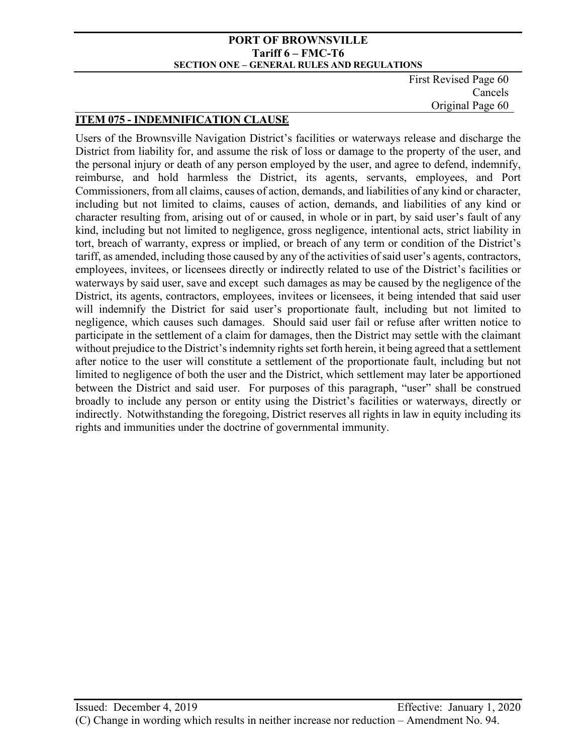First Revised Page 60 Cancels Original Page 60

## **ITEM 075 - INDEMNIFICATION CLAUSE**

Users of the Brownsville Navigation District's facilities or waterways release and discharge the District from liability for, and assume the risk of loss or damage to the property of the user, and the personal injury or death of any person employed by the user, and agree to defend, indemnify, reimburse, and hold harmless the District, its agents, servants, employees, and Port Commissioners, from all claims, causes of action, demands, and liabilities of any kind or character, including but not limited to claims, causes of action, demands, and liabilities of any kind or character resulting from, arising out of or caused, in whole or in part, by said user's fault of any kind, including but not limited to negligence, gross negligence, intentional acts, strict liability in tort, breach of warranty, express or implied, or breach of any term or condition of the District's tariff, as amended, including those caused by any of the activities of said user's agents, contractors, employees, invitees, or licensees directly or indirectly related to use of the District's facilities or waterways by said user, save and except such damages as may be caused by the negligence of the District, its agents, contractors, employees, invitees or licensees, it being intended that said user will indemnify the District for said user's proportionate fault, including but not limited to negligence, which causes such damages. Should said user fail or refuse after written notice to participate in the settlement of a claim for damages, then the District may settle with the claimant without prejudice to the District's indemnity rights set forth herein, it being agreed that a settlement after notice to the user will constitute a settlement of the proportionate fault, including but not limited to negligence of both the user and the District, which settlement may later be apportioned between the District and said user. For purposes of this paragraph, "user" shall be construed broadly to include any person or entity using the District's facilities or waterways, directly or indirectly. Notwithstanding the foregoing, District reserves all rights in law in equity including its rights and immunities under the doctrine of governmental immunity.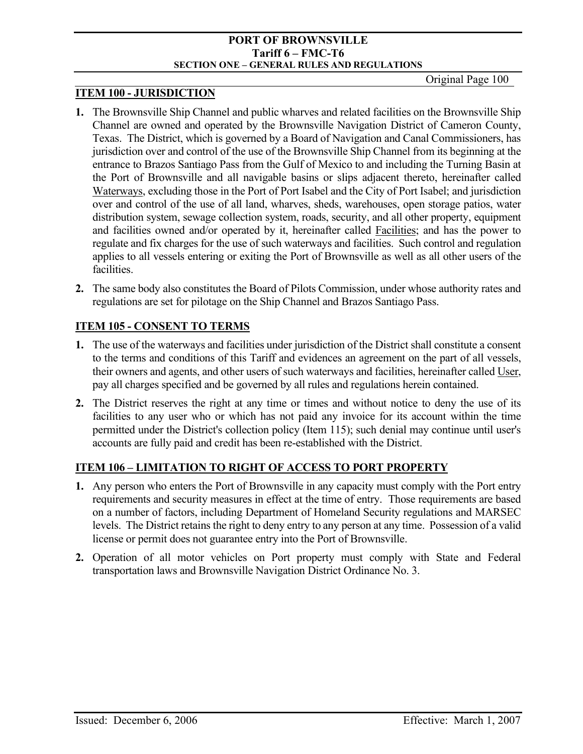### **ITEM 100 - JURISDICTION**

- **1.** The Brownsville Ship Channel and public wharves and related facilities on the Brownsville Ship Channel are owned and operated by the Brownsville Navigation District of Cameron County, Texas. The District, which is governed by a Board of Navigation and Canal Commissioners, has jurisdiction over and control of the use of the Brownsville Ship Channel from its beginning at the entrance to Brazos Santiago Pass from the Gulf of Mexico to and including the Turning Basin at the Port of Brownsville and all navigable basins or slips adjacent thereto, hereinafter called Waterways, excluding those in the Port of Port Isabel and the City of Port Isabel; and jurisdiction over and control of the use of all land, wharves, sheds, warehouses, open storage patios, water distribution system, sewage collection system, roads, security, and all other property, equipment and facilities owned and/or operated by it, hereinafter called Facilities; and has the power to regulate and fix charges for the use of such waterways and facilities. Such control and regulation applies to all vessels entering or exiting the Port of Brownsville as well as all other users of the facilities.
- **2.** The same body also constitutes the Board of Pilots Commission, under whose authority rates and regulations are set for pilotage on the Ship Channel and Brazos Santiago Pass.

# **ITEM 105 - CONSENT TO TERMS**

- **1.** The use of the waterways and facilities under jurisdiction of the District shall constitute a consent to the terms and conditions of this Tariff and evidences an agreement on the part of all vessels, their owners and agents, and other users of such waterways and facilities, hereinafter called User, pay all charges specified and be governed by all rules and regulations herein contained.
- **2.** The District reserves the right at any time or times and without notice to deny the use of its facilities to any user who or which has not paid any invoice for its account within the time permitted under the District's collection policy (Item 115); such denial may continue until user's accounts are fully paid and credit has been re-established with the District.

# **ITEM 106 – LIMITATION TO RIGHT OF ACCESS TO PORT PROPERTY**

- **1.** Any person who enters the Port of Brownsville in any capacity must comply with the Port entry requirements and security measures in effect at the time of entry. Those requirements are based on a number of factors, including Department of Homeland Security regulations and MARSEC levels. The District retains the right to deny entry to any person at any time. Possession of a valid license or permit does not guarantee entry into the Port of Brownsville.
- **2.** Operation of all motor vehicles on Port property must comply with State and Federal transportation laws and Brownsville Navigation District Ordinance No. 3.

Original Page 100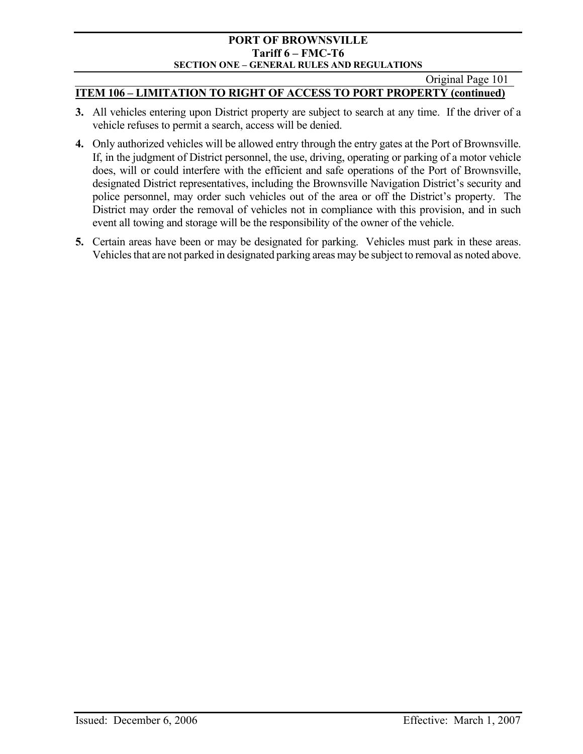Original Page 101

## **ITEM 106 – LIMITATION TO RIGHT OF ACCESS TO PORT PROPERTY (continued)**

- **3.** All vehicles entering upon District property are subject to search at any time. If the driver of a vehicle refuses to permit a search, access will be denied.
- **4.** Only authorized vehicles will be allowed entry through the entry gates at the Port of Brownsville. If, in the judgment of District personnel, the use, driving, operating or parking of a motor vehicle does, will or could interfere with the efficient and safe operations of the Port of Brownsville, designated District representatives, including the Brownsville Navigation District's security and police personnel, may order such vehicles out of the area or off the District's property. The District may order the removal of vehicles not in compliance with this provision, and in such event all towing and storage will be the responsibility of the owner of the vehicle.
- **5.** Certain areas have been or may be designated for parking. Vehicles must park in these areas. Vehicles that are not parked in designated parking areas may be subject to removal as noted above.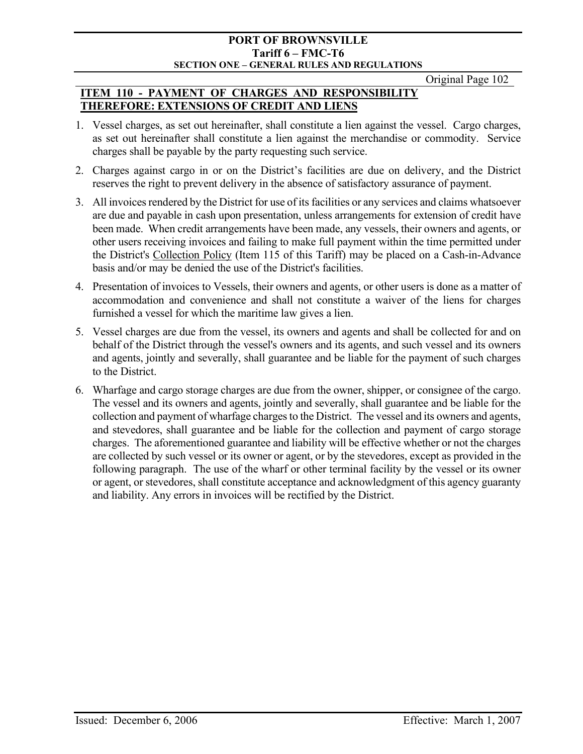Original Page 102

# **ITEM 110 - PAYMENT OF CHARGES AND RESPONSIBILITY THEREFORE: EXTENSIONS OF CREDIT AND LIENS**

- 1. Vessel charges, as set out hereinafter, shall constitute a lien against the vessel. Cargo charges, as set out hereinafter shall constitute a lien against the merchandise or commodity. Service charges shall be payable by the party requesting such service.
- 2. Charges against cargo in or on the District's facilities are due on delivery, and the District reserves the right to prevent delivery in the absence of satisfactory assurance of payment.
- 3. All invoices rendered by the District for use of its facilities or any services and claims whatsoever are due and payable in cash upon presentation, unless arrangements for extension of credit have been made. When credit arrangements have been made, any vessels, their owners and agents, or other users receiving invoices and failing to make full payment within the time permitted under the District's Collection Policy (Item 115 of this Tariff) may be placed on a Cash-in-Advance basis and/or may be denied the use of the District's facilities.
- 4. Presentation of invoices to Vessels, their owners and agents, or other users is done as a matter of accommodation and convenience and shall not constitute a waiver of the liens for charges furnished a vessel for which the maritime law gives a lien.
- 5. Vessel charges are due from the vessel, its owners and agents and shall be collected for and on behalf of the District through the vessel's owners and its agents, and such vessel and its owners and agents, jointly and severally, shall guarantee and be liable for the payment of such charges to the District.
- 6. Wharfage and cargo storage charges are due from the owner, shipper, or consignee of the cargo. The vessel and its owners and agents, jointly and severally, shall guarantee and be liable for the collection and payment of wharfage charges to the District. The vessel and its owners and agents, and stevedores, shall guarantee and be liable for the collection and payment of cargo storage charges. The aforementioned guarantee and liability will be effective whether or not the charges are collected by such vessel or its owner or agent, or by the stevedores, except as provided in the following paragraph. The use of the wharf or other terminal facility by the vessel or its owner or agent, or stevedores, shall constitute acceptance and acknowledgment of this agency guaranty and liability. Any errors in invoices will be rectified by the District.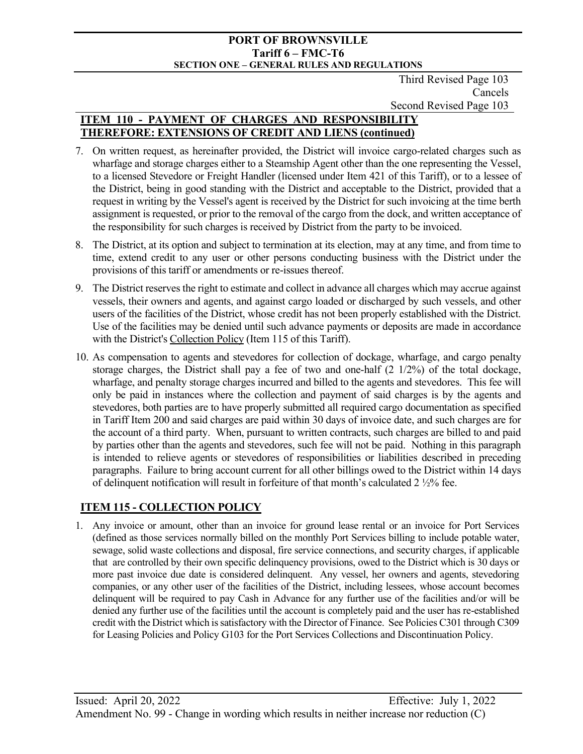Third Revised Page 103 Cancels Second Revised Page 103

# **ITEM 110 - PAYMENT OF CHARGES AND RESPONSIBILITY THEREFORE: EXTENSIONS OF CREDIT AND LIENS (continued)**

- 7. On written request, as hereinafter provided, the District will invoice cargo-related charges such as wharfage and storage charges either to a Steamship Agent other than the one representing the Vessel, to a licensed Stevedore or Freight Handler (licensed under Item 421 of this Tariff), or to a lessee of the District, being in good standing with the District and acceptable to the District, provided that a request in writing by the Vessel's agent is received by the District for such invoicing at the time berth assignment is requested, or prior to the removal of the cargo from the dock, and written acceptance of the responsibility for such charges is received by District from the party to be invoiced.
- 8. The District, at its option and subject to termination at its election, may at any time, and from time to time, extend credit to any user or other persons conducting business with the District under the provisions of this tariff or amendments or re-issues thereof.
- 9. The District reserves the right to estimate and collect in advance all charges which may accrue against vessels, their owners and agents, and against cargo loaded or discharged by such vessels, and other users of the facilities of the District, whose credit has not been properly established with the District. Use of the facilities may be denied until such advance payments or deposits are made in accordance with the District's Collection Policy (Item 115 of this Tariff).
- 10. As compensation to agents and stevedores for collection of dockage, wharfage, and cargo penalty storage charges, the District shall pay a fee of two and one-half (2 1/2%) of the total dockage, wharfage, and penalty storage charges incurred and billed to the agents and stevedores. This fee will only be paid in instances where the collection and payment of said charges is by the agents and stevedores, both parties are to have properly submitted all required cargo documentation as specified in Tariff Item 200 and said charges are paid within 30 days of invoice date, and such charges are for the account of a third party. When, pursuant to written contracts, such charges are billed to and paid by parties other than the agents and stevedores, such fee will not be paid. Nothing in this paragraph is intended to relieve agents or stevedores of responsibilities or liabilities described in preceding paragraphs. Failure to bring account current for all other billings owed to the District within 14 days of delinquent notification will result in forfeiture of that month's calculated 2 ½% fee.

# **ITEM 115 - COLLECTION POLICY**

1. Any invoice or amount, other than an invoice for ground lease rental or an invoice for Port Services (defined as those services normally billed on the monthly Port Services billing to include potable water, sewage, solid waste collections and disposal, fire service connections, and security charges, if applicable that are controlled by their own specific delinquency provisions, owed to the District which is 30 days or more past invoice due date is considered delinquent. Any vessel, her owners and agents, stevedoring companies, or any other user of the facilities of the District, including lessees, whose account becomes delinquent will be required to pay Cash in Advance for any further use of the facilities and/or will be denied any further use of the facilities until the account is completely paid and the user has re-established credit with the District which is satisfactory with the Director of Finance. See Policies C301 through C309 for Leasing Policies and Policy G103 for the Port Services Collections and Discontinuation Policy.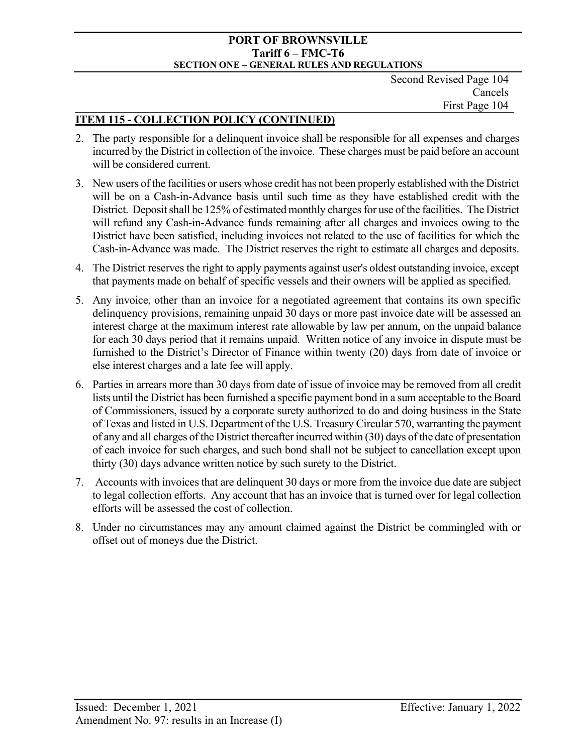Second Revised Page 104 Cancels First Page 104

# **ITEM 115 - COLLECTION POLICY (CONTINUED)**

- 2. The party responsible for a delinquent invoice shall be responsible for all expenses and charges incurred by the District in collection of the invoice. These charges must be paid before an account will be considered current.
- 3. New users of the facilities or users whose credit has not been properly established with the District will be on a Cash-in-Advance basis until such time as they have established credit with the District. Deposit shall be 125% of estimated monthly charges for use of the facilities. The District will refund any Cash-in-Advance funds remaining after all charges and invoices owing to the District have been satisfied, including invoices not related to the use of facilities for which the Cash-in-Advance was made. The District reserves the right to estimate all charges and deposits.
- 4. The District reserves the right to apply payments against user's oldest outstanding invoice, except that payments made on behalf of specific vessels and their owners will be applied as specified.
- 5. Any invoice, other than an invoice for a negotiated agreement that contains its own specific delinquency provisions, remaining unpaid 30 days or more past invoice date will be assessed an interest charge at the maximum interest rate allowable by law per annum, on the unpaid balance for each 30 days period that it remains unpaid. Written notice of any invoice in dispute must be furnished to the District's Director of Finance within twenty (20) days from date of invoice or else interest charges and a late fee will apply.
- 6. Parties in arrears more than 30 days from date of issue of invoice may be removed from all credit lists until the District has been furnished a specific payment bond in a sum acceptable to the Board of Commissioners, issued by a corporate surety authorized to do and doing business in the State of Texas and listed in U.S. Department of the U.S. Treasury Circular 570, warranting the payment of any and all charges of the District thereafter incurred within (30) days of the date of presentation of each invoice for such charges, and such bond shall not be subject to cancellation except upon thirty (30) days advance written notice by such surety to the District.
- 7. Accounts with invoices that are delinquent 30 days or more from the invoice due date are subject to legal collection efforts. Any account that has an invoice that is turned over for legal collection efforts will be assessed the cost of collection.
- 8. Under no circumstances may any amount claimed against the District be commingled with or offset out of moneys due the District.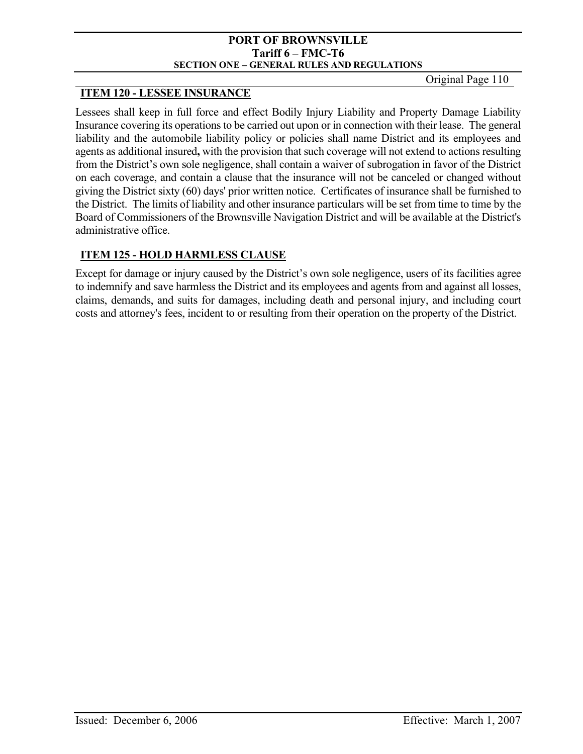Original Page 110

# **ITEM 120 - LESSEE INSURANCE**

Lessees shall keep in full force and effect Bodily Injury Liability and Property Damage Liability Insurance covering its operations to be carried out upon or in connection with their lease. The general liability and the automobile liability policy or policies shall name District and its employees and agents as additional insured**,** with the provision that such coverage will not extend to actions resulting from the District's own sole negligence, shall contain a waiver of subrogation in favor of the District on each coverage, and contain a clause that the insurance will not be canceled or changed without giving the District sixty (60) days' prior written notice. Certificates of insurance shall be furnished to the District. The limits of liability and other insurance particulars will be set from time to time by the Board of Commissioners of the Brownsville Navigation District and will be available at the District's administrative office.

# **ITEM 125 - HOLD HARMLESS CLAUSE**

Except for damage or injury caused by the District's own sole negligence, users of its facilities agree to indemnify and save harmless the District and its employees and agents from and against all losses, claims, demands, and suits for damages, including death and personal injury, and including court costs and attorney's fees, incident to or resulting from their operation on the property of the District.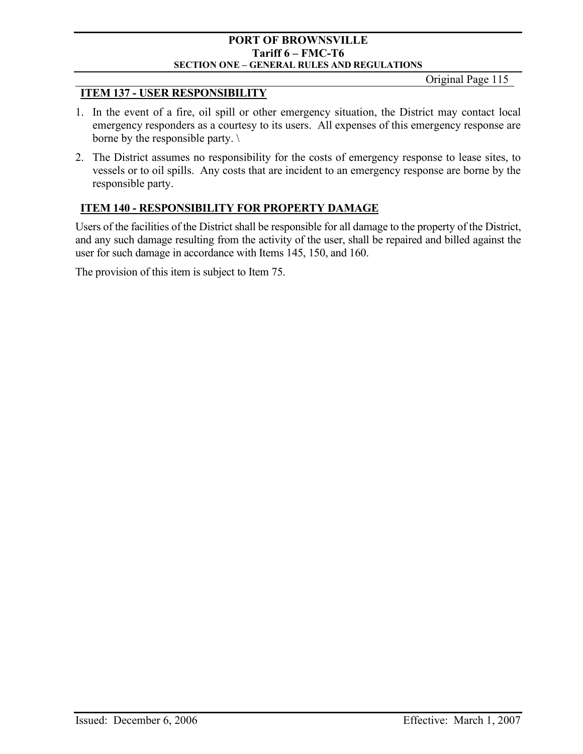Original Page 115

## **ITEM 137 - USER RESPONSIBILITY**

- 1. In the event of a fire, oil spill or other emergency situation, the District may contact local emergency responders as a courtesy to its users. All expenses of this emergency response are borne by the responsible party. \
- 2. The District assumes no responsibility for the costs of emergency response to lease sites, to vessels or to oil spills. Any costs that are incident to an emergency response are borne by the responsible party.

# **ITEM 140 - RESPONSIBILITY FOR PROPERTY DAMAGE**

Users of the facilities of the District shall be responsible for all damage to the property of the District, and any such damage resulting from the activity of the user, shall be repaired and billed against the user for such damage in accordance with Items 145, 150, and 160.

The provision of this item is subject to Item 75.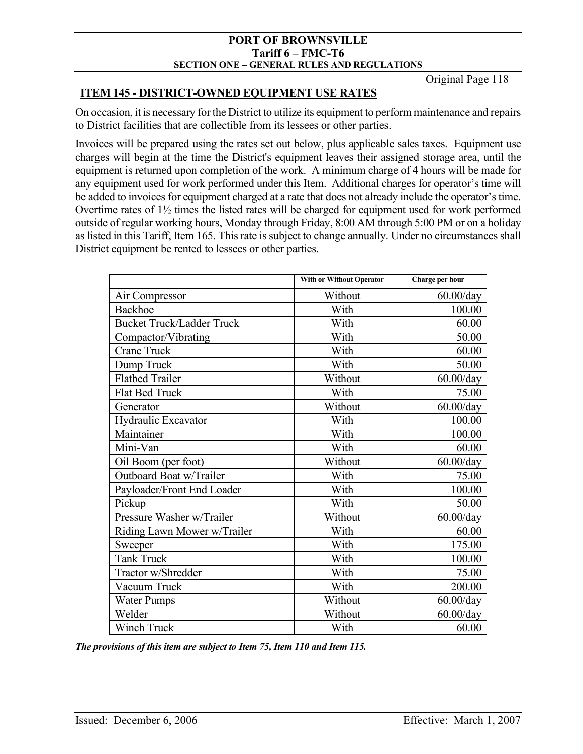Original Page 118

## **ITEM 145 - DISTRICT-OWNED EQUIPMENT USE RATES**

On occasion, it is necessary for the District to utilize its equipment to perform maintenance and repairs to District facilities that are collectible from its lessees or other parties.

Invoices will be prepared using the rates set out below, plus applicable sales taxes. Equipment use charges will begin at the time the District's equipment leaves their assigned storage area, until the equipment is returned upon completion of the work. A minimum charge of 4 hours will be made for any equipment used for work performed under this Item. Additional charges for operator's time will be added to invoices for equipment charged at a rate that does not already include the operator's time. Overtime rates of 1½ times the listed rates will be charged for equipment used for work performed outside of regular working hours, Monday through Friday, 8:00 AM through 5:00 PM or on a holiday as listed in this Tariff, Item 165. This rate is subject to change annually. Under no circumstances shall District equipment be rented to lessees or other parties.

|                                  | <b>With or Without Operator</b> | Charge per hour |
|----------------------------------|---------------------------------|-----------------|
| Air Compressor                   | Without                         | $60.00$ /day    |
| <b>Backhoe</b>                   | With                            | 100.00          |
| <b>Bucket Truck/Ladder Truck</b> | With                            | 60.00           |
| Compactor/Vibrating              | With                            | 50.00           |
| <b>Crane Truck</b>               | With                            | 60.00           |
| Dump Truck                       | With                            | 50.00           |
| <b>Flatbed Trailer</b>           | Without                         | $60.00$ /day    |
| Flat Bed Truck                   | With                            | 75.00           |
| Generator                        | Without                         | $60.00$ /day    |
| Hydraulic Excavator              | With                            | 100.00          |
| Maintainer                       | With                            | 100.00          |
| Mini-Van                         | With                            | 60.00           |
| Oil Boom (per foot)              | Without                         | $60.00$ /day    |
| Outboard Boat w/Trailer          | With                            | 75.00           |
| Payloader/Front End Loader       | With                            | 100.00          |
| Pickup                           | With                            | 50.00           |
| Pressure Washer w/Trailer        | Without                         | $60.00$ /day    |
| Riding Lawn Mower w/Trailer      | With                            | 60.00           |
| Sweeper                          | With                            | 175.00          |
| <b>Tank Truck</b>                | With                            | 100.00          |
| Tractor w/Shredder               | With                            | 75.00           |
| Vacuum Truck                     | With                            | 200.00          |
| <b>Water Pumps</b>               | Without                         | $60.00$ /day    |
| Welder                           | Without                         | $60.00$ /day    |
| <b>Winch Truck</b>               | With                            | 60.00           |

*The provisions of this item are subject to Item 75, Item 110 and Item 115.*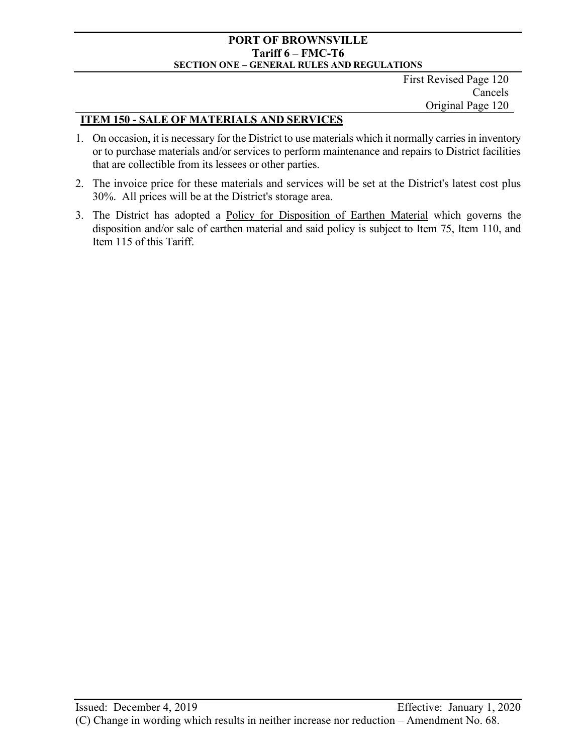First Revised Page 120 Cancels Original Page 120

## **ITEM 150 - SALE OF MATERIALS AND SERVICES**

- 1. On occasion, it is necessary for the District to use materials which it normally carries in inventory or to purchase materials and/or services to perform maintenance and repairs to District facilities that are collectible from its lessees or other parties.
- 2. The invoice price for these materials and services will be set at the District's latest cost plus 30%. All prices will be at the District's storage area.
- 3. The District has adopted a Policy for Disposition of Earthen Material which governs the disposition and/or sale of earthen material and said policy is subject to Item 75, Item 110, and Item 115 of this Tariff.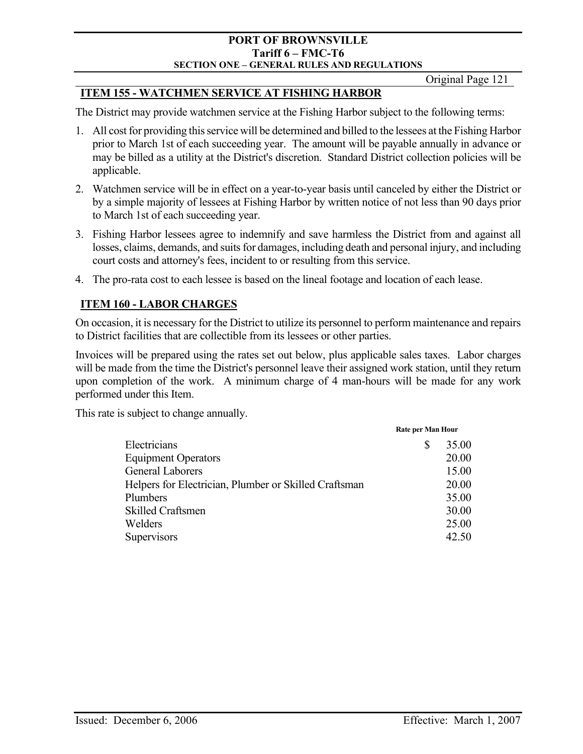Original Page 121

# **ITEM 155 - WATCHMEN SERVICE AT FISHING HARBOR**

The District may provide watchmen service at the Fishing Harbor subject to the following terms:

- 1. All cost for providing this service will be determined and billed to the lessees at the Fishing Harbor prior to March 1st of each succeeding year. The amount will be payable annually in advance or may be billed as a utility at the District's discretion. Standard District collection policies will be applicable.
- 2. Watchmen service will be in effect on a year-to-year basis until canceled by either the District or by a simple majority of lessees at Fishing Harbor by written notice of not less than 90 days prior to March 1st of each succeeding year.
- 3. Fishing Harbor lessees agree to indemnify and save harmless the District from and against all losses, claims, demands, and suits for damages, including death and personal injury, and including court costs and attorney's fees, incident to or resulting from this service.
- 4. The pro-rata cost to each lessee is based on the lineal footage and location of each lease.

# **ITEM 160 - LABOR CHARGES**

On occasion, it is necessary for the District to utilize its personnel to perform maintenance and repairs to District facilities that are collectible from its lessees or other parties.

Invoices will be prepared using the rates set out below, plus applicable sales taxes. Labor charges will be made from the time the District's personnel leave their assigned work station, until they return upon completion of the work. A minimum charge of 4 man-hours will be made for any work performed under this Item.

This rate is subject to change annually.

|                                                       | Rate per Man Hour |       |  |
|-------------------------------------------------------|-------------------|-------|--|
| Electricians                                          | S                 | 35.00 |  |
| <b>Equipment Operators</b>                            |                   | 20.00 |  |
| <b>General Laborers</b>                               |                   | 15.00 |  |
| Helpers for Electrician, Plumber or Skilled Craftsman |                   | 20.00 |  |
| Plumbers                                              |                   | 35.00 |  |
| <b>Skilled Craftsmen</b>                              |                   | 30.00 |  |
| Welders                                               |                   | 25.00 |  |
| Supervisors                                           |                   | 42.50 |  |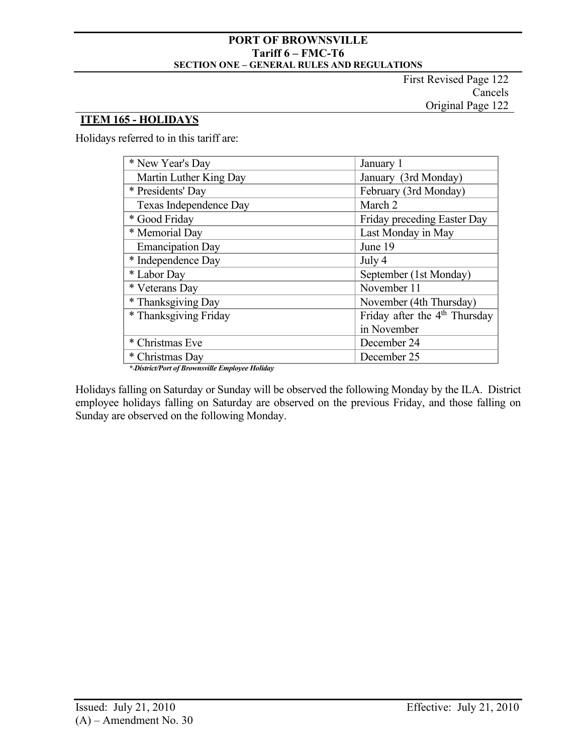First Revised Page 122 Cancels Original Page 122

# **ITEM 165 - HOLIDAYS**

Holidays referred to in this tariff are:

| * New Year's Day        | January 1                       |
|-------------------------|---------------------------------|
| Martin Luther King Day  | January (3rd Monday)            |
| * Presidents' Day       | February (3rd Monday)           |
| Texas Independence Day  | March 2                         |
| * Good Friday           | Friday preceding Easter Day     |
| * Memorial Day          | Last Monday in May              |
| <b>Emancipation Day</b> | June 19                         |
| * Independence Day      | July 4                          |
| * Labor Day             | September (1st Monday)          |
| * Veterans Day          | November 11                     |
| * Thanksgiving Day      | November (4th Thursday)         |
| * Thanksgiving Friday   | Friday after the $4th$ Thursday |
|                         | in November                     |
| * Christmas Eve         | December 24                     |
| * Christmas Day         | December 25                     |

*\* District/Port of Brownsville Employee Holiday*

Holidays falling on Saturday or Sunday will be observed the following Monday by the ILA. District employee holidays falling on Saturday are observed on the previous Friday, and those falling on Sunday are observed on the following Monday.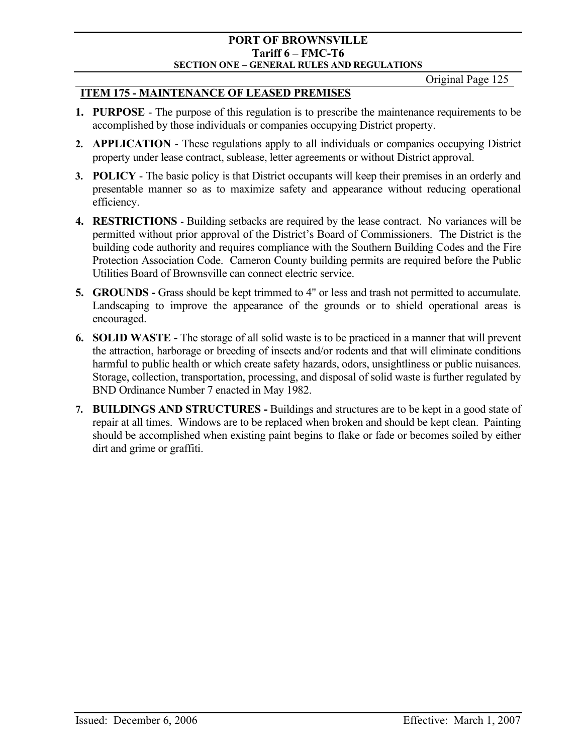Original Page 125

## **ITEM 175 - MAINTENANCE OF LEASED PREMISES**

- **1. PURPOSE** The purpose of this regulation is to prescribe the maintenance requirements to be accomplished by those individuals or companies occupying District property.
- **2. APPLICATION**  These regulations apply to all individuals or companies occupying District property under lease contract, sublease, letter agreements or without District approval.
- **3. POLICY**  The basic policy is that District occupants will keep their premises in an orderly and presentable manner so as to maximize safety and appearance without reducing operational efficiency.
- **4. RESTRICTIONS**  Building setbacks are required by the lease contract. No variances will be permitted without prior approval of the District's Board of Commissioners. The District is the building code authority and requires compliance with the Southern Building Codes and the Fire Protection Association Code. Cameron County building permits are required before the Public Utilities Board of Brownsville can connect electric service.
- **5. GROUNDS** Grass should be kept trimmed to 4" or less and trash not permitted to accumulate. Landscaping to improve the appearance of the grounds or to shield operational areas is encouraged.
- **6. SOLID WASTE -** The storage of all solid waste is to be practiced in a manner that will prevent the attraction, harborage or breeding of insects and/or rodents and that will eliminate conditions harmful to public health or which create safety hazards, odors, unsightliness or public nuisances. Storage, collection, transportation, processing, and disposal of solid waste is further regulated by BND Ordinance Number 7 enacted in May 1982.
- **7. BUILDINGS AND STRUCTURES -** Buildings and structures are to be kept in a good state of repair at all times. Windows are to be replaced when broken and should be kept clean. Painting should be accomplished when existing paint begins to flake or fade or becomes soiled by either dirt and grime or graffiti.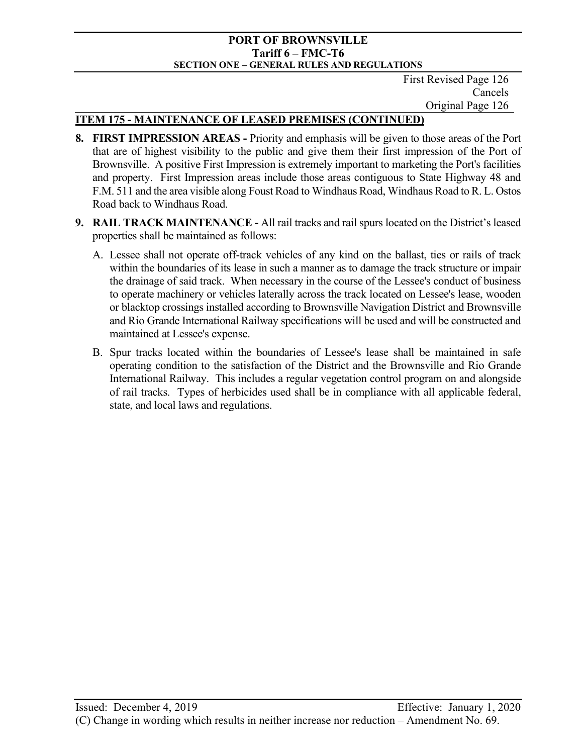First Revised Page 126 Cancels Original Page 126

# **ITEM 175 - MAINTENANCE OF LEASED PREMISES (CONTINUED)**

- **8. FIRST IMPRESSION AREAS -** Priority and emphasis will be given to those areas of the Port that are of highest visibility to the public and give them their first impression of the Port of Brownsville. A positive First Impression is extremely important to marketing the Port's facilities and property. First Impression areas include those areas contiguous to State Highway 48 and F.M. 511 and the area visible along Foust Road to Windhaus Road, Windhaus Road to R. L. Ostos Road back to Windhaus Road.
- **9. RAIL TRACK MAINTENANCE** All rail tracks and rail spurs located on the District's leased properties shall be maintained as follows:
	- A. Lessee shall not operate off-track vehicles of any kind on the ballast, ties or rails of track within the boundaries of its lease in such a manner as to damage the track structure or impair the drainage of said track. When necessary in the course of the Lessee's conduct of business to operate machinery or vehicles laterally across the track located on Lessee's lease, wooden or blacktop crossings installed according to Brownsville Navigation District and Brownsville and Rio Grande International Railway specifications will be used and will be constructed and maintained at Lessee's expense.
	- B. Spur tracks located within the boundaries of Lessee's lease shall be maintained in safe operating condition to the satisfaction of the District and the Brownsville and Rio Grande International Railway. This includes a regular vegetation control program on and alongside of rail tracks. Types of herbicides used shall be in compliance with all applicable federal, state, and local laws and regulations.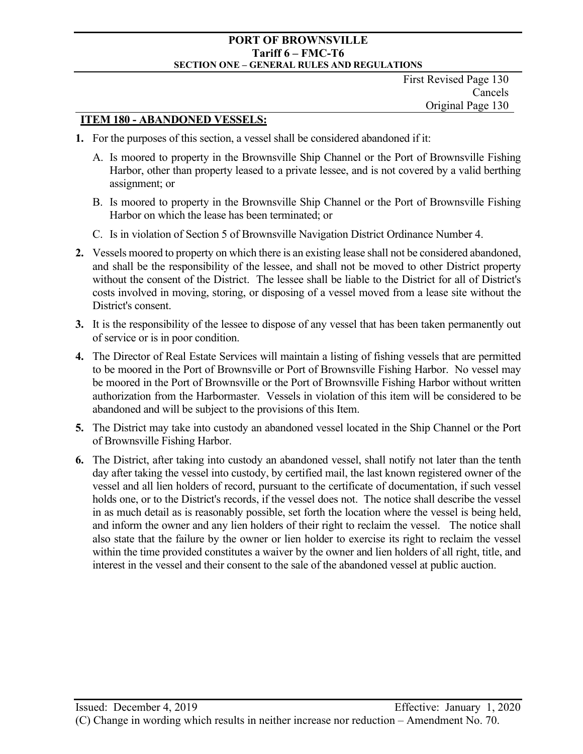## **ITEM 180 - ABANDONED VESSELS:**

- **1.** For the purposes of this section, a vessel shall be considered abandoned if it:
	- A. Is moored to property in the Brownsville Ship Channel or the Port of Brownsville Fishing Harbor, other than property leased to a private lessee, and is not covered by a valid berthing assignment; or
	- B. Is moored to property in the Brownsville Ship Channel or the Port of Brownsville Fishing Harbor on which the lease has been terminated; or
	- C. Is in violation of Section 5 of Brownsville Navigation District Ordinance Number 4.
- **2.** Vessels moored to property on which there is an existing lease shall not be considered abandoned, and shall be the responsibility of the lessee, and shall not be moved to other District property without the consent of the District. The lessee shall be liable to the District for all of District's costs involved in moving, storing, or disposing of a vessel moved from a lease site without the District's consent.
- **3.** It is the responsibility of the lessee to dispose of any vessel that has been taken permanently out of service or is in poor condition.
- **4.** The Director of Real Estate Services will maintain a listing of fishing vessels that are permitted to be moored in the Port of Brownsville or Port of Brownsville Fishing Harbor. No vessel may be moored in the Port of Brownsville or the Port of Brownsville Fishing Harbor without written authorization from the Harbormaster. Vessels in violation of this item will be considered to be abandoned and will be subject to the provisions of this Item.
- **5.** The District may take into custody an abandoned vessel located in the Ship Channel or the Port of Brownsville Fishing Harbor.
- **6.** The District, after taking into custody an abandoned vessel, shall notify not later than the tenth day after taking the vessel into custody, by certified mail, the last known registered owner of the vessel and all lien holders of record, pursuant to the certificate of documentation, if such vessel holds one, or to the District's records, if the vessel does not. The notice shall describe the vessel in as much detail as is reasonably possible, set forth the location where the vessel is being held, and inform the owner and any lien holders of their right to reclaim the vessel. The notice shall also state that the failure by the owner or lien holder to exercise its right to reclaim the vessel within the time provided constitutes a waiver by the owner and lien holders of all right, title, and interest in the vessel and their consent to the sale of the abandoned vessel at public auction.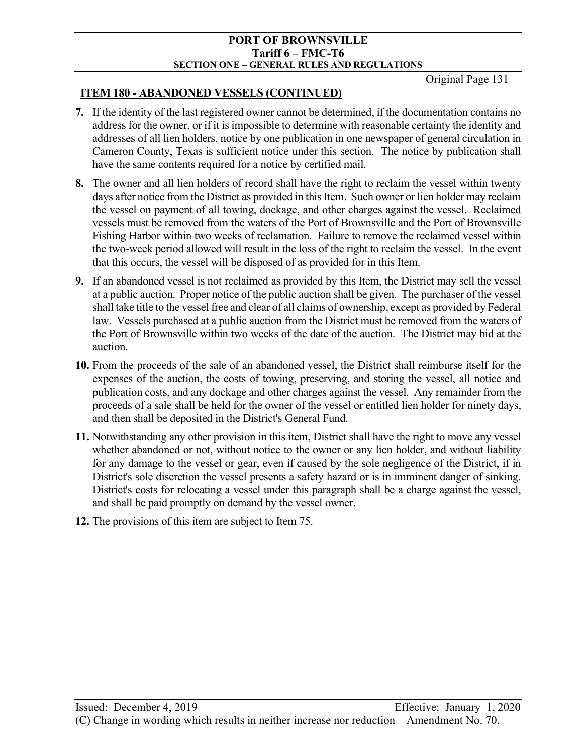Original Page 131

## **ITEM 180 - ABANDONED VESSELS (CONTINUED)**

- **7.** If the identity of the last registered owner cannot be determined, if the documentation contains no address for the owner, or if it is impossible to determine with reasonable certainty the identity and addresses of all lien holders, notice by one publication in one newspaper of general circulation in Cameron County, Texas is sufficient notice under this section. The notice by publication shall have the same contents required for a notice by certified mail.
- **8.** The owner and all lien holders of record shall have the right to reclaim the vessel within twenty days after notice from the District as provided in this Item. Such owner or lien holder may reclaim the vessel on payment of all towing, dockage, and other charges against the vessel. Reclaimed vessels must be removed from the waters of the Port of Brownsville and the Port of Brownsville Fishing Harbor within two weeks of reclamation. Failure to remove the reclaimed vessel within the two-week period allowed will result in the loss of the right to reclaim the vessel. In the event that this occurs, the vessel will be disposed of as provided for in this Item.
- **9.** If an abandoned vessel is not reclaimed as provided by this Item, the District may sell the vessel at a public auction. Proper notice of the public auction shall be given. The purchaser of the vessel shall take title to the vessel free and clear of all claims of ownership, except as provided by Federal law. Vessels purchased at a public auction from the District must be removed from the waters of the Port of Brownsville within two weeks of the date of the auction. The District may bid at the auction.
- **10.** From the proceeds of the sale of an abandoned vessel, the District shall reimburse itself for the expenses of the auction, the costs of towing, preserving, and storing the vessel, all notice and publication costs, and any dockage and other charges against the vessel. Any remainder from the proceeds of a sale shall be held for the owner of the vessel or entitled lien holder for ninety days, and then shall be deposited in the District's General Fund.
- **11.** Notwithstanding any other provision in this item, District shall have the right to move any vessel whether abandoned or not, without notice to the owner or any lien holder, and without liability for any damage to the vessel or gear, even if caused by the sole negligence of the District, if in District's sole discretion the vessel presents a safety hazard or is in imminent danger of sinking. District's costs for relocating a vessel under this paragraph shall be a charge against the vessel, and shall be paid promptly on demand by the vessel owner.
- **12.** The provisions of this item are subject to Item 75.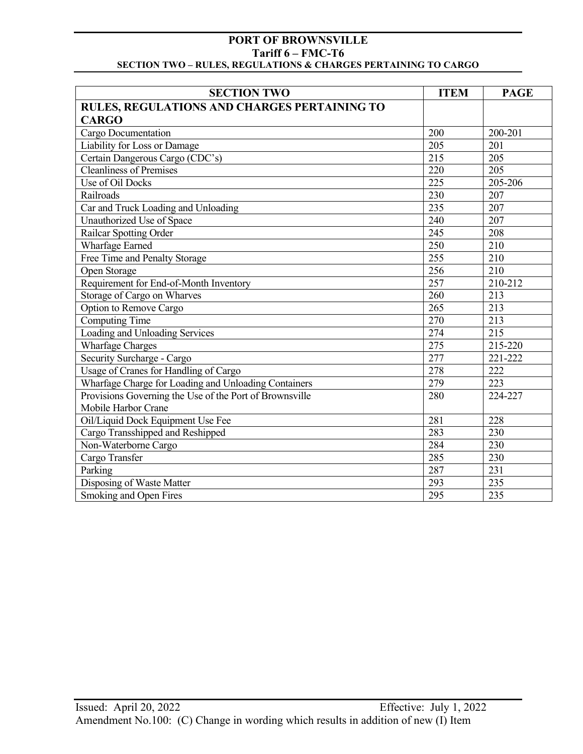| <b>SECTION TWO</b>                                      | <b>ITEM</b>      | <b>PAGE</b>      |
|---------------------------------------------------------|------------------|------------------|
| <b>RULES, REGULATIONS AND CHARGES PERTAINING TO</b>     |                  |                  |
| <b>CARGO</b>                                            |                  |                  |
| Cargo Documentation                                     | 200              | 200-201          |
| Liability for Loss or Damage                            | 205              | 201              |
| Certain Dangerous Cargo (CDC's)                         | 215              | 205              |
| <b>Cleanliness of Premises</b>                          | 220              | 205              |
| Use of Oil Docks                                        | 225              | 205-206          |
| Railroads                                               | 230              | 207              |
| Car and Truck Loading and Unloading                     | 235              | 207              |
| Unauthorized Use of Space                               | 240              | 207              |
| <b>Railcar Spotting Order</b>                           | $\overline{245}$ | 208              |
| <b>Wharfage Earned</b>                                  | 250              | 210              |
| Free Time and Penalty Storage                           | 255              | 210              |
| Open Storage                                            | 256              | 210              |
| Requirement for End-of-Month Inventory                  | 257              | 210-212          |
| Storage of Cargo on Wharves                             | 260              | 213              |
| Option to Remove Cargo                                  | 265              | 213              |
| <b>Computing Time</b>                                   | 270              | 213              |
| Loading and Unloading Services                          | 274              | $\overline{215}$ |
| <b>Wharfage Charges</b>                                 | 275              | 215-220          |
| Security Surcharge - Cargo                              | 277              | 221-222          |
| Usage of Cranes for Handling of Cargo                   | 278              | 222              |
| Wharfage Charge for Loading and Unloading Containers    | 279              | 223              |
| Provisions Governing the Use of the Port of Brownsville | 280              | 224-227          |
| Mobile Harbor Crane                                     |                  |                  |
| Oil/Liquid Dock Equipment Use Fee                       | 281              | 228              |
| Cargo Transshipped and Reshipped                        | 283              | 230              |
| Non-Waterborne Cargo                                    | 284              | 230              |
| Cargo Transfer                                          | 285              | 230              |
| Parking                                                 | 287              | 231              |
| Disposing of Waste Matter                               | 293              | 235              |
| Smoking and Open Fires                                  | 295              | 235              |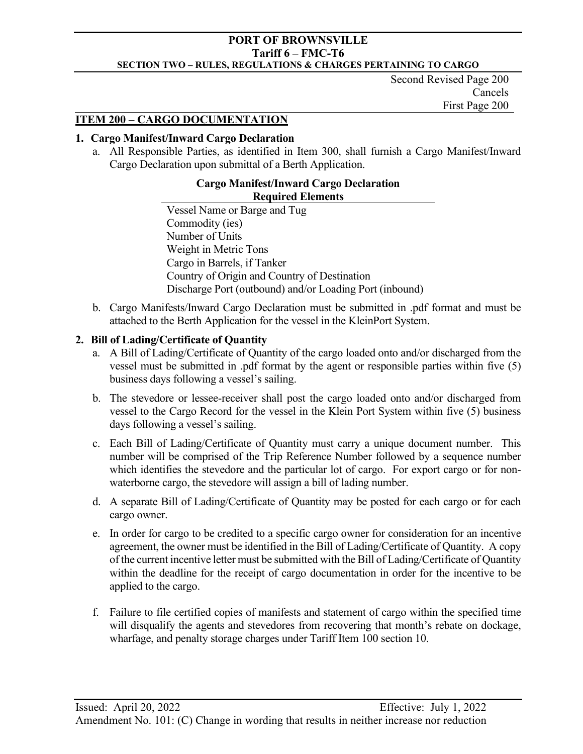Second Revised Page 200 Cancels First Page 200

## **ITEM 200 – CARGO DOCUMENTATION**

### **1. Cargo Manifest/Inward Cargo Declaration**

a. All Responsible Parties, as identified in Item 300, shall furnish a Cargo Manifest/Inward Cargo Declaration upon submittal of a Berth Application.

#### **Cargo Manifest/Inward Cargo Declaration Required Elements**

Vessel Name or Barge and Tug Commodity (ies) Number of Units Weight in Metric Tons Cargo in Barrels, if Tanker Country of Origin and Country of Destination Discharge Port (outbound) and/or Loading Port (inbound)

b. Cargo Manifests/Inward Cargo Declaration must be submitted in .pdf format and must be attached to the Berth Application for the vessel in the KleinPort System.

## **2. Bill of Lading/Certificate of Quantity**

- a. A Bill of Lading/Certificate of Quantity of the cargo loaded onto and/or discharged from the vessel must be submitted in .pdf format by the agent or responsible parties within five (5) business days following a vessel's sailing.
- b. The stevedore or lessee-receiver shall post the cargo loaded onto and/or discharged from vessel to the Cargo Record for the vessel in the Klein Port System within five (5) business days following a vessel's sailing.
- c. Each Bill of Lading/Certificate of Quantity must carry a unique document number. This number will be comprised of the Trip Reference Number followed by a sequence number which identifies the stevedore and the particular lot of cargo. For export cargo or for nonwaterborne cargo, the stevedore will assign a bill of lading number.
- d. A separate Bill of Lading/Certificate of Quantity may be posted for each cargo or for each cargo owner.
- e. In order for cargo to be credited to a specific cargo owner for consideration for an incentive agreement, the owner must be identified in the Bill of Lading/Certificate of Quantity. A copy of the current incentive letter must be submitted with the Bill of Lading/Certificate of Quantity within the deadline for the receipt of cargo documentation in order for the incentive to be applied to the cargo.
- f. Failure to file certified copies of manifests and statement of cargo within the specified time will disqualify the agents and stevedores from recovering that month's rebate on dockage, wharfage, and penalty storage charges under Tariff Item 100 section 10.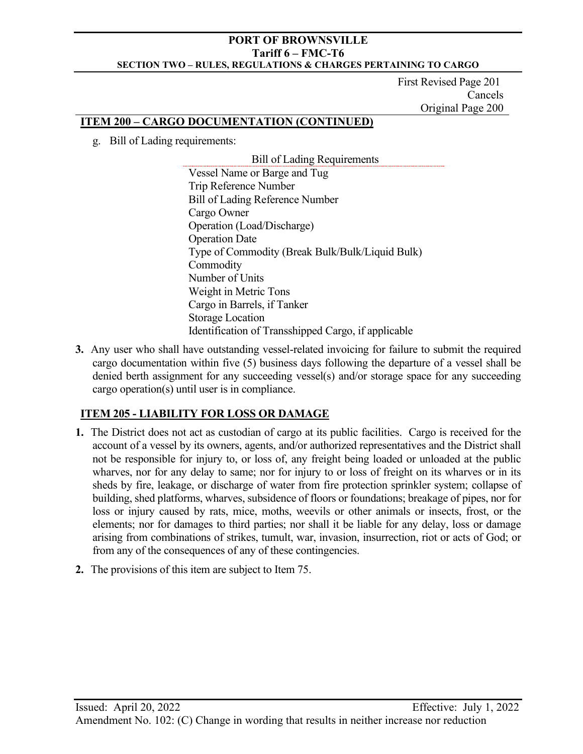First Revised Page 201 Cancels Original Page 200

## **ITEM 200 – CARGO DOCUMENTATION (CONTINUED)**

g. Bill of Lading requirements:

Bill of Lading Requirements Vessel Name or Barge and Tug Trip Reference Number Bill of Lading Reference Number Cargo Owner Operation (Load/Discharge) Operation Date Type of Commodity (Break Bulk/Bulk/Liquid Bulk) Commodity Number of Units Weight in Metric Tons Cargo in Barrels, if Tanker Storage Location Identification of Transshipped Cargo, if applicable

**3.** Any user who shall have outstanding vessel-related invoicing for failure to submit the required cargo documentation within five (5) business days following the departure of a vessel shall be denied berth assignment for any succeeding vessel(s) and/or storage space for any succeeding cargo operation(s) until user is in compliance.

# **ITEM 205 - LIABILITY FOR LOSS OR DAMAGE**

- **1.** The District does not act as custodian of cargo at its public facilities. Cargo is received for the account of a vessel by its owners, agents, and/or authorized representatives and the District shall not be responsible for injury to, or loss of, any freight being loaded or unloaded at the public wharves, nor for any delay to same; nor for injury to or loss of freight on its wharves or in its sheds by fire, leakage, or discharge of water from fire protection sprinkler system; collapse of building, shed platforms, wharves, subsidence of floors or foundations; breakage of pipes, nor for loss or injury caused by rats, mice, moths, weevils or other animals or insects, frost, or the elements; nor for damages to third parties; nor shall it be liable for any delay, loss or damage arising from combinations of strikes, tumult, war, invasion, insurrection, riot or acts of God; or from any of the consequences of any of these contingencies.
- **2.** The provisions of this item are subject to Item 75.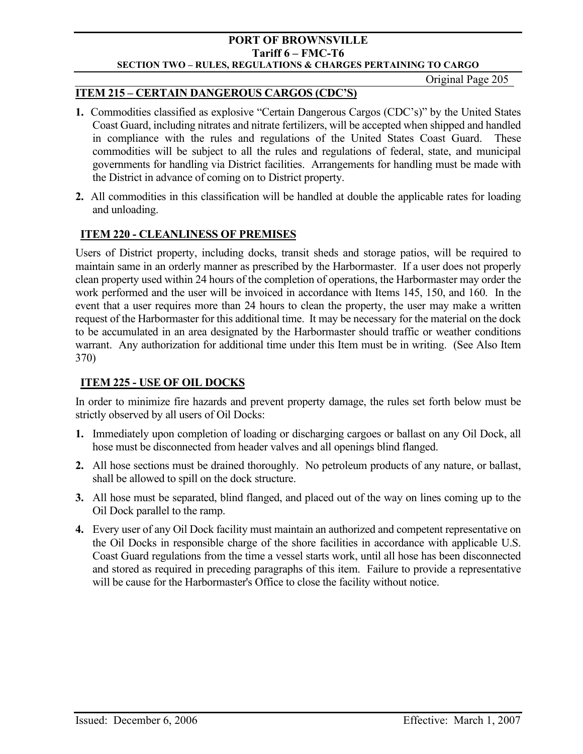Original Page 205

## **ITEM 215 – CERTAIN DANGEROUS CARGOS (CDC'S)**

- **1.** Commodities classified as explosive "Certain Dangerous Cargos (CDC's)" by the United States Coast Guard, including nitrates and nitrate fertilizers, will be accepted when shipped and handled in compliance with the rules and regulations of the United States Coast Guard. These commodities will be subject to all the rules and regulations of federal, state, and municipal governments for handling via District facilities. Arrangements for handling must be made with the District in advance of coming on to District property.
- **2.** All commodities in this classification will be handled at double the applicable rates for loading and unloading.

## **ITEM 220 - CLEANLINESS OF PREMISES**

Users of District property, including docks, transit sheds and storage patios, will be required to maintain same in an orderly manner as prescribed by the Harbormaster. If a user does not properly clean property used within 24 hours of the completion of operations, the Harbormaster may order the work performed and the user will be invoiced in accordance with Items 145, 150, and 160. In the event that a user requires more than 24 hours to clean the property, the user may make a written request of the Harbormaster for this additional time. It may be necessary for the material on the dock to be accumulated in an area designated by the Harbormaster should traffic or weather conditions warrant. Any authorization for additional time under this Item must be in writing. (See Also Item 370)

## **ITEM 225 - USE OF OIL DOCKS**

In order to minimize fire hazards and prevent property damage, the rules set forth below must be strictly observed by all users of Oil Docks:

- **1.** Immediately upon completion of loading or discharging cargoes or ballast on any Oil Dock, all hose must be disconnected from header valves and all openings blind flanged.
- **2.** All hose sections must be drained thoroughly. No petroleum products of any nature, or ballast, shall be allowed to spill on the dock structure.
- **3.** All hose must be separated, blind flanged, and placed out of the way on lines coming up to the Oil Dock parallel to the ramp.
- **4.** Every user of any Oil Dock facility must maintain an authorized and competent representative on the Oil Docks in responsible charge of the shore facilities in accordance with applicable U.S. Coast Guard regulations from the time a vessel starts work, until all hose has been disconnected and stored as required in preceding paragraphs of this item. Failure to provide a representative will be cause for the Harbormaster's Office to close the facility without notice.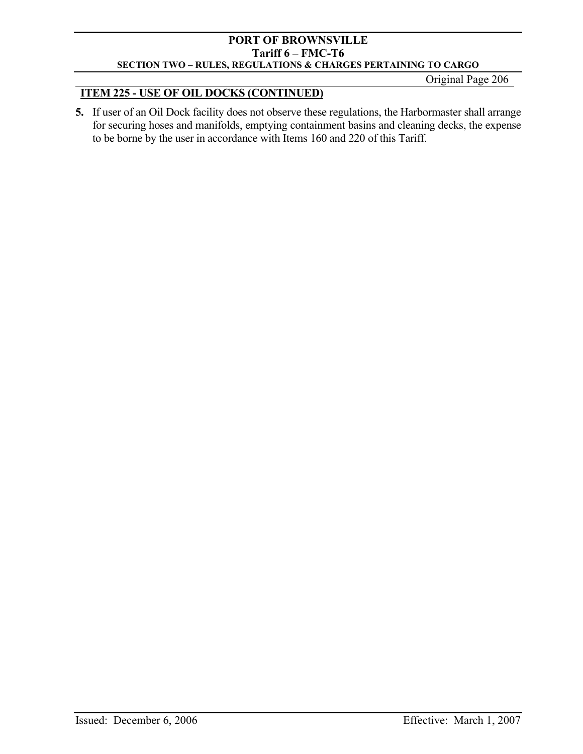Original Page 206

# **ITEM 225 - USE OF OIL DOCKS (CONTINUED)**

**5.** If user of an Oil Dock facility does not observe these regulations, the Harbormaster shall arrange for securing hoses and manifolds, emptying containment basins and cleaning decks, the expense to be borne by the user in accordance with Items 160 and 220 of this Tariff.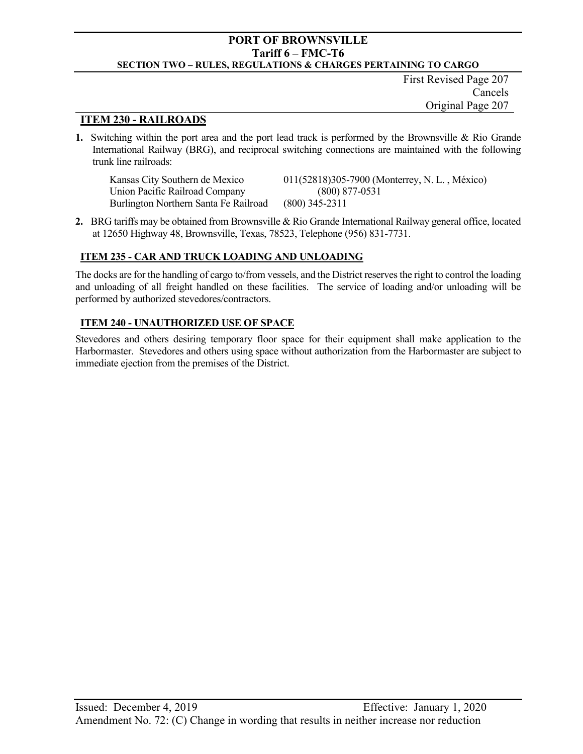First Revised Page 207 Cancels Original Page 207

### **ITEM 230 - RAILROADS**

**1.** Switching within the port area and the port lead track is performed by the Brownsville & Rio Grande International Railway (BRG), and reciprocal switching connections are maintained with the following trunk line railroads:

Kansas City Southern de Mexico 011(52818)305-7900 (Monterrey, N. L. , México) Union Pacific Railroad Company (800) 877-0531 Burlington Northern Santa Fe Railroad (800) 345-2311

**2.** BRG tariffs may be obtained from Brownsville & Rio Grande International Railway general office, located at 12650 Highway 48, Brownsville, Texas, 78523, Telephone (956) 831-7731.

#### **ITEM 235 - CAR AND TRUCK LOADING AND UNLOADING**

The docks are for the handling of cargo to/from vessels, and the District reserves the right to control the loading and unloading of all freight handled on these facilities. The service of loading and/or unloading will be performed by authorized stevedores/contractors.

#### **ITEM 240 - UNAUTHORIZED USE OF SPACE**

Stevedores and others desiring temporary floor space for their equipment shall make application to the Harbormaster. Stevedores and others using space without authorization from the Harbormaster are subject to immediate ejection from the premises of the District.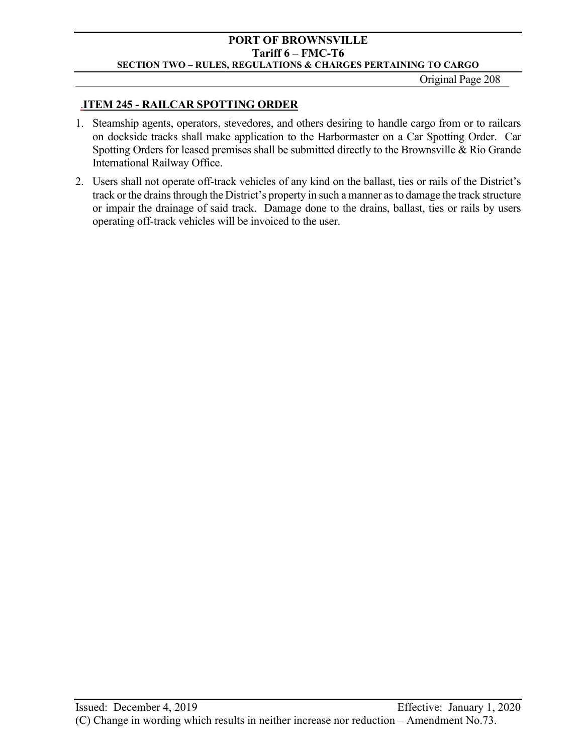Original Page 208

## .**ITEM 245 - RAILCAR SPOTTING ORDER**

- 1. Steamship agents, operators, stevedores, and others desiring to handle cargo from or to railcars on dockside tracks shall make application to the Harbormaster on a Car Spotting Order. Car Spotting Orders for leased premises shall be submitted directly to the Brownsville & Rio Grande International Railway Office.
- 2. Users shall not operate off-track vehicles of any kind on the ballast, ties or rails of the District's track or the drains through the District's property in such a manner as to damage the track structure or impair the drainage of said track. Damage done to the drains, ballast, ties or rails by users operating off-track vehicles will be invoiced to the user.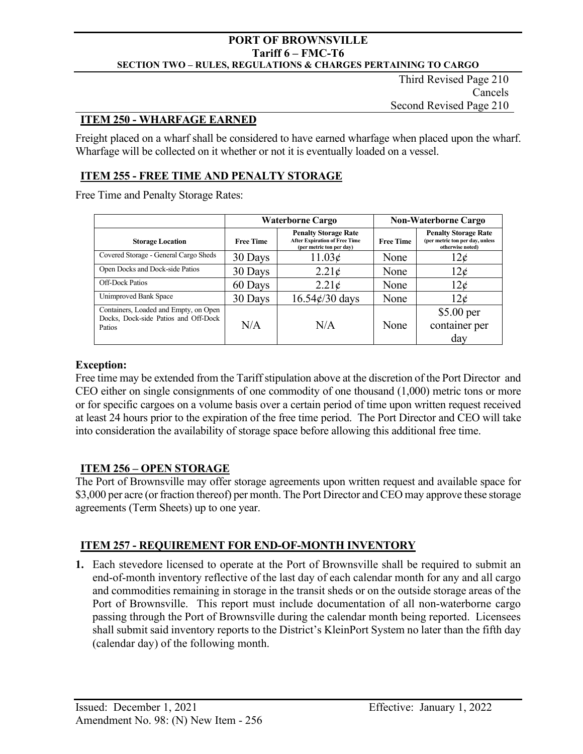Third Revised Page 210 Cancels Second Revised Page 210

## **ITEM 250 - WHARFAGE EARNED**

Freight placed on a wharf shall be considered to have earned wharfage when placed upon the wharf. Wharfage will be collected on it whether or not it is eventually loaded on a vessel.

## **ITEM 255 - FREE TIME AND PENALTY STORAGE**

Free Time and Penalty Storage Rates:

|                                                                                         | <b>Waterborne Cargo</b> |                                                                                                 | <b>Non-Waterborne Cargo</b> |                                                                                    |
|-----------------------------------------------------------------------------------------|-------------------------|-------------------------------------------------------------------------------------------------|-----------------------------|------------------------------------------------------------------------------------|
| <b>Storage Location</b>                                                                 | <b>Free Time</b>        | <b>Penalty Storage Rate</b><br><b>After Expiration of Free Time</b><br>(per metric ton per day) | <b>Free Time</b>            | <b>Penalty Storage Rate</b><br>(per metric ton per day, unless<br>otherwise noted) |
| Covered Storage - General Cargo Sheds                                                   | 30 Days                 | 11.03¢                                                                                          | None                        | 12¢                                                                                |
| Open Docks and Dock-side Patios                                                         | 30 Days                 | $2.21\epsilon$                                                                                  | None                        | $12\epsilon$                                                                       |
| <b>Off-Dock Patios</b>                                                                  | 60 Days                 | $2.21\epsilon$                                                                                  | None                        | 12 <sub>c</sub>                                                                    |
| Unimproved Bank Space                                                                   | 30 Days                 | $16.54\epsilon/30$ days                                                                         | None                        | 12 <sub>c</sub>                                                                    |
| Containers, Loaded and Empty, on Open<br>Docks, Dock-side Patios and Off-Dock<br>Patios | N/A                     | N/A                                                                                             | None                        | $$5.00$ per<br>container per<br>day                                                |

## **Exception:**

Free time may be extended from the Tariff stipulation above at the discretion of the Port Director and CEO either on single consignments of one commodity of one thousand (1,000) metric tons or more or for specific cargoes on a volume basis over a certain period of time upon written request received at least 24 hours prior to the expiration of the free time period. The Port Director and CEO will take into consideration the availability of storage space before allowing this additional free time.

## **ITEM 256 – OPEN STORAGE**

The Port of Brownsville may offer storage agreements upon written request and available space for \$3,000 per acre (or fraction thereof) per month. The Port Director and CEO may approve these storage agreements (Term Sheets) up to one year.

## **ITEM 257 - REQUIREMENT FOR END-OF-MONTH INVENTORY**

**1.** Each stevedore licensed to operate at the Port of Brownsville shall be required to submit an end-of-month inventory reflective of the last day of each calendar month for any and all cargo and commodities remaining in storage in the transit sheds or on the outside storage areas of the Port of Brownsville. This report must include documentation of all non-waterborne cargo passing through the Port of Brownsville during the calendar month being reported. Licensees shall submit said inventory reports to the District's KleinPort System no later than the fifth day (calendar day) of the following month.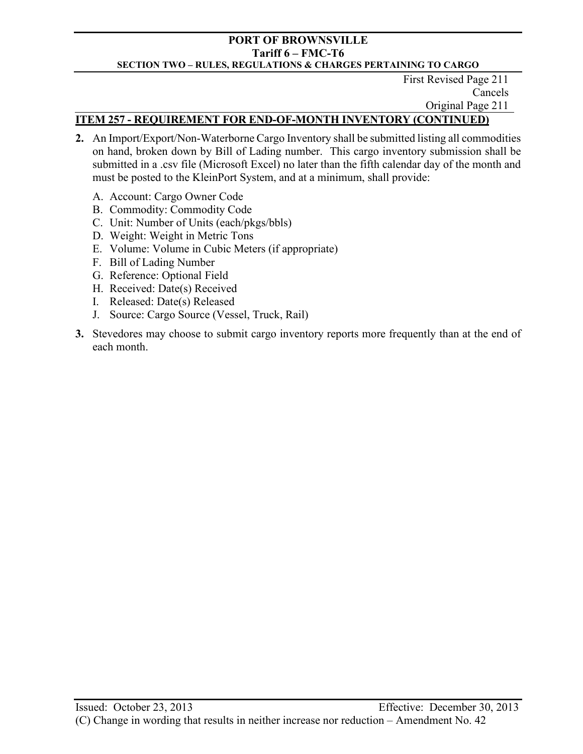First Revised Page 211 Cancels Original Page 211

# **ITEM 257 - REQUIREMENT FOR END-OF-MONTH INVENTORY (CONTINUED)**

- **2.** An Import/Export/Non-Waterborne Cargo Inventory shall be submitted listing all commodities on hand, broken down by Bill of Lading number. This cargo inventory submission shall be submitted in a .csv file (Microsoft Excel) no later than the fifth calendar day of the month and must be posted to the KleinPort System, and at a minimum, shall provide:
	- A. Account: Cargo Owner Code
	- B. Commodity: Commodity Code
	- C. Unit: Number of Units (each/pkgs/bbls)
	- D. Weight: Weight in Metric Tons
	- E. Volume: Volume in Cubic Meters (if appropriate)
	- F. Bill of Lading Number
	- G. Reference: Optional Field
	- H. Received: Date(s) Received
	- I. Released: Date(s) Released
	- J. Source: Cargo Source (Vessel, Truck, Rail)
- **3.** Stevedores may choose to submit cargo inventory reports more frequently than at the end of each month.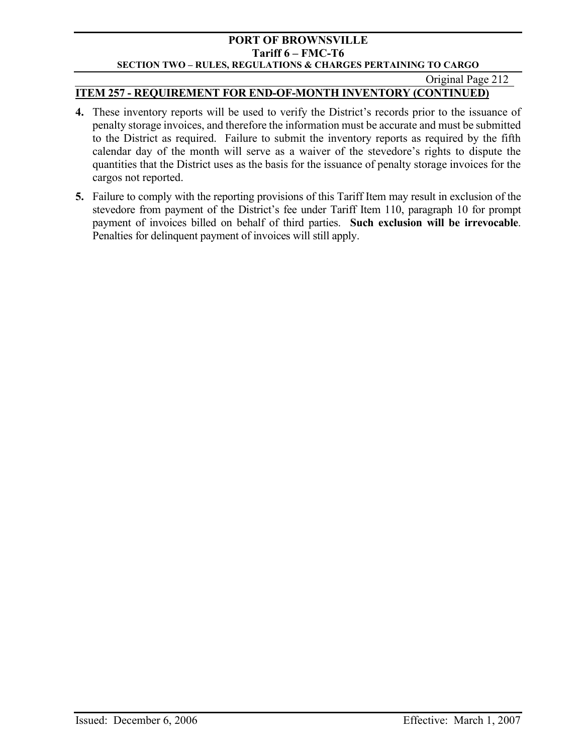### Original Page 212

# **ITEM 257 - REQUIREMENT FOR END-OF-MONTH INVENTORY (CONTINUED)**

- **4.** These inventory reports will be used to verify the District's records prior to the issuance of penalty storage invoices, and therefore the information must be accurate and must be submitted to the District as required. Failure to submit the inventory reports as required by the fifth calendar day of the month will serve as a waiver of the stevedore's rights to dispute the quantities that the District uses as the basis for the issuance of penalty storage invoices for the cargos not reported.
- **5.** Failure to comply with the reporting provisions of this Tariff Item may result in exclusion of the stevedore from payment of the District's fee under Tariff Item 110, paragraph 10 for prompt payment of invoices billed on behalf of third parties. **Such exclusion will be irrevocable**. Penalties for delinquent payment of invoices will still apply.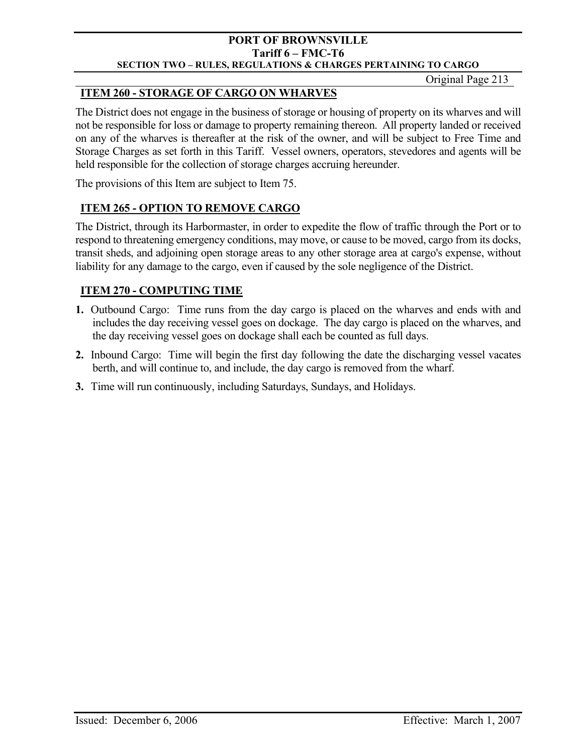Original Page 213

# **ITEM 260 - STORAGE OF CARGO ON WHARVES**

The District does not engage in the business of storage or housing of property on its wharves and will not be responsible for loss or damage to property remaining thereon. All property landed or received on any of the wharves is thereafter at the risk of the owner, and will be subject to Free Time and Storage Charges as set forth in this Tariff. Vessel owners, operators, stevedores and agents will be held responsible for the collection of storage charges accruing hereunder.

The provisions of this Item are subject to Item 75.

# **ITEM 265 - OPTION TO REMOVE CARGO**

The District, through its Harbormaster, in order to expedite the flow of traffic through the Port or to respond to threatening emergency conditions, may move, or cause to be moved, cargo from its docks, transit sheds, and adjoining open storage areas to any other storage area at cargo's expense, without liability for any damage to the cargo, even if caused by the sole negligence of the District.

# **ITEM 270 - COMPUTING TIME**

- **1.** Outbound Cargo: Time runs from the day cargo is placed on the wharves and ends with and includes the day receiving vessel goes on dockage. The day cargo is placed on the wharves, and the day receiving vessel goes on dockage shall each be counted as full days.
- **2.** Inbound Cargo: Time will begin the first day following the date the discharging vessel vacates berth, and will continue to, and include, the day cargo is removed from the wharf.
- **3.** Time will run continuously, including Saturdays, Sundays, and Holidays.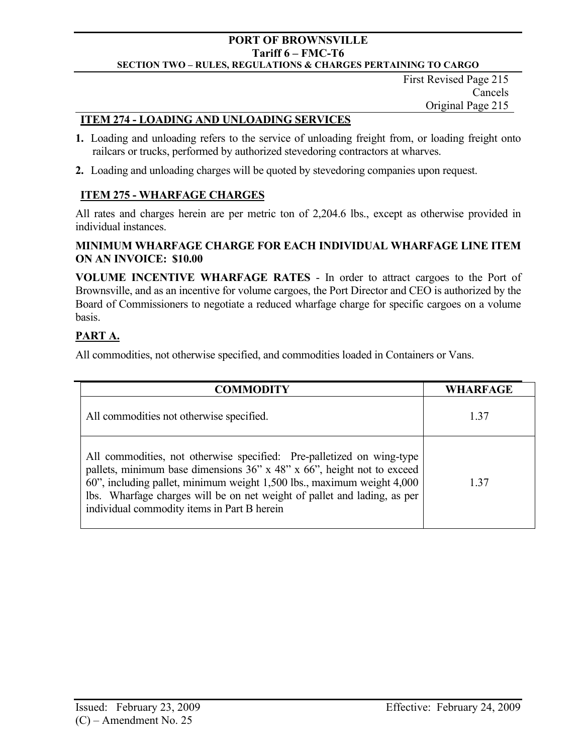First Revised Page 215 Cancels Original Page 215

## **ITEM 274 - LOADING AND UNLOADING SERVICES**

- **1.** Loading and unloading refers to the service of unloading freight from, or loading freight onto railcars or trucks, performed by authorized stevedoring contractors at wharves.
- **2.** Loading and unloading charges will be quoted by stevedoring companies upon request.

# **ITEM 275 - WHARFAGE CHARGES**

All rates and charges herein are per metric ton of 2,204.6 lbs., except as otherwise provided in individual instances.

## **MINIMUM WHARFAGE CHARGE FOR EACH INDIVIDUAL WHARFAGE LINE ITEM ON AN INVOICE: \$10.00**

**VOLUME INCENTIVE WHARFAGE RATES** - In order to attract cargoes to the Port of Brownsville, and as an incentive for volume cargoes, the Port Director and CEO is authorized by the Board of Commissioners to negotiate a reduced wharfage charge for specific cargoes on a volume basis.

# **PART A.**

All commodities, not otherwise specified, and commodities loaded in Containers or Vans.

| <b>COMMODITY</b>                                                                                                                                                                                                                                                                                                                                     | <b>WHARFAGE</b> |
|------------------------------------------------------------------------------------------------------------------------------------------------------------------------------------------------------------------------------------------------------------------------------------------------------------------------------------------------------|-----------------|
| All commodities not otherwise specified.                                                                                                                                                                                                                                                                                                             | 1.37            |
| All commodities, not otherwise specified: Pre-palletized on wing-type<br>pallets, minimum base dimensions 36" x 48" x 66", height not to exceed<br>60", including pallet, minimum weight 1,500 lbs., maximum weight 4,000<br>lbs. Wharfage charges will be on net weight of pallet and lading, as per<br>individual commodity items in Part B herein | 1.37            |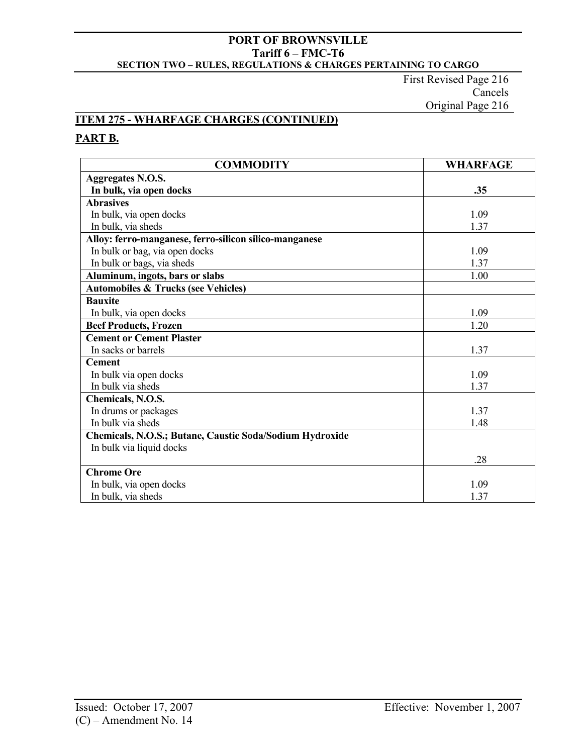First Revised Page 216 Cancels Original Page 216

## **ITEM 275 - WHARFAGE CHARGES (CONTINUED)**

# **PART B.**

| <b>COMMODITY</b>                                         | <b>WHARFAGE</b> |
|----------------------------------------------------------|-----------------|
| <b>Aggregates N.O.S.</b>                                 |                 |
| In bulk, via open docks                                  | .35             |
| <b>Abrasives</b>                                         |                 |
| In bulk, via open docks                                  | 1.09            |
| In bulk, via sheds                                       | 1.37            |
| Alloy: ferro-manganese, ferro-silicon silico-manganese   |                 |
| In bulk or bag, via open docks                           | 1.09            |
| In bulk or bags, via sheds                               | 1.37            |
| Aluminum, ingots, bars or slabs                          | 1.00            |
| <b>Automobiles &amp; Trucks (see Vehicles)</b>           |                 |
| <b>Bauxite</b>                                           |                 |
| In bulk, via open docks                                  | 1.09            |
| <b>Beef Products, Frozen</b>                             | 1.20            |
| <b>Cement or Cement Plaster</b>                          |                 |
| In sacks or barrels                                      | 1.37            |
| <b>Cement</b>                                            |                 |
| In bulk via open docks                                   | 1.09            |
| In bulk via sheds                                        | 1.37            |
| Chemicals, N.O.S.                                        |                 |
| In drums or packages                                     | 1.37            |
| In bulk via sheds                                        | 1.48            |
| Chemicals, N.O.S.; Butane, Caustic Soda/Sodium Hydroxide |                 |
| In bulk via liquid docks                                 |                 |
|                                                          | .28             |
| <b>Chrome Ore</b>                                        |                 |
| In bulk, via open docks                                  | 1.09            |
| In bulk, via sheds                                       | 1.37            |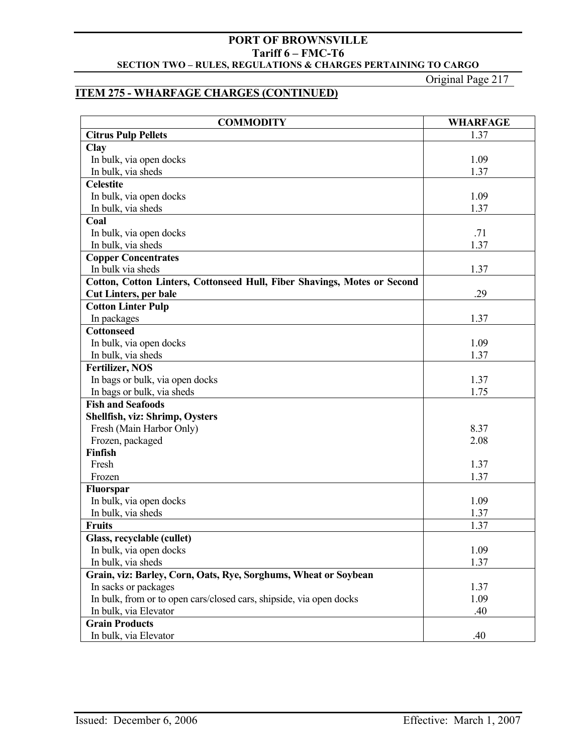Original Page 217

# **ITEM 275 - WHARFAGE CHARGES (CONTINUED)**

| <b>COMMODITY</b>                                                         | <b>WHARFAGE</b> |
|--------------------------------------------------------------------------|-----------------|
| <b>Citrus Pulp Pellets</b>                                               | 1.37            |
| <b>Clay</b>                                                              |                 |
| In bulk, via open docks                                                  | 1.09            |
| In bulk, via sheds                                                       | 1.37            |
| <b>Celestite</b>                                                         |                 |
| In bulk, via open docks                                                  | 1.09            |
| In bulk, via sheds                                                       | 1.37            |
| Coal                                                                     |                 |
| In bulk, via open docks                                                  | .71             |
| In bulk, via sheds                                                       | 1.37            |
| <b>Copper Concentrates</b>                                               |                 |
| In bulk via sheds                                                        | 1.37            |
| Cotton, Cotton Linters, Cottonseed Hull, Fiber Shavings, Motes or Second |                 |
| <b>Cut Linters, per bale</b>                                             | .29             |
| <b>Cotton Linter Pulp</b>                                                |                 |
| In packages                                                              | 1.37            |
| <b>Cottonseed</b>                                                        |                 |
| In bulk, via open docks                                                  | 1.09            |
| In bulk, via sheds                                                       | 1.37            |
| <b>Fertilizer, NOS</b>                                                   |                 |
| In bags or bulk, via open docks                                          | 1.37            |
| In bags or bulk, via sheds                                               | 1.75            |
| <b>Fish and Seafoods</b>                                                 |                 |
| Shellfish, viz: Shrimp, Oysters                                          |                 |
| Fresh (Main Harbor Only)                                                 | 8.37            |
| Frozen, packaged                                                         | 2.08            |
| Finfish                                                                  |                 |
| Fresh                                                                    | 1.37            |
| Frozen                                                                   | 1.37            |
| <b>Fluorspar</b>                                                         |                 |
| In bulk, via open docks                                                  | 1.09            |
| In bulk, via sheds                                                       | 1.37            |
| <b>Fruits</b>                                                            | 1.37            |
| Glass, recyclable (cullet)                                               |                 |
| In bulk, via open docks                                                  | 1.09            |
| In bulk, via sheds                                                       | 1.37            |
| Grain, viz: Barley, Corn, Oats, Rye, Sorghums, Wheat or Soybean          |                 |
| In sacks or packages                                                     | 1.37            |
| In bulk, from or to open cars/closed cars, shipside, via open docks      | 1.09            |
| In bulk, via Elevator                                                    | .40             |
| <b>Grain Products</b>                                                    |                 |
| In bulk, via Elevator                                                    | .40             |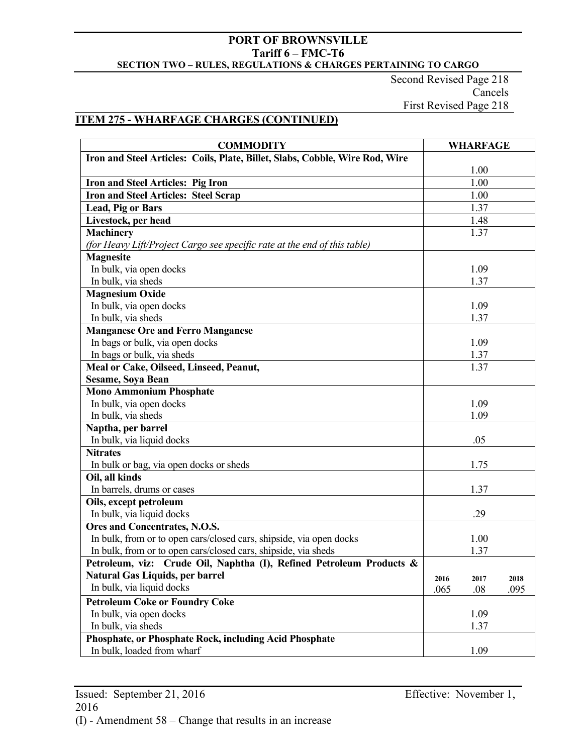Second Revised Page 218 Cancels First Revised Page 218

## **ITEM 275 - WHARFAGE CHARGES (CONTINUED)**

| <b>COMMODITY</b>                                                             |      | <b>WHARFAGE</b> |      |
|------------------------------------------------------------------------------|------|-----------------|------|
| Iron and Steel Articles: Coils, Plate, Billet, Slabs, Cobble, Wire Rod, Wire |      |                 |      |
|                                                                              |      | 1.00            |      |
| Iron and Steel Articles: Pig Iron                                            |      | 1.00            |      |
| <b>Iron and Steel Articles: Steel Scrap</b>                                  |      | 1.00            |      |
| <b>Lead, Pig or Bars</b>                                                     |      | 1.37            |      |
| Livestock, per head                                                          |      | 1.48            |      |
| <b>Machinery</b>                                                             |      | 1.37            |      |
| (for Heavy Lift/Project Cargo see specific rate at the end of this table)    |      |                 |      |
| <b>Magnesite</b>                                                             |      |                 |      |
| In bulk, via open docks                                                      |      | 1.09            |      |
| In bulk, via sheds                                                           |      | 1.37            |      |
| <b>Magnesium Oxide</b>                                                       |      |                 |      |
| In bulk, via open docks                                                      |      | 1.09            |      |
| In bulk, via sheds                                                           |      | 1.37            |      |
| <b>Manganese Ore and Ferro Manganese</b>                                     |      |                 |      |
| In bags or bulk, via open docks                                              |      | 1.09            |      |
| In bags or bulk, via sheds                                                   |      | 1.37            |      |
| Meal or Cake, Oilseed, Linseed, Peanut,                                      |      | 1.37            |      |
| <b>Sesame, Soya Bean</b>                                                     |      |                 |      |
| <b>Mono Ammonium Phosphate</b>                                               |      |                 |      |
| In bulk, via open docks                                                      |      | 1.09            |      |
| In bulk, via sheds                                                           |      | 1.09            |      |
| Naptha, per barrel                                                           |      |                 |      |
| In bulk, via liquid docks                                                    |      | .05             |      |
| <b>Nitrates</b>                                                              |      |                 |      |
| In bulk or bag, via open docks or sheds                                      |      | 1.75            |      |
| Oil, all kinds                                                               |      |                 |      |
| In barrels, drums or cases                                                   |      | 1.37            |      |
| Oils, except petroleum                                                       |      |                 |      |
| In bulk, via liquid docks                                                    |      | .29             |      |
| Ores and Concentrates, N.O.S.                                                |      |                 |      |
| In bulk, from or to open cars/closed cars, shipside, via open docks          |      | 1.00            |      |
| In bulk, from or to open cars/closed cars, shipside, via sheds               |      | 1.37            |      |
| Petroleum, viz: Crude Oil, Naphtha (I), Refined Petroleum Products &         |      |                 |      |
| <b>Natural Gas Liquids, per barrel</b>                                       | 2016 | 2017            | 2018 |
| In bulk, via liquid docks                                                    | .065 | .08             | .095 |
| <b>Petroleum Coke or Foundry Coke</b>                                        |      |                 |      |
| In bulk, via open docks                                                      |      | 1.09            |      |
| In bulk, via sheds                                                           |      | 1.37            |      |
| Phosphate, or Phosphate Rock, including Acid Phosphate                       |      |                 |      |
| In bulk, loaded from wharf                                                   |      | 1.09            |      |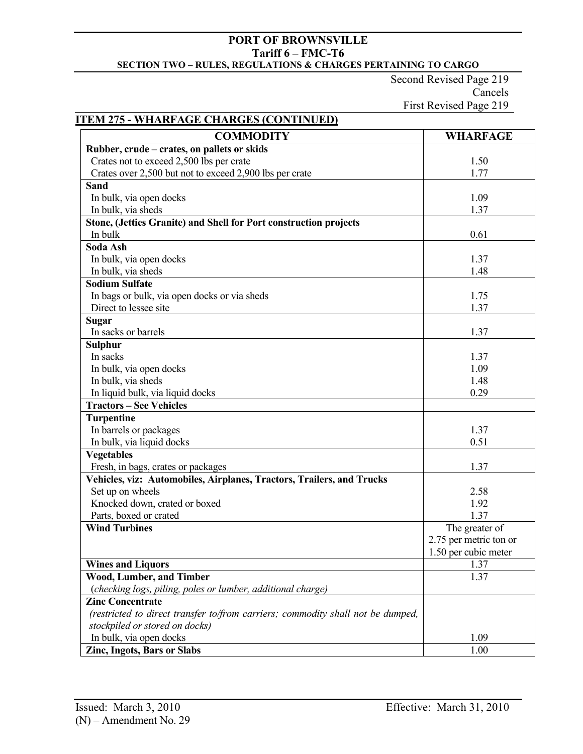Second Revised Page 219 Cancels First Revised Page 219

## **ITEM 275 - WHARFAGE CHARGES (CONTINUED)**

| <b>COMMODITY</b>                                                                | <b>WHARFAGE</b>        |
|---------------------------------------------------------------------------------|------------------------|
| Rubber, crude – crates, on pallets or skids                                     |                        |
| Crates not to exceed 2,500 lbs per crate                                        | 1.50                   |
| Crates over 2,500 but not to exceed 2,900 lbs per crate                         | 1.77                   |
| <b>Sand</b>                                                                     |                        |
| In bulk, via open docks                                                         | 1.09                   |
| In bulk, via sheds                                                              | 1.37                   |
| Stone, (Jetties Granite) and Shell for Port construction projects               |                        |
| In bulk                                                                         | 0.61                   |
| Soda Ash                                                                        |                        |
| In bulk, via open docks                                                         | 1.37                   |
| In bulk, via sheds                                                              | 1.48                   |
| <b>Sodium Sulfate</b>                                                           |                        |
| In bags or bulk, via open docks or via sheds                                    | 1.75                   |
| Direct to lessee site                                                           | 1.37                   |
| <b>Sugar</b>                                                                    |                        |
| In sacks or barrels                                                             | 1.37                   |
| <b>Sulphur</b>                                                                  |                        |
| In sacks                                                                        | 1.37                   |
| In bulk, via open docks                                                         | 1.09                   |
| In bulk, via sheds                                                              | 1.48                   |
| In liquid bulk, via liquid docks                                                | 0.29                   |
| <b>Tractors - See Vehicles</b>                                                  |                        |
| <b>Turpentine</b>                                                               |                        |
| In barrels or packages                                                          | 1.37                   |
| In bulk, via liquid docks                                                       | 0.51                   |
| <b>Vegetables</b>                                                               |                        |
| Fresh, in bags, crates or packages                                              | 1.37                   |
| Vehicles, viz: Automobiles, Airplanes, Tractors, Trailers, and Trucks           |                        |
| Set up on wheels                                                                | 2.58                   |
| Knocked down, crated or boxed                                                   | 1.92                   |
| Parts, boxed or crated                                                          | 1.37                   |
| <b>Wind Turbines</b>                                                            | The greater of         |
|                                                                                 | 2.75 per metric ton or |
|                                                                                 | 1.50 per cubic meter   |
| <b>Wines and Liquors</b>                                                        | 1.37                   |
| Wood, Lumber, and Timber                                                        | 1.37                   |
| (checking logs, piling, poles or lumber, additional charge)                     |                        |
| <b>Zinc Concentrate</b>                                                         |                        |
| (restricted to direct transfer to/from carriers; commodity shall not be dumped, |                        |
| stockpiled or stored on docks)                                                  |                        |
| In bulk, via open docks                                                         | 1.09                   |
| Zinc, Ingots, Bars or Slabs                                                     | 1.00                   |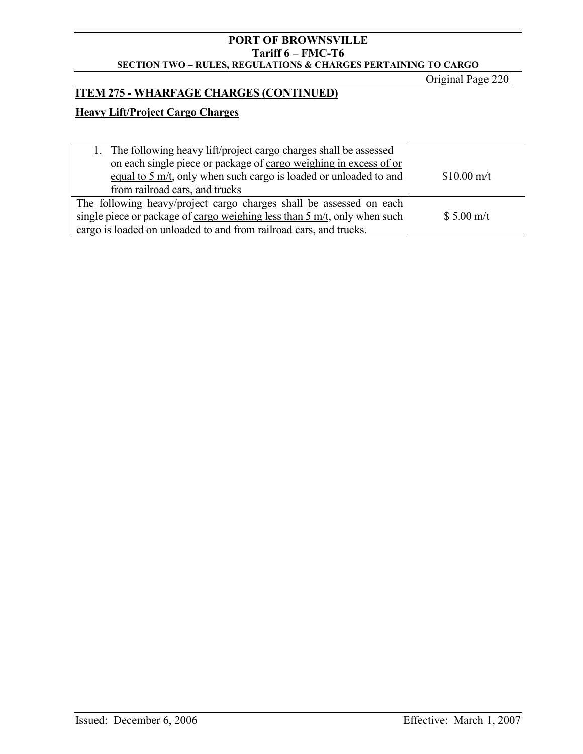Original Page 220

# **ITEM 275 - WHARFAGE CHARGES (CONTINUED)**

# **Heavy Lift/Project Cargo Charges**

| 1. The following heavy lift/project cargo charges shall be assessed                  |                      |
|--------------------------------------------------------------------------------------|----------------------|
| on each single piece or package of cargo weighing in excess of or                    |                      |
| equal to $5 \text{ m/t}$ , only when such cargo is loaded or unloaded to and         | $$10.00 \text{ m/t}$ |
| from railroad cars, and trucks                                                       |                      |
| The following heavy/project cargo charges shall be assessed on each                  |                      |
| single piece or package of cargo weighing less than $5 \text{ m/t}$ , only when such | $$5.00 \text{ m/t}$  |
| cargo is loaded on unloaded to and from railroad cars, and trucks.                   |                      |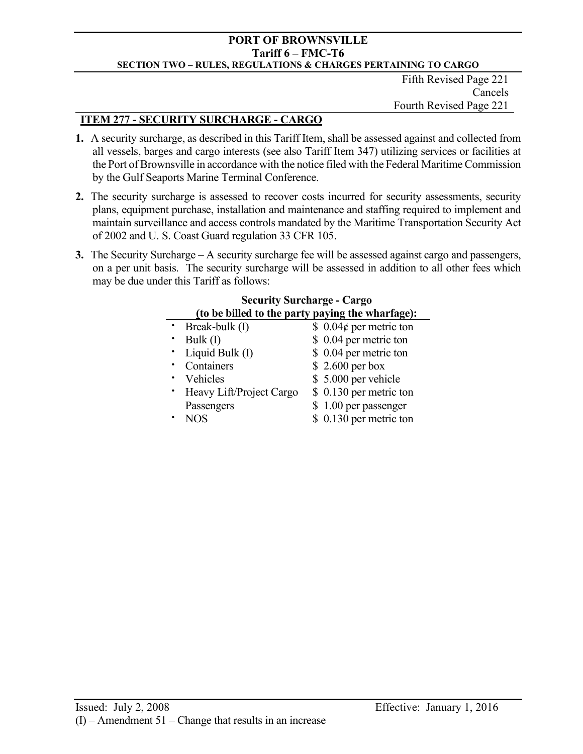Fifth Revised Page 221 Cancels Fourth Revised Page 221

# **ITEM 277 - SECURITY SURCHARGE - CARGO**

- **1.** A security surcharge, as described in this Tariff Item, shall be assessed against and collected from all vessels, barges and cargo interests (see also Tariff Item 347) utilizing services or facilities at the Port of Brownsville in accordance with the notice filed with the Federal Maritime Commission by the Gulf Seaports Marine Terminal Conference.
- **2.** The security surcharge is assessed to recover costs incurred for security assessments, security plans, equipment purchase, installation and maintenance and staffing required to implement and maintain surveillance and access controls mandated by the Maritime Transportation Security Act of 2002 and U. S. Coast Guard regulation 33 CFR 105.
- **3.** The Security Surcharge A security surcharge fee will be assessed against cargo and passengers, on a per unit basis. The security surcharge will be assessed in addition to all other fees which may be due under this Tariff as follows:

| <b>Security Surcharge - Cargo</b>                |                               |  |  |  |
|--------------------------------------------------|-------------------------------|--|--|--|
| (to be billed to the party paying the wharfage): |                               |  |  |  |
| • Break-bulk $(I)$                               | \$ 0.04 $\phi$ per metric ton |  |  |  |
| Bulk $(I)$                                       | \$ 0.04 per metric ton        |  |  |  |
| · Liquid Bulk (I)                                | \$ 0.04 per metric ton        |  |  |  |
| Containers                                       | $$2.600$ per box              |  |  |  |
| Vehicles                                         | \$5.000 per vehicle           |  |  |  |
| • Heavy Lift/Project Cargo                       | \$ 0.130 per metric ton       |  |  |  |
| Passengers                                       | \$1.00 per passenger          |  |  |  |
| <b>NOS</b>                                       | \$ 0.130 per metric ton       |  |  |  |
|                                                  |                               |  |  |  |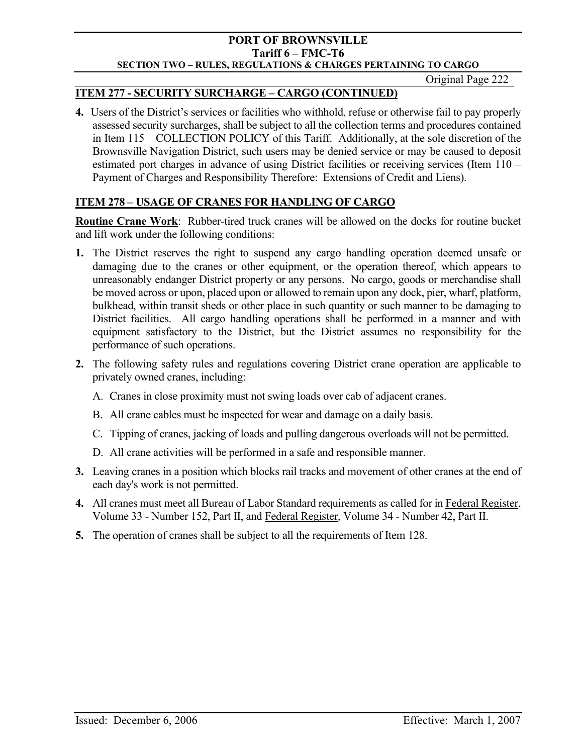Original Page 222

# **ITEM 277 - SECURITY SURCHARGE – CARGO (CONTINUED)**

**4.** Users of the District's services or facilities who withhold, refuse or otherwise fail to pay properly assessed security surcharges, shall be subject to all the collection terms and procedures contained in Item 115 – COLLECTION POLICY of this Tariff. Additionally, at the sole discretion of the Brownsville Navigation District, such users may be denied service or may be caused to deposit estimated port charges in advance of using District facilities or receiving services (Item 110 – Payment of Charges and Responsibility Therefore: Extensions of Credit and Liens).

# **ITEM 278 – USAGE OF CRANES FOR HANDLING OF CARGO**

**Routine Crane Work**: Rubber-tired truck cranes will be allowed on the docks for routine bucket and lift work under the following conditions:

- **1.** The District reserves the right to suspend any cargo handling operation deemed unsafe or damaging due to the cranes or other equipment, or the operation thereof, which appears to unreasonably endanger District property or any persons. No cargo, goods or merchandise shall be moved across or upon, placed upon or allowed to remain upon any dock, pier, wharf, platform, bulkhead, within transit sheds or other place in such quantity or such manner to be damaging to District facilities. All cargo handling operations shall be performed in a manner and with equipment satisfactory to the District, but the District assumes no responsibility for the performance of such operations.
- **2.** The following safety rules and regulations covering District crane operation are applicable to privately owned cranes, including:
	- A. Cranes in close proximity must not swing loads over cab of adjacent cranes.
	- B. All crane cables must be inspected for wear and damage on a daily basis.
	- C. Tipping of cranes, jacking of loads and pulling dangerous overloads will not be permitted.
	- D. All crane activities will be performed in a safe and responsible manner.
- **3.** Leaving cranes in a position which blocks rail tracks and movement of other cranes at the end of each day's work is not permitted.
- **4.** All cranes must meet all Bureau of Labor Standard requirements as called for in Federal Register, Volume 33 - Number 152, Part II, and Federal Register, Volume 34 - Number 42, Part II.
- **5.** The operation of cranes shall be subject to all the requirements of Item 128.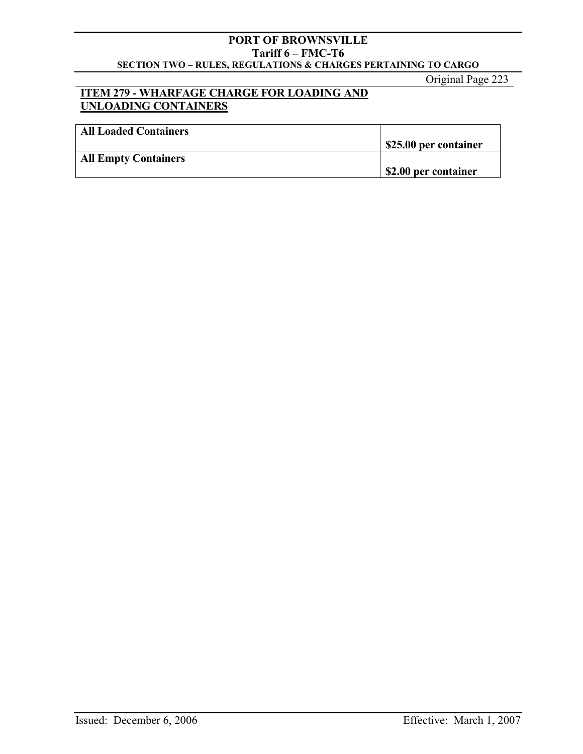Original Page 223

# **ITEM 279 - WHARFAGE CHARGE FOR LOADING AND UNLOADING CONTAINERS**

| <b>All Loaded Containers</b> |                       |
|------------------------------|-----------------------|
|                              | \$25.00 per container |
| <b>All Empty Containers</b>  |                       |
|                              | \$2.00 per container  |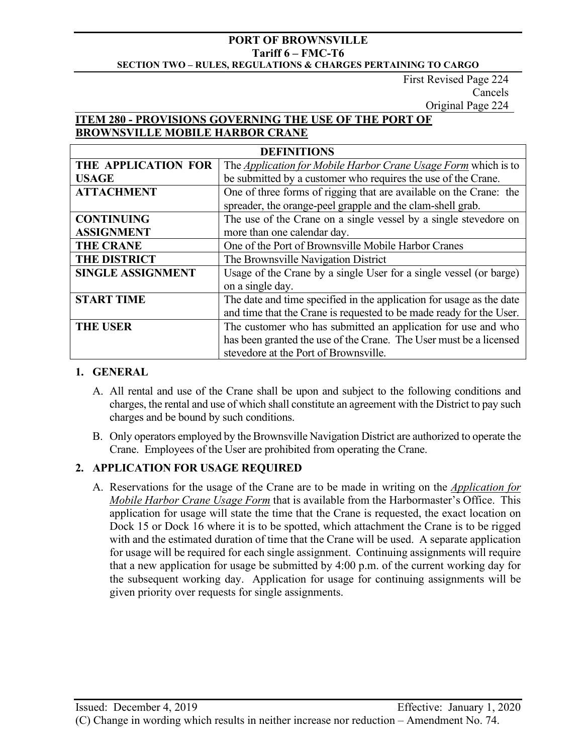First Revised Page 224 Cancels Original Page 224

# **ITEM 280 - PROVISIONS GOVERNING THE USE OF THE PORT OF BROWNSVILLE MOBILE HARBOR CRANE**

| <b>DEFINITIONS</b>       |                                                                      |  |  |  |
|--------------------------|----------------------------------------------------------------------|--|--|--|
| THE APPLICATION FOR      | The Application for Mobile Harbor Crane Usage Form which is to       |  |  |  |
| <b>USAGE</b>             | be submitted by a customer who requires the use of the Crane.        |  |  |  |
| <b>ATTACHMENT</b>        | One of three forms of rigging that are available on the Crane: the   |  |  |  |
|                          | spreader, the orange-peel grapple and the clam-shell grab.           |  |  |  |
| <b>CONTINUING</b>        | The use of the Crane on a single vessel by a single stevedore on     |  |  |  |
| <b>ASSIGNMENT</b>        | more than one calendar day.                                          |  |  |  |
| <b>THE CRANE</b>         | One of the Port of Brownsville Mobile Harbor Cranes                  |  |  |  |
| <b>THE DISTRICT</b>      | The Brownsville Navigation District                                  |  |  |  |
| <b>SINGLE ASSIGNMENT</b> | Usage of the Crane by a single User for a single vessel (or barge)   |  |  |  |
|                          | on a single day.                                                     |  |  |  |
| <b>START TIME</b>        | The date and time specified in the application for usage as the date |  |  |  |
|                          | and time that the Crane is requested to be made ready for the User.  |  |  |  |
| <b>THE USER</b>          | The customer who has submitted an application for use and who        |  |  |  |
|                          | has been granted the use of the Crane. The User must be a licensed   |  |  |  |
|                          |                                                                      |  |  |  |

# **1. GENERAL**

- A. All rental and use of the Crane shall be upon and subject to the following conditions and charges, the rental and use of which shall constitute an agreement with the District to pay such charges and be bound by such conditions.
- B. Only operators employed by the Brownsville Navigation District are authorized to operate the Crane. Employees of the User are prohibited from operating the Crane.

# **2. APPLICATION FOR USAGE REQUIRED**

A. Reservations for the usage of the Crane are to be made in writing on the *Application for Mobile Harbor Crane Usage Form* that is available from the Harbormaster's Office. This application for usage will state the time that the Crane is requested, the exact location on Dock 15 or Dock 16 where it is to be spotted, which attachment the Crane is to be rigged with and the estimated duration of time that the Crane will be used. A separate application for usage will be required for each single assignment. Continuing assignments will require that a new application for usage be submitted by 4:00 p.m. of the current working day for the subsequent working day. Application for usage for continuing assignments will be given priority over requests for single assignments.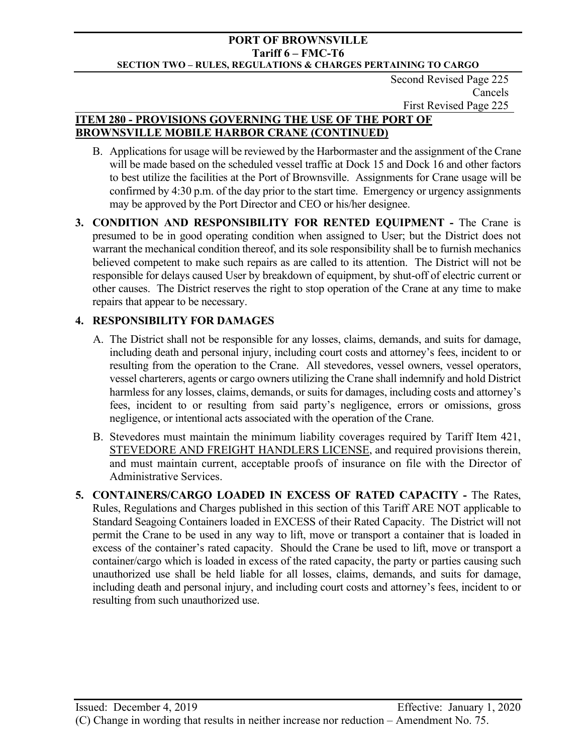Second Revised Page 225 Cancels First Revised Page 225

# **ITEM 280 - PROVISIONS GOVERNING THE USE OF THE PORT OF BROWNSVILLE MOBILE HARBOR CRANE (CONTINUED)**

- B. Applications for usage will be reviewed by the Harbormaster and the assignment of the Crane will be made based on the scheduled vessel traffic at Dock 15 and Dock 16 and other factors to best utilize the facilities at the Port of Brownsville. Assignments for Crane usage will be confirmed by 4:30 p.m. of the day prior to the start time. Emergency or urgency assignments may be approved by the Port Director and CEO or his/her designee.
- **3. CONDITION AND RESPONSIBILITY FOR RENTED EQUIPMENT** The Crane is presumed to be in good operating condition when assigned to User; but the District does not warrant the mechanical condition thereof, and its sole responsibility shall be to furnish mechanics believed competent to make such repairs as are called to its attention. The District will not be responsible for delays caused User by breakdown of equipment, by shut-off of electric current or other causes. The District reserves the right to stop operation of the Crane at any time to make repairs that appear to be necessary.

# **4. RESPONSIBILITY FOR DAMAGES**

- A. The District shall not be responsible for any losses, claims, demands, and suits for damage, including death and personal injury, including court costs and attorney's fees, incident to or resulting from the operation to the Crane. All stevedores, vessel owners, vessel operators, vessel charterers, agents or cargo owners utilizing the Crane shall indemnify and hold District harmless for any losses, claims, demands, or suits for damages, including costs and attorney's fees, incident to or resulting from said party's negligence, errors or omissions, gross negligence, or intentional acts associated with the operation of the Crane.
- B. Stevedores must maintain the minimum liability coverages required by Tariff Item 421, STEVEDORE AND FREIGHT HANDLERS LICENSE, and required provisions therein, and must maintain current, acceptable proofs of insurance on file with the Director of Administrative Services.
- **5. CONTAINERS/CARGO LOADED IN EXCESS OF RATED CAPACITY** The Rates, Rules, Regulations and Charges published in this section of this Tariff ARE NOT applicable to Standard Seagoing Containers loaded in EXCESS of their Rated Capacity. The District will not permit the Crane to be used in any way to lift, move or transport a container that is loaded in excess of the container's rated capacity. Should the Crane be used to lift, move or transport a container/cargo which is loaded in excess of the rated capacity, the party or parties causing such unauthorized use shall be held liable for all losses, claims, demands, and suits for damage, including death and personal injury, and including court costs and attorney's fees, incident to or resulting from such unauthorized use.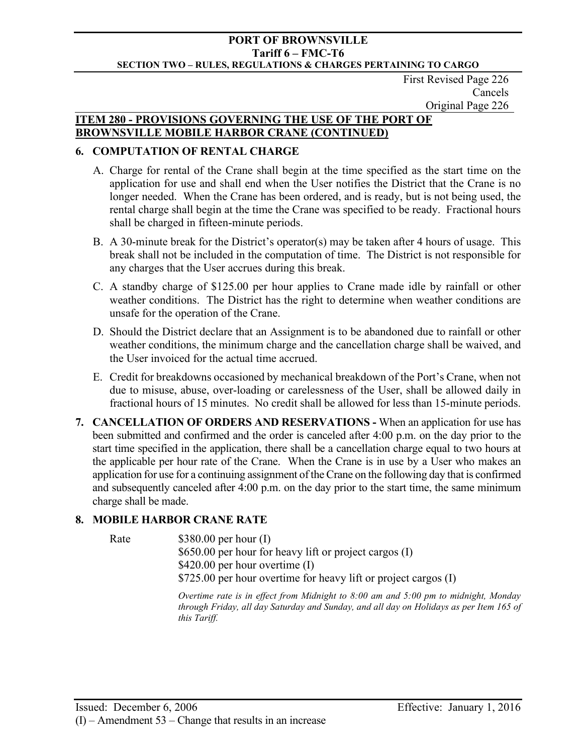First Revised Page 226 Cancels Original Page 226

## **ITEM 280 - PROVISIONS GOVERNING THE USE OF THE PORT OF BROWNSVILLE MOBILE HARBOR CRANE (CONTINUED)**

## **6. COMPUTATION OF RENTAL CHARGE**

- A. Charge for rental of the Crane shall begin at the time specified as the start time on the application for use and shall end when the User notifies the District that the Crane is no longer needed. When the Crane has been ordered, and is ready, but is not being used, the rental charge shall begin at the time the Crane was specified to be ready. Fractional hours shall be charged in fifteen-minute periods.
- B. A 30-minute break for the District's operator(s) may be taken after 4 hours of usage. This break shall not be included in the computation of time. The District is not responsible for any charges that the User accrues during this break.
- C. A standby charge of \$125.00 per hour applies to Crane made idle by rainfall or other weather conditions. The District has the right to determine when weather conditions are unsafe for the operation of the Crane.
- D. Should the District declare that an Assignment is to be abandoned due to rainfall or other weather conditions, the minimum charge and the cancellation charge shall be waived, and the User invoiced for the actual time accrued.
- E. Credit for breakdowns occasioned by mechanical breakdown of the Port's Crane, when not due to misuse, abuse, over-loading or carelessness of the User, shall be allowed daily in fractional hours of 15 minutes. No credit shall be allowed for less than 15-minute periods.
- **7. CANCELLATION OF ORDERS AND RESERVATIONS** When an application for use has been submitted and confirmed and the order is canceled after 4:00 p.m. on the day prior to the start time specified in the application, there shall be a cancellation charge equal to two hours at the applicable per hour rate of the Crane. When the Crane is in use by a User who makes an application for use for a continuing assignment of the Crane on the following day that is confirmed and subsequently canceled after 4:00 p.m. on the day prior to the start time, the same minimum charge shall be made.

# **8. MOBILE HARBOR CRANE RATE**

Rate \$380.00 per hour (I) \$650.00 per hour for heavy lift or project cargos (I) \$420.00 per hour overtime (I) \$725.00 per hour overtime for heavy lift or project cargos (I)

> *Overtime rate is in effect from Midnight to 8:00 am and 5:00 pm to midnight, Monday through Friday, all day Saturday and Sunday, and all day on Holidays as per Item 165 of this Tariff.*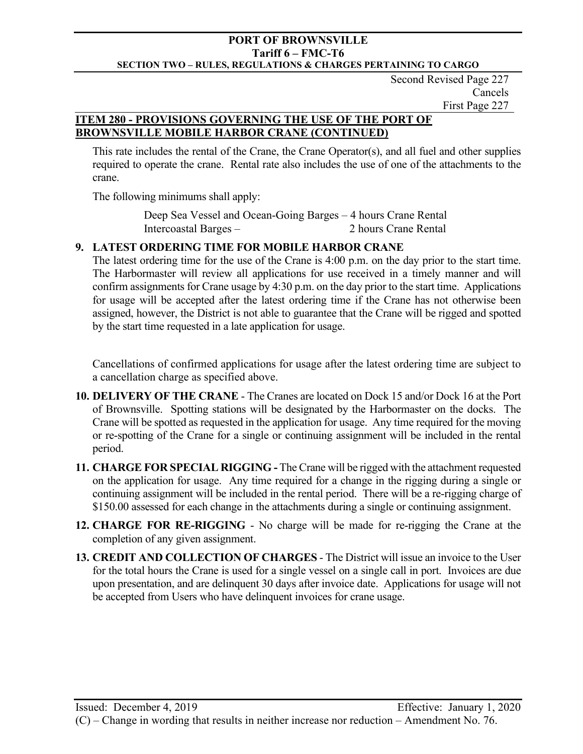Second Revised Page 227 Cancels First Page 227

# **ITEM 280 - PROVISIONS GOVERNING THE USE OF THE PORT OF BROWNSVILLE MOBILE HARBOR CRANE (CONTINUED)**

This rate includes the rental of the Crane, the Crane Operator(s), and all fuel and other supplies required to operate the crane. Rental rate also includes the use of one of the attachments to the crane.

The following minimums shall apply:

 Deep Sea Vessel and Ocean-Going Barges – 4 hours Crane Rental Intercoastal Barges – 2 hours Crane Rental

# **9. LATEST ORDERING TIME FOR MOBILE HARBOR CRANE**

The latest ordering time for the use of the Crane is 4:00 p.m. on the day prior to the start time. The Harbormaster will review all applications for use received in a timely manner and will confirm assignments for Crane usage by 4:30 p.m. on the day prior to the start time. Applications for usage will be accepted after the latest ordering time if the Crane has not otherwise been assigned, however, the District is not able to guarantee that the Crane will be rigged and spotted by the start time requested in a late application for usage.

Cancellations of confirmed applications for usage after the latest ordering time are subject to a cancellation charge as specified above.

- **10. DELIVERY OF THE CRANE** The Cranes are located on Dock 15 and/or Dock 16 at the Port of Brownsville. Spotting stations will be designated by the Harbormaster on the docks. The Crane will be spotted as requested in the application for usage. Any time required for the moving or re-spotting of the Crane for a single or continuing assignment will be included in the rental period.
- **11. CHARGE FOR SPECIAL RIGGING** The Crane will be rigged with the attachment requested on the application for usage. Any time required for a change in the rigging during a single or continuing assignment will be included in the rental period. There will be a re-rigging charge of \$150.00 assessed for each change in the attachments during a single or continuing assignment.
- **12. CHARGE FOR RE-RIGGING** No charge will be made for re-rigging the Crane at the completion of any given assignment.
- **13. CREDIT AND COLLECTION OF CHARGES** The District will issue an invoice to the User for the total hours the Crane is used for a single vessel on a single call in port. Invoices are due upon presentation, and are delinquent 30 days after invoice date. Applications for usage will not be accepted from Users who have delinquent invoices for crane usage.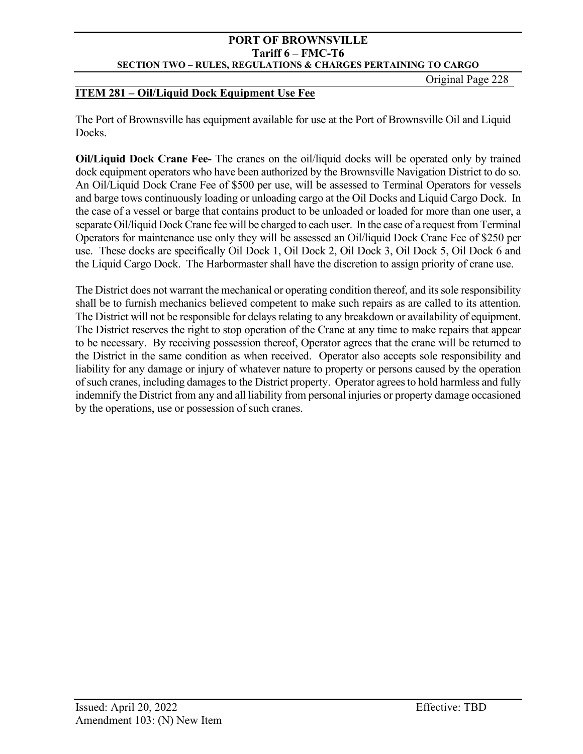Original Page 228

## **ITEM 281 – Oil/Liquid Dock Equipment Use Fee**

The Port of Brownsville has equipment available for use at the Port of Brownsville Oil and Liquid Docks.

**Oil/Liquid Dock Crane Fee-** The cranes on the oil/liquid docks will be operated only by trained dock equipment operators who have been authorized by the Brownsville Navigation District to do so. An Oil/Liquid Dock Crane Fee of \$500 per use, will be assessed to Terminal Operators for vessels and barge tows continuously loading or unloading cargo at the Oil Docks and Liquid Cargo Dock. In the case of a vessel or barge that contains product to be unloaded or loaded for more than one user, a separate Oil/liquid Dock Crane fee will be charged to each user. In the case of a request from Terminal Operators for maintenance use only they will be assessed an Oil/liquid Dock Crane Fee of \$250 per use. These docks are specifically Oil Dock 1, Oil Dock 2, Oil Dock 3, Oil Dock 5, Oil Dock 6 and the Liquid Cargo Dock. The Harbormaster shall have the discretion to assign priority of crane use.

The District does not warrant the mechanical or operating condition thereof, and its sole responsibility shall be to furnish mechanics believed competent to make such repairs as are called to its attention. The District will not be responsible for delays relating to any breakdown or availability of equipment. The District reserves the right to stop operation of the Crane at any time to make repairs that appear to be necessary. By receiving possession thereof, Operator agrees that the crane will be returned to the District in the same condition as when received. Operator also accepts sole responsibility and liability for any damage or injury of whatever nature to property or persons caused by the operation of such cranes, including damages to the District property. Operator agrees to hold harmless and fully indemnify the District from any and all liability from personal injuries or property damage occasioned by the operations, use or possession of such cranes.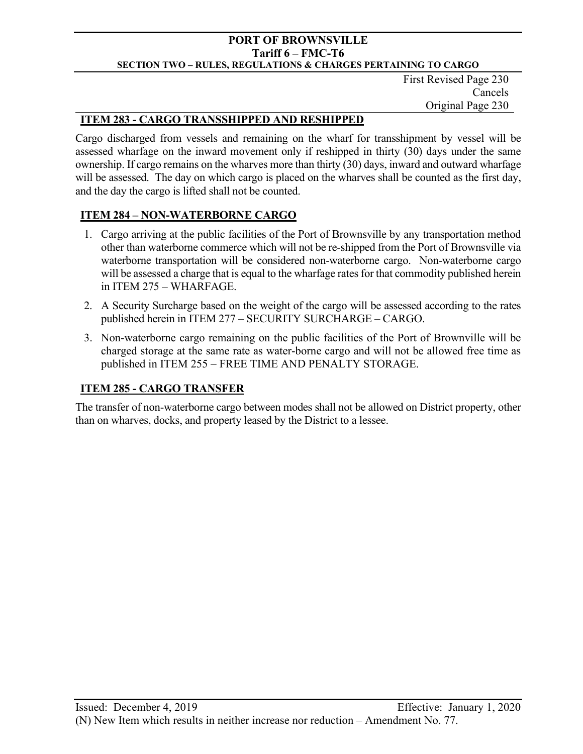First Revised Page 230 Cancels Original Page 230

# **ITEM 283 - CARGO TRANSSHIPPED AND RESHIPPED**

Cargo discharged from vessels and remaining on the wharf for transshipment by vessel will be assessed wharfage on the inward movement only if reshipped in thirty (30) days under the same ownership. If cargo remains on the wharves more than thirty (30) days, inward and outward wharfage will be assessed. The day on which cargo is placed on the wharves shall be counted as the first day, and the day the cargo is lifted shall not be counted.

# **ITEM 284 – NON-WATERBORNE CARGO**

- 1. Cargo arriving at the public facilities of the Port of Brownsville by any transportation method other than waterborne commerce which will not be re-shipped from the Port of Brownsville via waterborne transportation will be considered non-waterborne cargo. Non-waterborne cargo will be assessed a charge that is equal to the wharfage rates for that commodity published herein in ITEM 275 – WHARFAGE.
- 2. A Security Surcharge based on the weight of the cargo will be assessed according to the rates published herein in ITEM 277 – SECURITY SURCHARGE – CARGO.
- 3. Non-waterborne cargo remaining on the public facilities of the Port of Brownville will be charged storage at the same rate as water-borne cargo and will not be allowed free time as published in ITEM 255 – FREE TIME AND PENALTY STORAGE.

# **ITEM 285 - CARGO TRANSFER**

The transfer of non-waterborne cargo between modes shall not be allowed on District property, other than on wharves, docks, and property leased by the District to a lessee.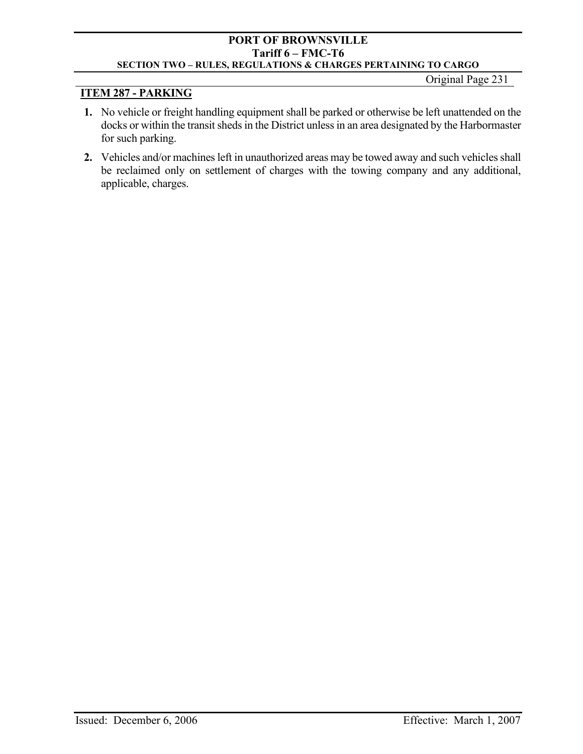# Original Page 231

# **ITEM 287 - PARKING**

- **1.** No vehicle or freight handling equipment shall be parked or otherwise be left unattended on the docks or within the transit sheds in the District unless in an area designated by the Harbormaster for such parking.
- **2.** Vehicles and/or machines left in unauthorized areas may be towed away and such vehicles shall be reclaimed only on settlement of charges with the towing company and any additional, applicable, charges.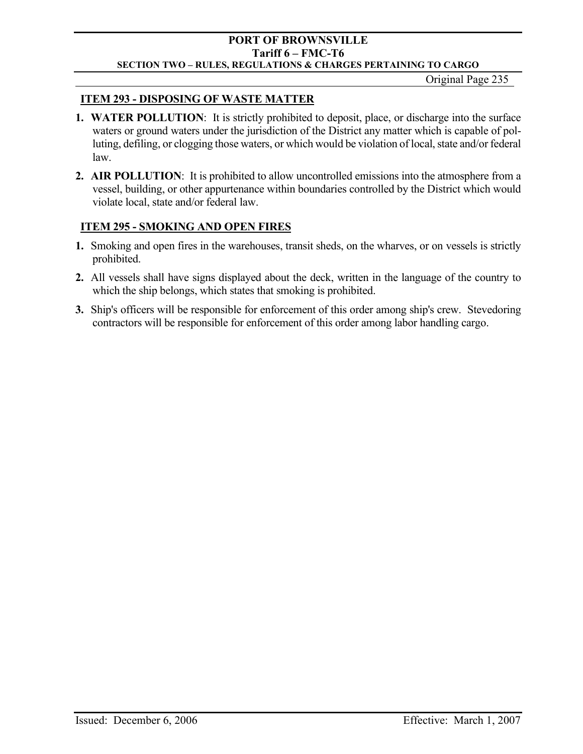Original Page 235

# **ITEM 293 - DISPOSING OF WASTE MATTER**

- **1. WATER POLLUTION**: It is strictly prohibited to deposit, place, or discharge into the surface waters or ground waters under the jurisdiction of the District any matter which is capable of polluting, defiling, or clogging those waters, or which would be violation of local, state and/or federal law.
- **2. AIR POLLUTION**: It is prohibited to allow uncontrolled emissions into the atmosphere from a vessel, building, or other appurtenance within boundaries controlled by the District which would violate local, state and/or federal law.

# **ITEM 295 - SMOKING AND OPEN FIRES**

- **1.** Smoking and open fires in the warehouses, transit sheds, on the wharves, or on vessels is strictly prohibited.
- **2.** All vessels shall have signs displayed about the deck, written in the language of the country to which the ship belongs, which states that smoking is prohibited.
- **3.** Ship's officers will be responsible for enforcement of this order among ship's crew. Stevedoring contractors will be responsible for enforcement of this order among labor handling cargo.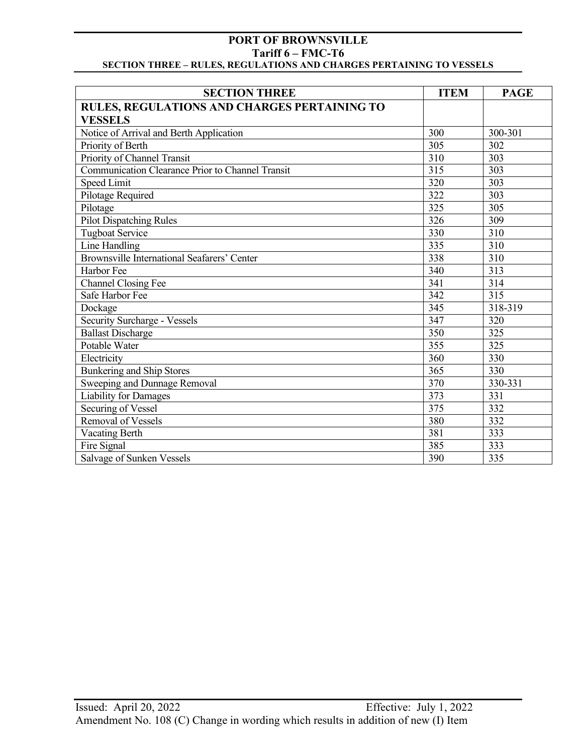| <b>SECTION THREE</b>                             | <b>ITEM</b> | <b>PAGE</b>      |
|--------------------------------------------------|-------------|------------------|
| RULES, REGULATIONS AND CHARGES PERTAINING TO     |             |                  |
| <b>VESSELS</b>                                   |             |                  |
| Notice of Arrival and Berth Application          | 300         | 300-301          |
| Priority of Berth                                | 305         | 302              |
| Priority of Channel Transit                      | 310         | 303              |
| Communication Clearance Prior to Channel Transit | 315         | 303              |
| <b>Speed Limit</b>                               | 320         | 303              |
| Pilotage Required                                | 322         | 303              |
| Pilotage                                         | 325         | 305              |
| <b>Pilot Dispatching Rules</b>                   | 326         | 309              |
| <b>Tugboat Service</b>                           | 330         | 310              |
| Line Handling                                    | 335         | 310              |
| Brownsville International Seafarers' Center      | 338         | $\overline{310}$ |
| Harbor Fee                                       | 340         | $\overline{313}$ |
| <b>Channel Closing Fee</b>                       | 341         | 314              |
| Safe Harbor Fee                                  | 342         | 315              |
| Dockage                                          | 345         | 318-319          |
| Security Surcharge - Vessels                     | 347         | 320              |
| <b>Ballast Discharge</b>                         | 350         | 325              |
| Potable Water                                    | 355         | 325              |
| Electricity                                      | 360         | 330              |
| <b>Bunkering and Ship Stores</b>                 | 365         | 330              |
| Sweeping and Dunnage Removal                     | 370         | 330-331          |
| <b>Liability for Damages</b>                     | 373         | 331              |
| Securing of Vessel                               | 375         | 332              |
| <b>Removal of Vessels</b>                        | 380         | 332              |
| <b>Vacating Berth</b>                            | 381         | 333              |
| Fire Signal                                      | 385         | 333              |
| Salvage of Sunken Vessels                        | 390         | 335              |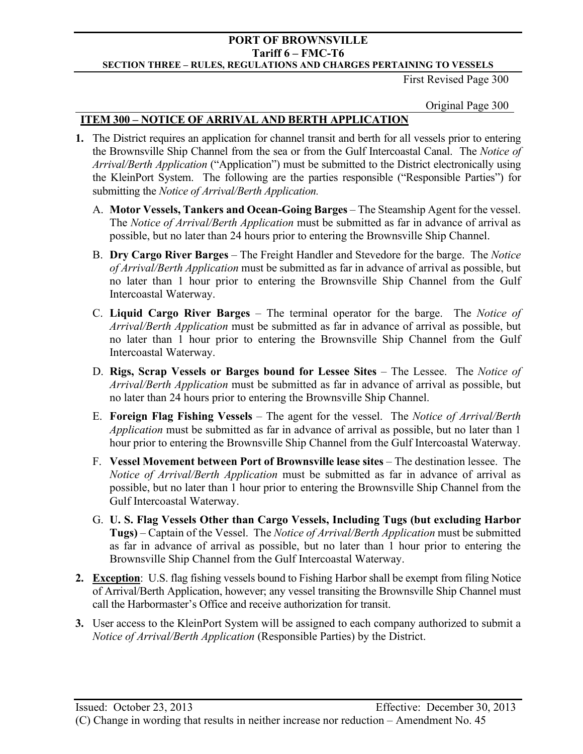First Revised Page 300

Original Page 300

# **ITEM 300 – NOTICE OF ARRIVAL AND BERTH APPLICATION**

- **1.** The District requires an application for channel transit and berth for all vessels prior to entering the Brownsville Ship Channel from the sea or from the Gulf Intercoastal Canal. The *Notice of Arrival/Berth Application* ("Application") must be submitted to the District electronically using the KleinPort System. The following are the parties responsible ("Responsible Parties") for submitting the *Notice of Arrival/Berth Application.*
	- A. **Motor Vessels, Tankers and Ocean-Going Barges** The Steamship Agent for the vessel. The *Notice of Arrival/Berth Application* must be submitted as far in advance of arrival as possible, but no later than 24 hours prior to entering the Brownsville Ship Channel.
	- B. **Dry Cargo River Barges**  The Freight Handler and Stevedore for the barge. The *Notice of Arrival/Berth Application* must be submitted as far in advance of arrival as possible, but no later than 1 hour prior to entering the Brownsville Ship Channel from the Gulf Intercoastal Waterway.
	- C. **Liquid Cargo River Barges**  The terminal operator for the barge. The *Notice of Arrival/Berth Application* must be submitted as far in advance of arrival as possible, but no later than 1 hour prior to entering the Brownsville Ship Channel from the Gulf Intercoastal Waterway.
	- D. **Rigs, Scrap Vessels or Barges bound for Lessee Sites**  The Lessee. The *Notice of Arrival/Berth Application* must be submitted as far in advance of arrival as possible, but no later than 24 hours prior to entering the Brownsville Ship Channel.
	- E. **Foreign Flag Fishing Vessels** The agent for the vessel. The *Notice of Arrival/Berth Application* must be submitted as far in advance of arrival as possible, but no later than 1 hour prior to entering the Brownsville Ship Channel from the Gulf Intercoastal Waterway.
	- F. **Vessel Movement between Port of Brownsville lease sites**  The destination lessee. The *Notice of Arrival/Berth Application* must be submitted as far in advance of arrival as possible, but no later than 1 hour prior to entering the Brownsville Ship Channel from the Gulf Intercoastal Waterway.
	- G. **U. S. Flag Vessels Other than Cargo Vessels, Including Tugs (but excluding Harbor Tugs)** – Captain of the Vessel. The *Notice of Arrival/Berth Application* must be submitted as far in advance of arrival as possible, but no later than 1 hour prior to entering the Brownsville Ship Channel from the Gulf Intercoastal Waterway.
- **2. Exception**: U.S. flag fishing vessels bound to Fishing Harbor shall be exempt from filing Notice of Arrival/Berth Application, however; any vessel transiting the Brownsville Ship Channel must call the Harbormaster's Office and receive authorization for transit.
- **3.** User access to the KleinPort System will be assigned to each company authorized to submit a *Notice of Arrival/Berth Application* (Responsible Parties) by the District.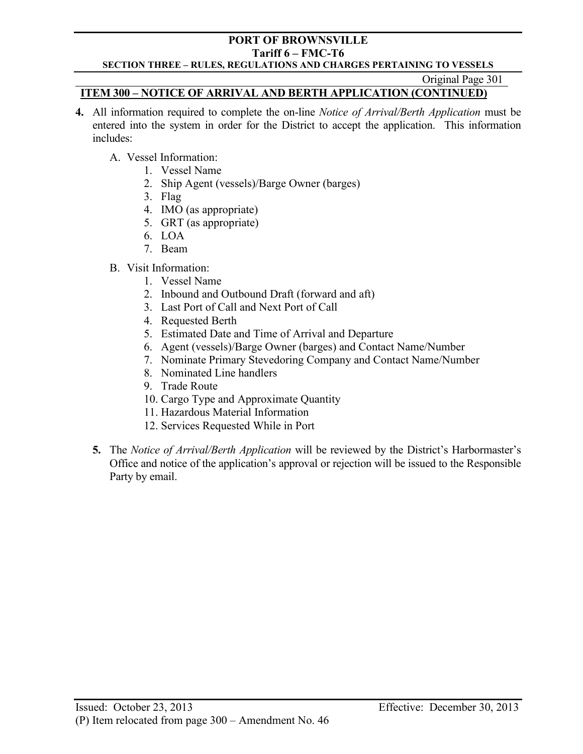#### **PORT OF BROWNSVILLE Tariff 6 – FMC-T6**

## **SECTION THREE – RULES, REGULATIONS AND CHARGES PERTAINING TO VESSELS**

Original Page 301

# **ITEM 300 – NOTICE OF ARRIVAL AND BERTH APPLICATION (CONTINUED)**

- **4.** All information required to complete the on-line *Notice of Arrival/Berth Application* must be entered into the system in order for the District to accept the application. This information includes:
	- A. Vessel Information:
		- 1. Vessel Name
		- 2. Ship Agent (vessels)/Barge Owner (barges)
		- 3. Flag
		- 4. IMO (as appropriate)
		- 5. GRT (as appropriate)
		- 6. LOA
		- 7. Beam
	- B. Visit Information:
		- 1. Vessel Name
		- 2. Inbound and Outbound Draft (forward and aft)
		- 3. Last Port of Call and Next Port of Call
		- 4. Requested Berth
		- 5. Estimated Date and Time of Arrival and Departure
		- 6. Agent (vessels)/Barge Owner (barges) and Contact Name/Number
		- 7. Nominate Primary Stevedoring Company and Contact Name/Number
		- 8. Nominated Line handlers
		- 9. Trade Route
		- 10. Cargo Type and Approximate Quantity
		- 11. Hazardous Material Information
		- 12. Services Requested While in Port
	- **5.** The *Notice of Arrival/Berth Application* will be reviewed by the District's Harbormaster's Office and notice of the application's approval or rejection will be issued to the Responsible Party by email.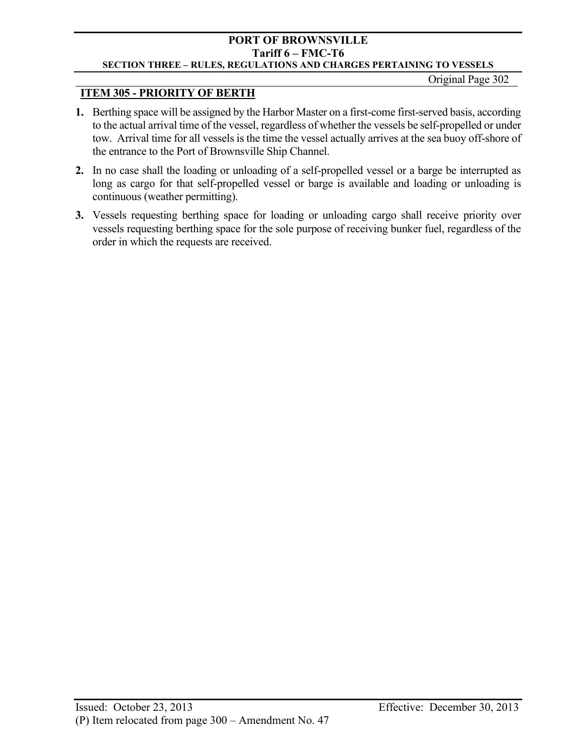Original Page 302

# **ITEM 305 - PRIORITY OF BERTH**

- **1.** Berthing space will be assigned by the Harbor Master on a first-come first-served basis, according to the actual arrival time of the vessel, regardless of whether the vessels be self-propelled or under tow. Arrival time for all vessels is the time the vessel actually arrives at the sea buoy off-shore of the entrance to the Port of Brownsville Ship Channel.
- **2.** In no case shall the loading or unloading of a self-propelled vessel or a barge be interrupted as long as cargo for that self-propelled vessel or barge is available and loading or unloading is continuous (weather permitting).
- **3.** Vessels requesting berthing space for loading or unloading cargo shall receive priority over vessels requesting berthing space for the sole purpose of receiving bunker fuel, regardless of the order in which the requests are received.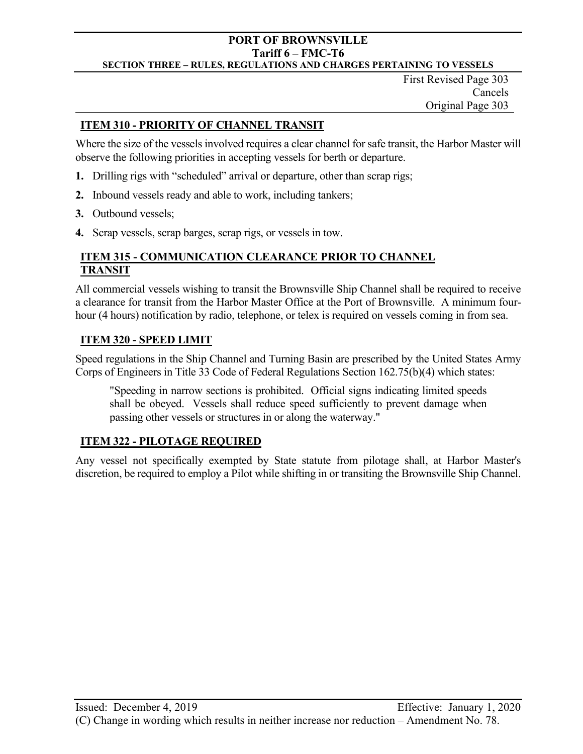First Revised Page 303 Cancels Original Page 303

# **ITEM 310 - PRIORITY OF CHANNEL TRANSIT**

Where the size of the vessels involved requires a clear channel for safe transit, the Harbor Master will observe the following priorities in accepting vessels for berth or departure.

- **1.** Drilling rigs with "scheduled" arrival or departure, other than scrap rigs;
- **2.** Inbound vessels ready and able to work, including tankers;
- **3.** Outbound vessels;
- **4.** Scrap vessels, scrap barges, scrap rigs, or vessels in tow.

# **ITEM 315 - COMMUNICATION CLEARANCE PRIOR TO CHANNEL TRANSIT**

All commercial vessels wishing to transit the Brownsville Ship Channel shall be required to receive a clearance for transit from the Harbor Master Office at the Port of Brownsville. A minimum fourhour (4 hours) notification by radio, telephone, or telex is required on vessels coming in from sea.

# **ITEM 320 - SPEED LIMIT**

Speed regulations in the Ship Channel and Turning Basin are prescribed by the United States Army Corps of Engineers in Title 33 Code of Federal Regulations Section 162.75(b)(4) which states:

"Speeding in narrow sections is prohibited. Official signs indicating limited speeds shall be obeyed. Vessels shall reduce speed sufficiently to prevent damage when passing other vessels or structures in or along the waterway."

# **ITEM 322 - PILOTAGE REQUIRED**

Any vessel not specifically exempted by State statute from pilotage shall, at Harbor Master's discretion, be required to employ a Pilot while shifting in or transiting the Brownsville Ship Channel.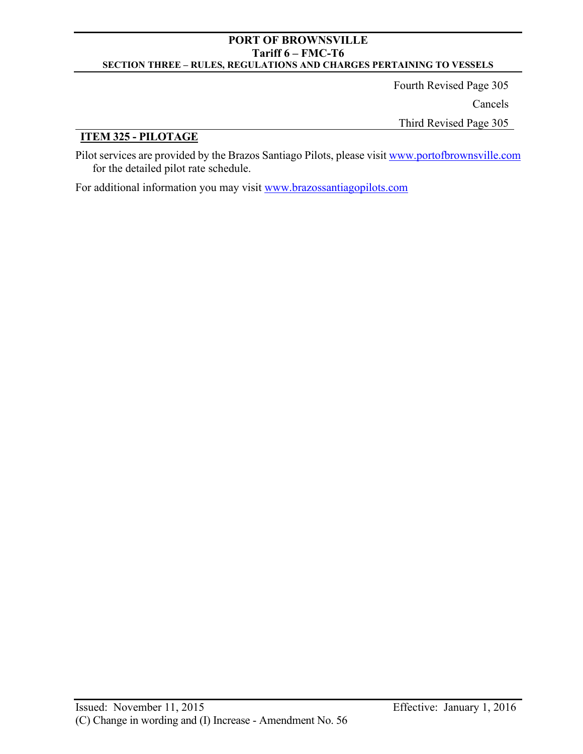Fourth Revised Page 305 Cancels Third Revised Page 305

# **ITEM 325 - PILOTAGE**

Pilot services are provided by the Brazos Santiago Pilots, please visi[t www.portofbrownsville.com](http://www.portofbrownsville.com/) for the detailed pilot rate schedule.

For additional information you may visit www.brazossantiagopilots.com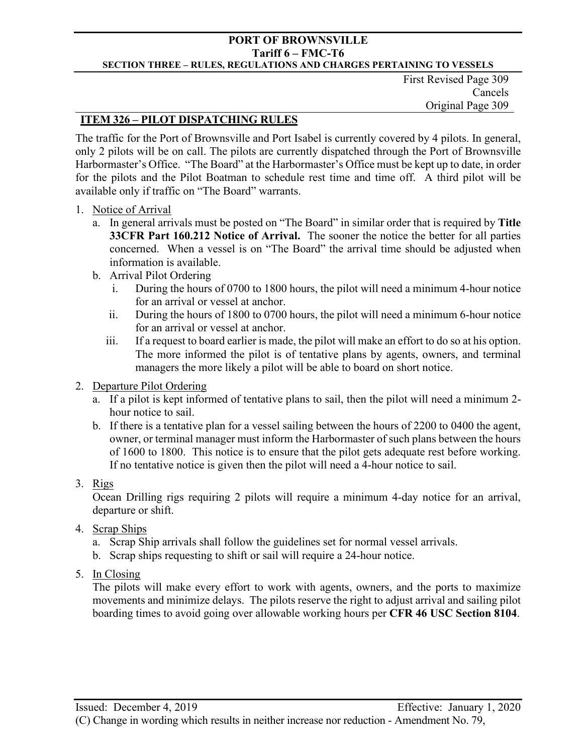First Revised Page 309 Cancels Original Page 309

# **ITEM 326 – PILOT DISPATCHING RULES**

The traffic for the Port of Brownsville and Port Isabel is currently covered by 4 pilots. In general, only 2 pilots will be on call. The pilots are currently dispatched through the Port of Brownsville Harbormaster's Office. "The Board" at the Harbormaster's Office must be kept up to date, in order for the pilots and the Pilot Boatman to schedule rest time and time off. A third pilot will be available only if traffic on "The Board" warrants.

- 1. Notice of Arrival
	- a. In general arrivals must be posted on "The Board" in similar order that is required by **Title 33CFR Part 160.212 Notice of Arrival.** The sooner the notice the better for all parties concerned. When a vessel is on "The Board" the arrival time should be adjusted when information is available.
	- b. Arrival Pilot Ordering
		- i. During the hours of 0700 to 1800 hours, the pilot will need a minimum 4-hour notice for an arrival or vessel at anchor.
		- ii. During the hours of 1800 to 0700 hours, the pilot will need a minimum 6-hour notice for an arrival or vessel at anchor.
		- iii. If a request to board earlier is made, the pilot will make an effort to do so at his option. The more informed the pilot is of tentative plans by agents, owners, and terminal managers the more likely a pilot will be able to board on short notice.
- 2. Departure Pilot Ordering
	- a. If a pilot is kept informed of tentative plans to sail, then the pilot will need a minimum 2 hour notice to sail.
	- b. If there is a tentative plan for a vessel sailing between the hours of 2200 to 0400 the agent, owner, or terminal manager must inform the Harbormaster of such plans between the hours of 1600 to 1800. This notice is to ensure that the pilot gets adequate rest before working. If no tentative notice is given then the pilot will need a 4-hour notice to sail.
- 3. Rigs

Ocean Drilling rigs requiring 2 pilots will require a minimum 4-day notice for an arrival, departure or shift.

- 4. Scrap Ships
	- a. Scrap Ship arrivals shall follow the guidelines set for normal vessel arrivals.
	- b. Scrap ships requesting to shift or sail will require a 24-hour notice.
- 5. In Closing

The pilots will make every effort to work with agents, owners, and the ports to maximize movements and minimize delays. The pilots reserve the right to adjust arrival and sailing pilot boarding times to avoid going over allowable working hours per **CFR 46 USC Section 8104**.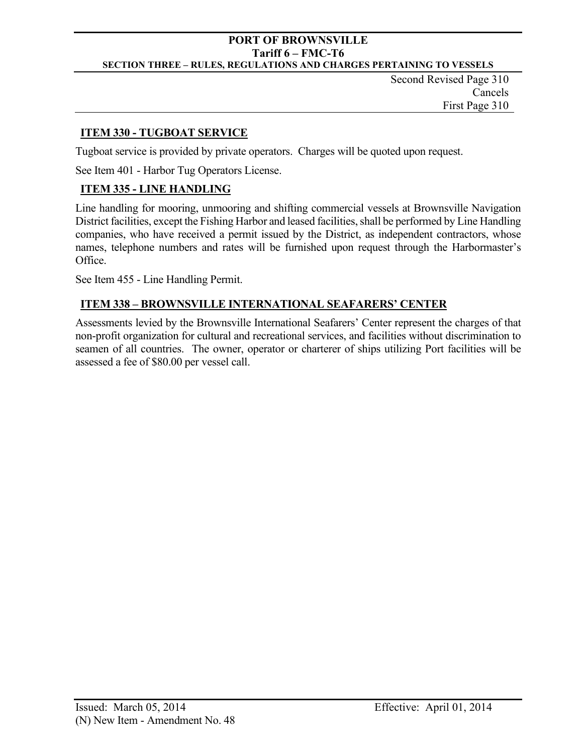Second Revised Page 310 Cancels First Page 310

# **ITEM 330 - TUGBOAT SERVICE**

Tugboat service is provided by private operators. Charges will be quoted upon request.

See Item 401 - Harbor Tug Operators License.

# **ITEM 335 - LINE HANDLING**

Line handling for mooring, unmooring and shifting commercial vessels at Brownsville Navigation District facilities, except the Fishing Harbor and leased facilities, shall be performed by Line Handling companies, who have received a permit issued by the District, as independent contractors, whose names, telephone numbers and rates will be furnished upon request through the Harbormaster's Office.

See Item 455 - Line Handling Permit.

# **ITEM 338 – BROWNSVILLE INTERNATIONAL SEAFARERS' CENTER**

Assessments levied by the Brownsville International Seafarers' Center represent the charges of that non-profit organization for cultural and recreational services, and facilities without discrimination to seamen of all countries. The owner, operator or charterer of ships utilizing Port facilities will be assessed a fee of \$80.00 per vessel call.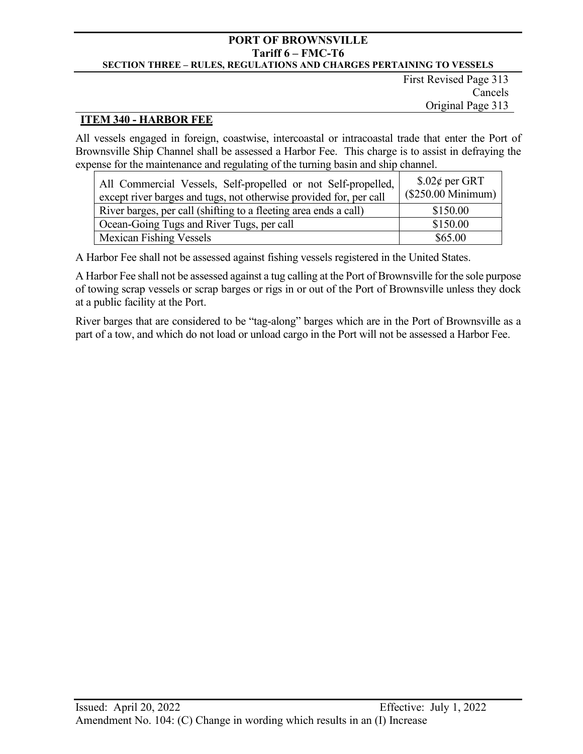First Revised Page 313 Cancels Original Page 313

## **ITEM 340 - HARBOR FEE**

All vessels engaged in foreign, coastwise, intercoastal or intracoastal trade that enter the Port of Brownsville Ship Channel shall be assessed a Harbor Fee. This charge is to assist in defraying the expense for the maintenance and regulating of the turning basin and ship channel.

| All Commercial Vessels, Self-propelled or not Self-propelled,<br>except river barges and tugs, not otherwise provided for, per call | \$.02¢ per GRT<br>(\$250.00 Minimum) |
|-------------------------------------------------------------------------------------------------------------------------------------|--------------------------------------|
| River barges, per call (shifting to a fleeting area ends a call)                                                                    | \$150.00                             |
| Ocean-Going Tugs and River Tugs, per call                                                                                           | \$150.00                             |
| <b>Mexican Fishing Vessels</b>                                                                                                      | \$65.00                              |

A Harbor Fee shall not be assessed against fishing vessels registered in the United States.

A Harbor Fee shall not be assessed against a tug calling at the Port of Brownsville for the sole purpose of towing scrap vessels or scrap barges or rigs in or out of the Port of Brownsville unless they dock at a public facility at the Port.

River barges that are considered to be "tag-along" barges which are in the Port of Brownsville as a part of a tow, and which do not load or unload cargo in the Port will not be assessed a Harbor Fee.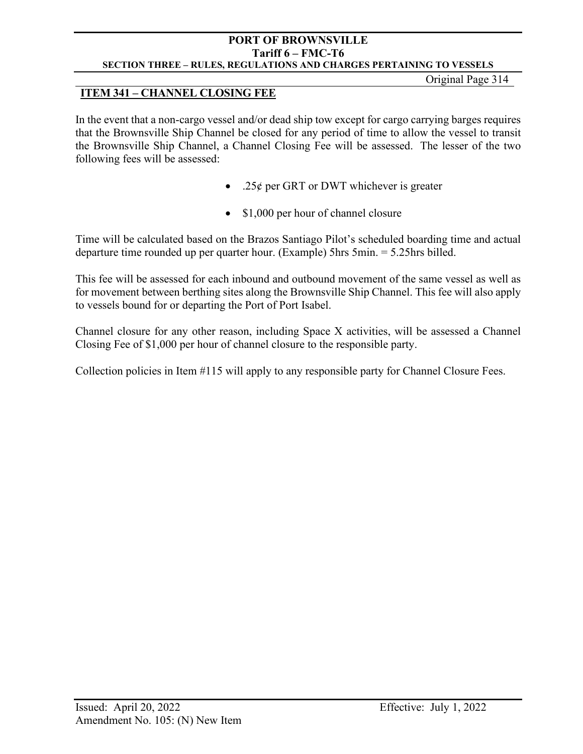Original Page 314

# **ITEM 341 – CHANNEL CLOSING FEE**

In the event that a non-cargo vessel and/or dead ship tow except for cargo carrying barges requires that the Brownsville Ship Channel be closed for any period of time to allow the vessel to transit the Brownsville Ship Channel, a Channel Closing Fee will be assessed. The lesser of the two following fees will be assessed:

- .25 $\phi$  per GRT or DWT whichever is greater
- \$1,000 per hour of channel closure

Time will be calculated based on the Brazos Santiago Pilot's scheduled boarding time and actual departure time rounded up per quarter hour. (Example) 5hrs 5min. = 5.25hrs billed.

This fee will be assessed for each inbound and outbound movement of the same vessel as well as for movement between berthing sites along the Brownsville Ship Channel. This fee will also apply to vessels bound for or departing the Port of Port Isabel.

Channel closure for any other reason, including Space X activities, will be assessed a Channel Closing Fee of \$1,000 per hour of channel closure to the responsible party.

Collection policies in Item #115 will apply to any responsible party for Channel Closure Fees.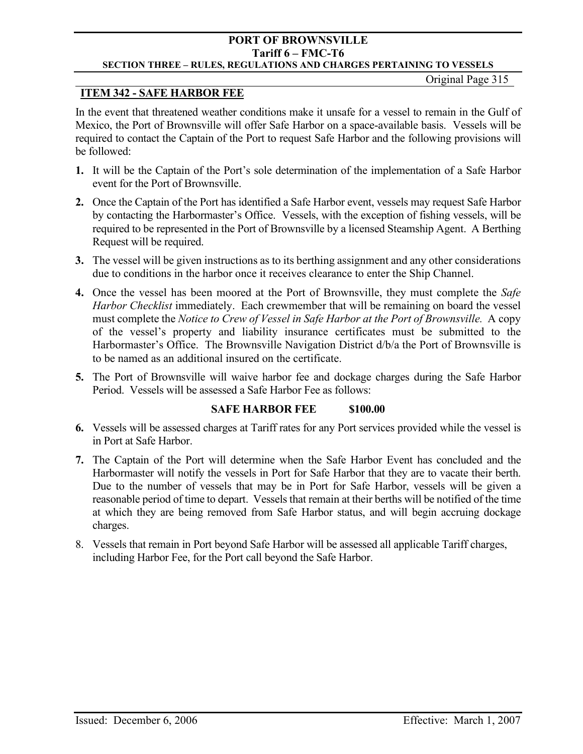# **PORT OF BROWNSVILLE Tariff 6 – FMC-T6**

# **SECTION THREE – RULES, REGULATIONS AND CHARGES PERTAINING TO VESSELS**

Original Page 315

# **ITEM 342 - SAFE HARBOR FEE**

In the event that threatened weather conditions make it unsafe for a vessel to remain in the Gulf of Mexico, the Port of Brownsville will offer Safe Harbor on a space-available basis. Vessels will be required to contact the Captain of the Port to request Safe Harbor and the following provisions will be followed:

- **1.** It will be the Captain of the Port's sole determination of the implementation of a Safe Harbor event for the Port of Brownsville.
- **2.** Once the Captain of the Port has identified a Safe Harbor event, vessels may request Safe Harbor by contacting the Harbormaster's Office. Vessels, with the exception of fishing vessels, will be required to be represented in the Port of Brownsville by a licensed Steamship Agent. A Berthing Request will be required.
- **3.** The vessel will be given instructions as to its berthing assignment and any other considerations due to conditions in the harbor once it receives clearance to enter the Ship Channel.
- **4.** Once the vessel has been moored at the Port of Brownsville, they must complete the *Safe Harbor Checklist* immediately. Each crewmember that will be remaining on board the vessel must complete the *Notice to Crew of Vessel in Safe Harbor at the Port of Brownsville.* A copy of the vessel's property and liability insurance certificates must be submitted to the Harbormaster's Office. The Brownsville Navigation District d/b/a the Port of Brownsville is to be named as an additional insured on the certificate.
- **5.** The Port of Brownsville will waive harbor fee and dockage charges during the Safe Harbor Period. Vessels will be assessed a Safe Harbor Fee as follows:

# **SAFE HARBOR FEE** \$100.00

- **6.** Vessels will be assessed charges at Tariff rates for any Port services provided while the vessel is in Port at Safe Harbor.
- **7.** The Captain of the Port will determine when the Safe Harbor Event has concluded and the Harbormaster will notify the vessels in Port for Safe Harbor that they are to vacate their berth. Due to the number of vessels that may be in Port for Safe Harbor, vessels will be given a reasonable period of time to depart. Vessels that remain at their berths will be notified of the time at which they are being removed from Safe Harbor status, and will begin accruing dockage charges.
- 8. Vessels that remain in Port beyond Safe Harbor will be assessed all applicable Tariff charges, including Harbor Fee, for the Port call beyond the Safe Harbor.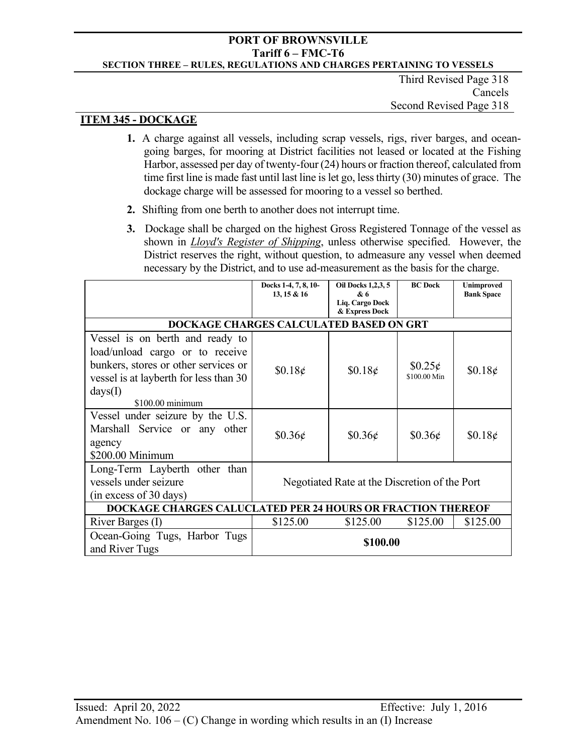Third Revised Page 318 Cancels Second Revised Page 318

## **ITEM 345 - DOCKAGE**

- **1.** A charge against all vessels, including scrap vessels, rigs, river barges, and oceangoing barges, for mooring at District facilities not leased or located at the Fishing Harbor, assessed per day of twenty-four (24) hours or fraction thereof, calculated from time first line is made fast until last line is let go, less thirty (30) minutes of grace. The dockage charge will be assessed for mooring to a vessel so berthed.
- **2.** Shifting from one berth to another does not interrupt time.
- **3.** Dockage shall be charged on the highest Gross Registered Tonnage of the vessel as shown in *Lloyd's Register of Shipping*, unless otherwise specified. However, the District reserves the right, without question, to admeasure any vessel when deemed necessary by the District, and to use ad-measurement as the basis for the charge.

|                                                                    | Docks 1-4, 7, 8, 10-<br>13, 15 & 16           | <b>Oil Docks 1,2,3, 5</b><br>& 6<br>Lig. Cargo Dock<br>& Express Dock | <b>BC</b> Dock | <b>Unimproved</b><br><b>Bank Space</b> |
|--------------------------------------------------------------------|-----------------------------------------------|-----------------------------------------------------------------------|----------------|----------------------------------------|
| DOCKAGE CHARGES CALCULATED BASED ON GRT                            |                                               |                                                                       |                |                                        |
| Vessel is on berth and ready to                                    |                                               |                                                                       |                |                                        |
| load/unload cargo or to receive                                    |                                               |                                                                       |                |                                        |
| bunkers, stores or other services or                               | \$0.18¢                                       | \$0.18¢                                                               | $$0.25\phi$    | $$0.18\phi$                            |
| vessel is at layberth for less than 30                             |                                               |                                                                       | \$100.00 Min   |                                        |
| days(I)                                                            |                                               |                                                                       |                |                                        |
| \$100.00 minimum                                                   |                                               |                                                                       |                |                                        |
| Vessel under seizure by the U.S.                                   |                                               |                                                                       |                |                                        |
| Marshall Service or any other                                      | $$0.36\phi$                                   | $$0.36\phi$                                                           | \$0.36¢        | \$0.18¢                                |
| agency                                                             |                                               |                                                                       |                |                                        |
| \$200.00 Minimum                                                   |                                               |                                                                       |                |                                        |
| Long-Term Layberth other than                                      |                                               |                                                                       |                |                                        |
| vessels under seizure                                              | Negotiated Rate at the Discretion of the Port |                                                                       |                |                                        |
| (in excess of 30 days)                                             |                                               |                                                                       |                |                                        |
| <b>DOCKAGE CHARGES CALUCLATED PER 24 HOURS OR FRACTION THEREOF</b> |                                               |                                                                       |                |                                        |
| River Barges (I)                                                   | \$125.00                                      | \$125.00                                                              | \$125.00       | \$125.00                               |
| Ocean-Going Tugs, Harbor Tugs                                      |                                               |                                                                       |                |                                        |
| and River Tugs                                                     |                                               | \$100.00                                                              |                |                                        |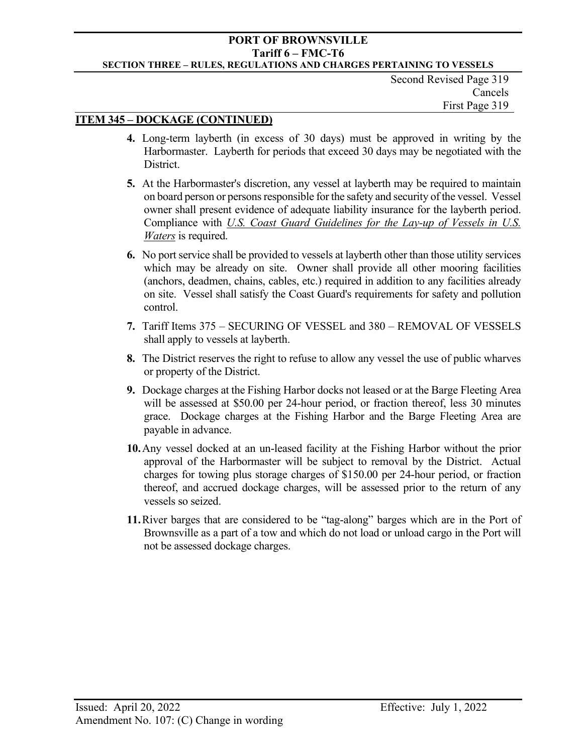Second Revised Page 319 Cancels First Page 319

## **ITEM 345 – DOCKAGE (CONTINUED)**

- **4.** Long-term layberth (in excess of 30 days) must be approved in writing by the Harbormaster. Layberth for periods that exceed 30 days may be negotiated with the District.
- **5.** At the Harbormaster's discretion, any vessel at layberth may be required to maintain on board person or persons responsible for the safety and security of the vessel. Vessel owner shall present evidence of adequate liability insurance for the layberth period. Compliance with *U.S. Coast Guard Guidelines for the Lay-up of Vessels in U.S. Waters* is required.
- **6.** No port service shall be provided to vessels at layberth other than those utility services which may be already on site. Owner shall provide all other mooring facilities (anchors, deadmen, chains, cables, etc.) required in addition to any facilities already on site. Vessel shall satisfy the Coast Guard's requirements for safety and pollution control.
- **7.** Tariff Items 375 SECURING OF VESSEL and 380 REMOVAL OF VESSELS shall apply to vessels at layberth.
- **8.** The District reserves the right to refuse to allow any vessel the use of public wharves or property of the District.
- **9.** Dockage charges at the Fishing Harbor docks not leased or at the Barge Fleeting Area will be assessed at \$50.00 per 24-hour period, or fraction thereof, less 30 minutes grace. Dockage charges at the Fishing Harbor and the Barge Fleeting Area are payable in advance.
- **10.**Any vessel docked at an un-leased facility at the Fishing Harbor without the prior approval of the Harbormaster will be subject to removal by the District. Actual charges for towing plus storage charges of \$150.00 per 24-hour period, or fraction thereof, and accrued dockage charges, will be assessed prior to the return of any vessels so seized.
- **11.**River barges that are considered to be "tag-along" barges which are in the Port of Brownsville as a part of a tow and which do not load or unload cargo in the Port will not be assessed dockage charges.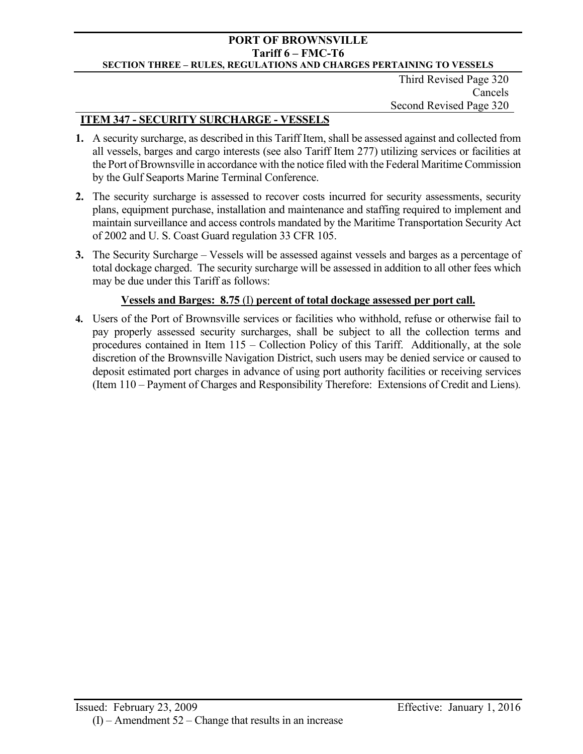Third Revised Page 320 Cancels Second Revised Page 320

# **ITEM 347 - SECURITY SURCHARGE - VESSELS**

- **1.** A security surcharge, as described in this Tariff Item, shall be assessed against and collected from all vessels, barges and cargo interests (see also Tariff Item 277) utilizing services or facilities at the Port of Brownsville in accordance with the notice filed with the Federal Maritime Commission by the Gulf Seaports Marine Terminal Conference.
- **2.** The security surcharge is assessed to recover costs incurred for security assessments, security plans, equipment purchase, installation and maintenance and staffing required to implement and maintain surveillance and access controls mandated by the Maritime Transportation Security Act of 2002 and U. S. Coast Guard regulation 33 CFR 105.
- **3.** The Security Surcharge Vessels will be assessed against vessels and barges as a percentage of total dockage charged. The security surcharge will be assessed in addition to all other fees which may be due under this Tariff as follows:

# **Vessels and Barges: 8.75** (I) **percent of total dockage assessed per port call.**

**4.** Users of the Port of Brownsville services or facilities who withhold, refuse or otherwise fail to pay properly assessed security surcharges, shall be subject to all the collection terms and procedures contained in Item 115 – Collection Policy of this Tariff. Additionally, at the sole discretion of the Brownsville Navigation District, such users may be denied service or caused to deposit estimated port charges in advance of using port authority facilities or receiving services (Item 110 – Payment of Charges and Responsibility Therefore: Extensions of Credit and Liens).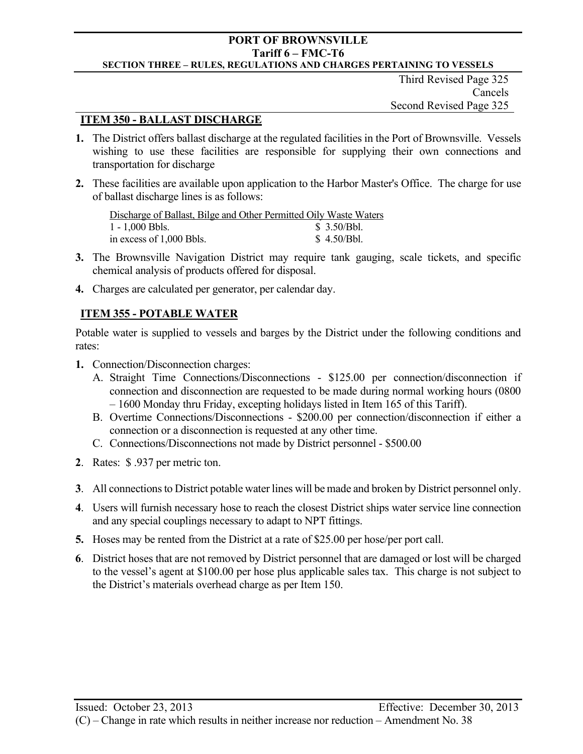Third Revised Page 325 Cancels Second Revised Page 325

## **ITEM 350 - BALLAST DISCHARGE**

- **1.** The District offers ballast discharge at the regulated facilities in the Port of Brownsville. Vessels wishing to use these facilities are responsible for supplying their own connections and transportation for discharge
- **2.** These facilities are available upon application to the Harbor Master's Office. The charge for use of ballast discharge lines is as follows:

| Discharge of Ballast, Bilge and Other Permitted Oily Waste Waters |             |
|-------------------------------------------------------------------|-------------|
| $1 - 1,000$ Bbls.                                                 | \$3.50/Bbl. |
| in excess of 1,000 Bbls.                                          | \$4.50/Bbl. |

- **3.** The Brownsville Navigation District may require tank gauging, scale tickets, and specific chemical analysis of products offered for disposal.
- **4.** Charges are calculated per generator, per calendar day.

# **ITEM 355 - POTABLE WATER**

Potable water is supplied to vessels and barges by the District under the following conditions and rates:

- **1.** Connection/Disconnection charges:
	- A. Straight Time Connections/Disconnections \$125.00 per connection/disconnection if connection and disconnection are requested to be made during normal working hours (0800 – 1600 Monday thru Friday, excepting holidays listed in Item 165 of this Tariff).
	- B. Overtime Connections/Disconnections \$200.00 per connection/disconnection if either a connection or a disconnection is requested at any other time.
	- C. Connections/Disconnections not made by District personnel \$500.00
- **2**. Rates: \$ .937 per metric ton.
- **3**. All connections to District potable water lines will be made and broken by District personnel only.
- **4**. Users will furnish necessary hose to reach the closest District ships water service line connection and any special couplings necessary to adapt to NPT fittings.
- **5.** Hoses may be rented from the District at a rate of \$25.00 per hose/per port call.
- **6**. District hoses that are not removed by District personnel that are damaged or lost will be charged to the vessel's agent at \$100.00 per hose plus applicable sales tax. This charge is not subject to the District's materials overhead charge as per Item 150.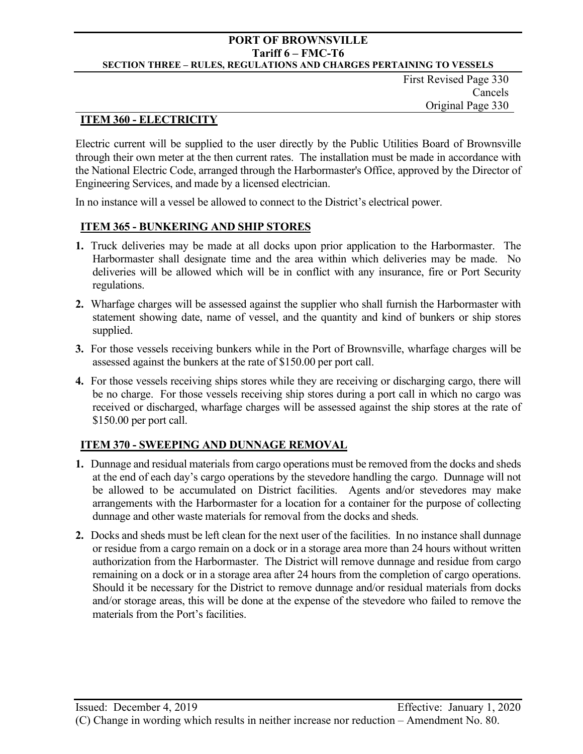First Revised Page 330 Cancels Original Page 330

## **ITEM 360 - ELECTRICITY**

Electric current will be supplied to the user directly by the Public Utilities Board of Brownsville through their own meter at the then current rates. The installation must be made in accordance with the National Electric Code, arranged through the Harbormaster's Office, approved by the Director of Engineering Services, and made by a licensed electrician.

In no instance will a vessel be allowed to connect to the District's electrical power.

## **ITEM 365 - BUNKERING AND SHIP STORES**

- **1.** Truck deliveries may be made at all docks upon prior application to the Harbormaster. The Harbormaster shall designate time and the area within which deliveries may be made. No deliveries will be allowed which will be in conflict with any insurance, fire or Port Security regulations.
- **2.** Wharfage charges will be assessed against the supplier who shall furnish the Harbormaster with statement showing date, name of vessel, and the quantity and kind of bunkers or ship stores supplied.
- **3.** For those vessels receiving bunkers while in the Port of Brownsville, wharfage charges will be assessed against the bunkers at the rate of \$150.00 per port call.
- **4.** For those vessels receiving ships stores while they are receiving or discharging cargo, there will be no charge. For those vessels receiving ship stores during a port call in which no cargo was received or discharged, wharfage charges will be assessed against the ship stores at the rate of \$150.00 per port call.

## **ITEM 370 - SWEEPING AND DUNNAGE REMOVAL**

- **1.** Dunnage and residual materials from cargo operations must be removed from the docks and sheds at the end of each day's cargo operations by the stevedore handling the cargo. Dunnage will not be allowed to be accumulated on District facilities. Agents and/or stevedores may make arrangements with the Harbormaster for a location for a container for the purpose of collecting dunnage and other waste materials for removal from the docks and sheds.
- **2.** Docks and sheds must be left clean for the next user of the facilities. In no instance shall dunnage or residue from a cargo remain on a dock or in a storage area more than 24 hours without written authorization from the Harbormaster. The District will remove dunnage and residue from cargo remaining on a dock or in a storage area after 24 hours from the completion of cargo operations. Should it be necessary for the District to remove dunnage and/or residual materials from docks and/or storage areas, this will be done at the expense of the stevedore who failed to remove the materials from the Port's facilities.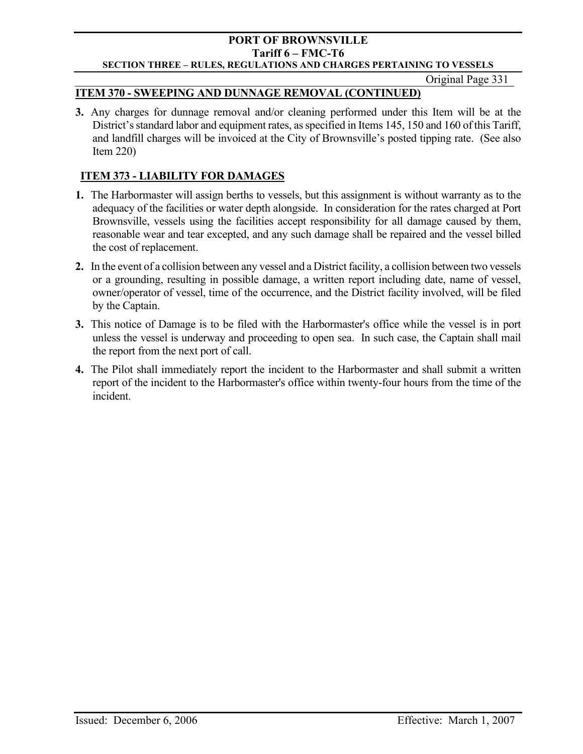Original Page 331

## **ITEM 370 - SWEEPING AND DUNNAGE REMOVAL (CONTINUED)**

**3.** Any charges for dunnage removal and/or cleaning performed under this Item will be at the District's standard labor and equipment rates, as specified in Items 145, 150 and 160 of this Tariff, and landfill charges will be invoiced at the City of Brownsville's posted tipping rate. (See also Item 220)

# **ITEM 373 - LIABILITY FOR DAMAGES**

- **1.** The Harbormaster will assign berths to vessels, but this assignment is without warranty as to the adequacy of the facilities or water depth alongside. In consideration for the rates charged at Port Brownsville, vessels using the facilities accept responsibility for all damage caused by them, reasonable wear and tear excepted, and any such damage shall be repaired and the vessel billed the cost of replacement.
- **2.** In the event of a collision between any vessel and a District facility, a collision between two vessels or a grounding, resulting in possible damage, a written report including date, name of vessel, owner/operator of vessel, time of the occurrence, and the District facility involved, will be filed by the Captain.
- **3.** This notice of Damage is to be filed with the Harbormaster's office while the vessel is in port unless the vessel is underway and proceeding to open sea. In such case, the Captain shall mail the report from the next port of call.
- **4.** The Pilot shall immediately report the incident to the Harbormaster and shall submit a written report of the incident to the Harbormaster's office within twenty-four hours from the time of the incident.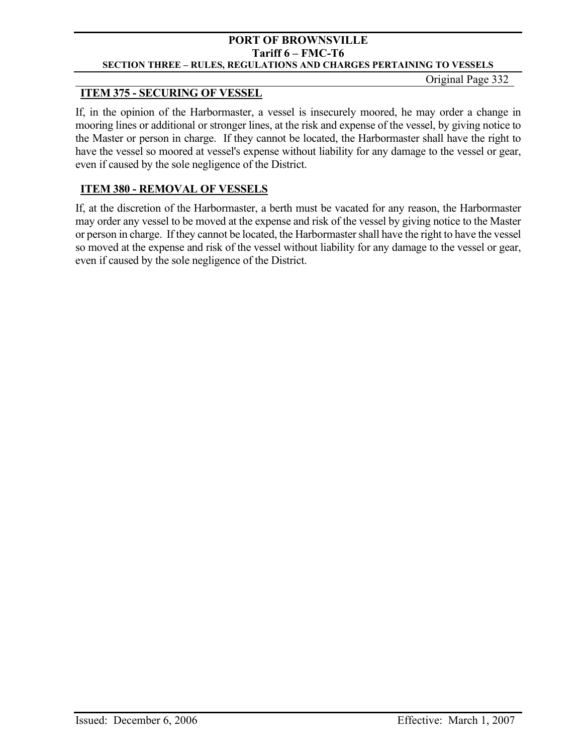#### Original Page 332

# **ITEM 375 - SECURING OF VESSEL**

If, in the opinion of the Harbormaster, a vessel is insecurely moored, he may order a change in mooring lines or additional or stronger lines, at the risk and expense of the vessel, by giving notice to the Master or person in charge. If they cannot be located, the Harbormaster shall have the right to have the vessel so moored at vessel's expense without liability for any damage to the vessel or gear, even if caused by the sole negligence of the District.

# **ITEM 380 - REMOVAL OF VESSELS**

If, at the discretion of the Harbormaster, a berth must be vacated for any reason, the Harbormaster may order any vessel to be moved at the expense and risk of the vessel by giving notice to the Master or person in charge. If they cannot be located, the Harbormaster shall have the right to have the vessel so moved at the expense and risk of the vessel without liability for any damage to the vessel or gear, even if caused by the sole negligence of the District.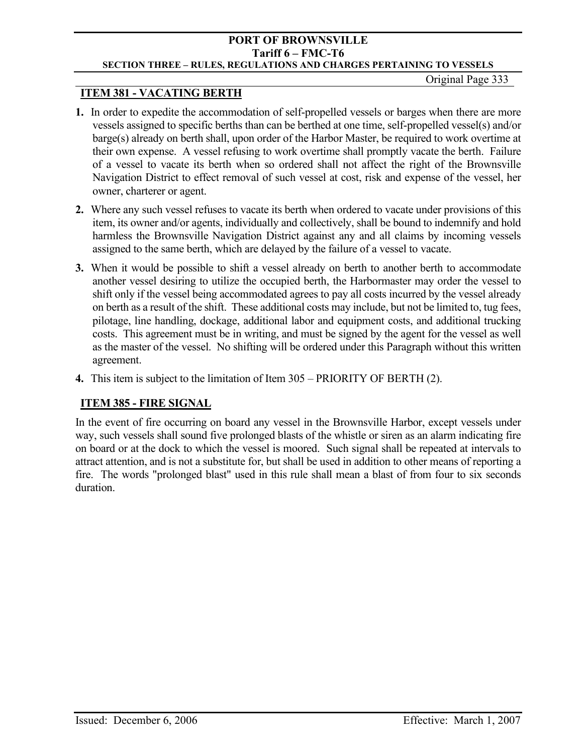# **ITEM 381 - VACATING BERTH**

- **1.** In order to expedite the accommodation of self-propelled vessels or barges when there are more vessels assigned to specific berths than can be berthed at one time, self-propelled vessel(s) and/or barge(s) already on berth shall, upon order of the Harbor Master, be required to work overtime at their own expense. A vessel refusing to work overtime shall promptly vacate the berth. Failure of a vessel to vacate its berth when so ordered shall not affect the right of the Brownsville Navigation District to effect removal of such vessel at cost, risk and expense of the vessel, her owner, charterer or agent.
- **2.** Where any such vessel refuses to vacate its berth when ordered to vacate under provisions of this item, its owner and/or agents, individually and collectively, shall be bound to indemnify and hold harmless the Brownsville Navigation District against any and all claims by incoming vessels assigned to the same berth, which are delayed by the failure of a vessel to vacate.
- **3.** When it would be possible to shift a vessel already on berth to another berth to accommodate another vessel desiring to utilize the occupied berth, the Harbormaster may order the vessel to shift only if the vessel being accommodated agrees to pay all costs incurred by the vessel already on berth as a result of the shift. These additional costs may include, but not be limited to, tug fees, pilotage, line handling, dockage, additional labor and equipment costs, and additional trucking costs. This agreement must be in writing, and must be signed by the agent for the vessel as well as the master of the vessel. No shifting will be ordered under this Paragraph without this written agreement.
- **4.** This item is subject to the limitation of Item 305 PRIORITY OF BERTH (2).

# **ITEM 385 - FIRE SIGNAL**

In the event of fire occurring on board any vessel in the Brownsville Harbor, except vessels under way, such vessels shall sound five prolonged blasts of the whistle or siren as an alarm indicating fire on board or at the dock to which the vessel is moored. Such signal shall be repeated at intervals to attract attention, and is not a substitute for, but shall be used in addition to other means of reporting a fire. The words "prolonged blast" used in this rule shall mean a blast of from four to six seconds duration.

Original Page 333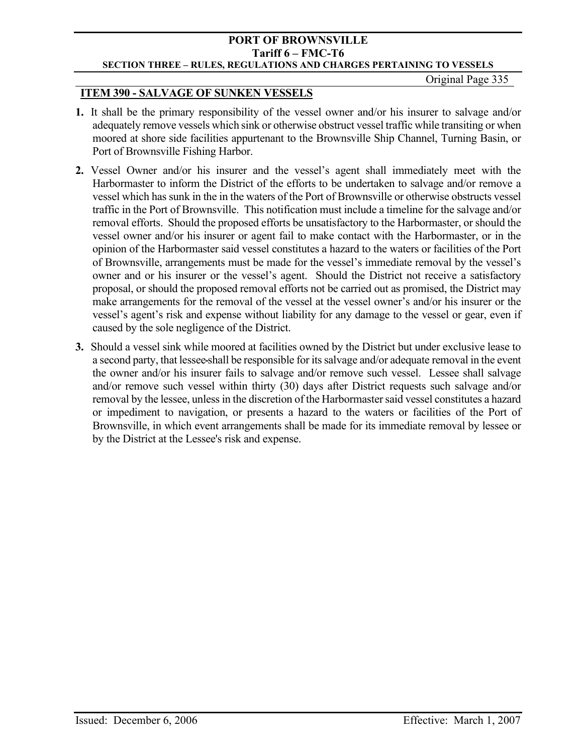#### **PORT OF BROWNSVILLE Tariff 6 – FMC-T6 SECTION THREE – RULES, REGULATIONS AND CHARGES PERTAINING TO VESSELS**

Original Page 335

## **ITEM 390 - SALVAGE OF SUNKEN VESSELS**

- **1.** It shall be the primary responsibility of the vessel owner and/or his insurer to salvage and/or adequately remove vessels which sink or otherwise obstruct vessel traffic while transiting or when moored at shore side facilities appurtenant to the Brownsville Ship Channel, Turning Basin, or Port of Brownsville Fishing Harbor.
- **2.** Vessel Owner and/or his insurer and the vessel's agent shall immediately meet with the Harbormaster to inform the District of the efforts to be undertaken to salvage and/or remove a vessel which has sunk in the in the waters of the Port of Brownsville or otherwise obstructs vessel traffic in the Port of Brownsville. This notification must include a timeline for the salvage and/or removal efforts. Should the proposed efforts be unsatisfactory to the Harbormaster, or should the vessel owner and/or his insurer or agent fail to make contact with the Harbormaster, or in the opinion of the Harbormaster said vessel constitutes a hazard to the waters or facilities of the Port of Brownsville, arrangements must be made for the vessel's immediate removal by the vessel's owner and or his insurer or the vessel's agent. Should the District not receive a satisfactory proposal, or should the proposed removal efforts not be carried out as promised, the District may make arrangements for the removal of the vessel at the vessel owner's and/or his insurer or the vessel's agent's risk and expense without liability for any damage to the vessel or gear, even if caused by the sole negligence of the District.
- **3.** Should a vessel sink while moored at facilities owned by the District but under exclusive lease to a second party, that lessee shall be responsible for its salvage and/or adequate removal in the event the owner and/or his insurer fails to salvage and/or remove such vessel. Lessee shall salvage and/or remove such vessel within thirty (30) days after District requests such salvage and/or removal by the lessee, unless in the discretion of the Harbormaster said vessel constitutes a hazard or impediment to navigation, or presents a hazard to the waters or facilities of the Port of Brownsville, in which event arrangements shall be made for its immediate removal by lessee or by the District at the Lessee's risk and expense.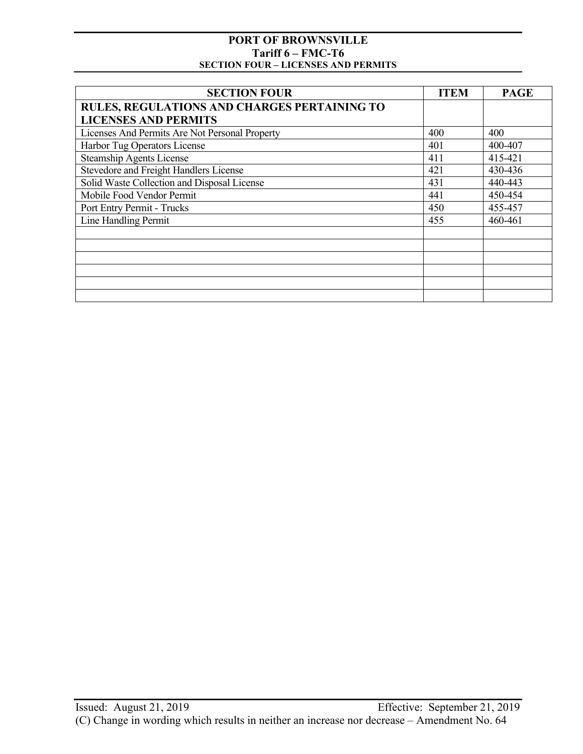| <b>SECTION FOUR</b>                            | <b>ITEM</b> | <b>PAGE</b> |
|------------------------------------------------|-------------|-------------|
| RULES, REGULATIONS AND CHARGES PERTAINING TO   |             |             |
| <b>LICENSES AND PERMITS</b>                    |             |             |
| Licenses And Permits Are Not Personal Property | 400         | 400         |
| Harbor Tug Operators License                   | 401         | 400-407     |
| <b>Steamship Agents License</b>                | 411         | 415-421     |
| Stevedore and Freight Handlers License         | 421         | 430-436     |
| Solid Waste Collection and Disposal License    | 431         | 440-443     |
| Mobile Food Vendor Permit                      | 441         | 450-454     |
| Port Entry Permit - Trucks                     | 450         | 455-457     |
| Line Handling Permit                           | 455         | 460-461     |
|                                                |             |             |
|                                                |             |             |
|                                                |             |             |
|                                                |             |             |
|                                                |             |             |
|                                                |             |             |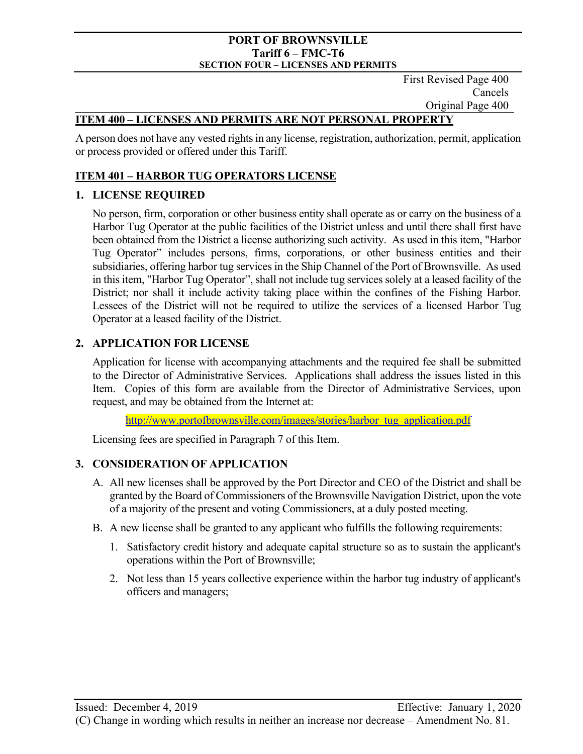First Revised Page 400 Cancels Original Page 400

## **ITEM 400 – LICENSES AND PERMITS ARE NOT PERSONAL PROPERTY**

A person does not have any vested rights in any license, registration, authorization, permit, application or process provided or offered under this Tariff.

# **ITEM 401 – HARBOR TUG OPERATORS LICENSE**

## **1. LICENSE REQUIRED**

No person, firm, corporation or other business entity shall operate as or carry on the business of a Harbor Tug Operator at the public facilities of the District unless and until there shall first have been obtained from the District a license authorizing such activity. As used in this item, "Harbor Tug Operator" includes persons, firms, corporations, or other business entities and their subsidiaries, offering harbor tug services in the Ship Channel of the Port of Brownsville. As used in this item, "Harbor Tug Operator", shall not include tug services solely at a leased facility of the District; nor shall it include activity taking place within the confines of the Fishing Harbor. Lessees of the District will not be required to utilize the services of a licensed Harbor Tug Operator at a leased facility of the District.

## **2. APPLICATION FOR LICENSE**

Application for license with accompanying attachments and the required fee shall be submitted to the Director of Administrative Services. Applications shall address the issues listed in this Item. Copies of this form are available from the Director of Administrative Services, upon request, and may be obtained from the Internet at:

http://www.portofbrownsville.com/images/stories/harbor\_tug\_application.pdf

Licensing fees are specified in Paragraph 7 of this Item.

# **3. CONSIDERATION OF APPLICATION**

- A. All new licenses shall be approved by the Port Director and CEO of the District and shall be granted by the Board of Commissioners of the Brownsville Navigation District, upon the vote of a majority of the present and voting Commissioners, at a duly posted meeting.
- B. A new license shall be granted to any applicant who fulfills the following requirements:
	- 1. Satisfactory credit history and adequate capital structure so as to sustain the applicant's operations within the Port of Brownsville;
	- 2. Not less than 15 years collective experience within the harbor tug industry of applicant's officers and managers;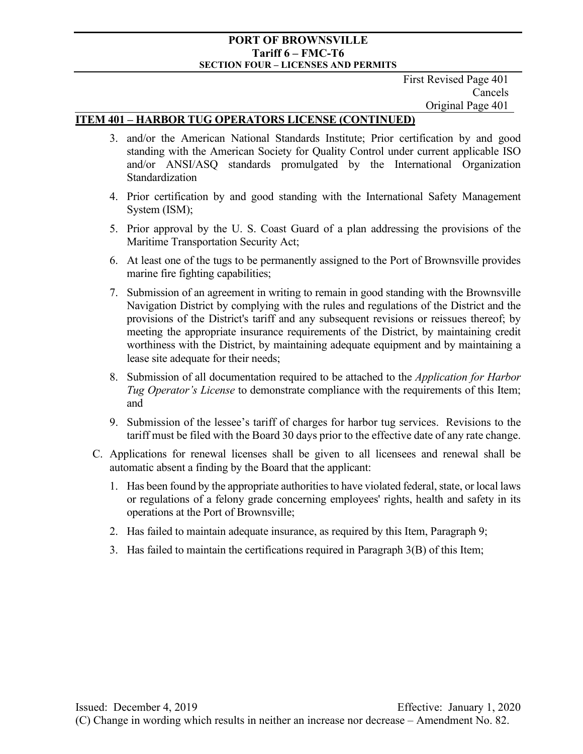First Revised Page 401 Cancels Original Page 401

#### **ITEM 401 – HARBOR TUG OPERATORS LICENSE (CONTINUED)**

- 3. and/or the American National Standards Institute; Prior certification by and good standing with the American Society for Quality Control under current applicable ISO and/or ANSI/ASQ standards promulgated by the International Organization Standardization
- 4. Prior certification by and good standing with the International Safety Management System (ISM);
- 5. Prior approval by the U. S. Coast Guard of a plan addressing the provisions of the Maritime Transportation Security Act;
- 6. At least one of the tugs to be permanently assigned to the Port of Brownsville provides marine fire fighting capabilities;
- 7. Submission of an agreement in writing to remain in good standing with the Brownsville Navigation District by complying with the rules and regulations of the District and the provisions of the District's tariff and any subsequent revisions or reissues thereof; by meeting the appropriate insurance requirements of the District, by maintaining credit worthiness with the District, by maintaining adequate equipment and by maintaining a lease site adequate for their needs;
- 8. Submission of all documentation required to be attached to the *Application for Harbor Tug Operator's License* to demonstrate compliance with the requirements of this Item; and
- 9. Submission of the lessee's tariff of charges for harbor tug services. Revisions to the tariff must be filed with the Board 30 days prior to the effective date of any rate change.
- C. Applications for renewal licenses shall be given to all licensees and renewal shall be automatic absent a finding by the Board that the applicant:
	- 1. Has been found by the appropriate authorities to have violated federal, state, or local laws or regulations of a felony grade concerning employees' rights, health and safety in its operations at the Port of Brownsville;
	- 2. Has failed to maintain adequate insurance, as required by this Item, Paragraph 9;
	- 3. Has failed to maintain the certifications required in Paragraph 3(B) of this Item;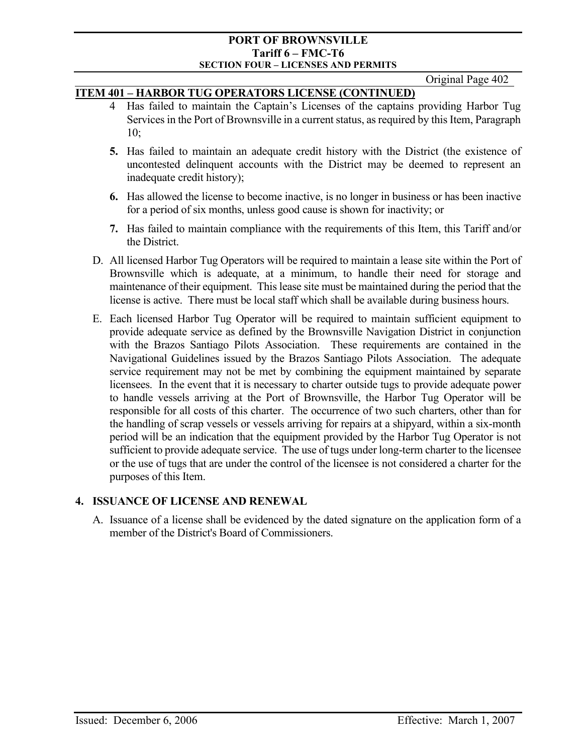Original Page 402

## **ITEM 401 – HARBOR TUG OPERATORS LICENSE (CONTINUED)**

- 4 Has failed to maintain the Captain's Licenses of the captains providing Harbor Tug Services in the Port of Brownsville in a current status, as required by this Item, Paragraph 10;
- **5.** Has failed to maintain an adequate credit history with the District (the existence of uncontested delinquent accounts with the District may be deemed to represent an inadequate credit history);
- **6.** Has allowed the license to become inactive, is no longer in business or has been inactive for a period of six months, unless good cause is shown for inactivity; or
- **7.** Has failed to maintain compliance with the requirements of this Item, this Tariff and/or the District.
- D. All licensed Harbor Tug Operators will be required to maintain a lease site within the Port of Brownsville which is adequate, at a minimum, to handle their need for storage and maintenance of their equipment. This lease site must be maintained during the period that the license is active. There must be local staff which shall be available during business hours.
- E. Each licensed Harbor Tug Operator will be required to maintain sufficient equipment to provide adequate service as defined by the Brownsville Navigation District in conjunction with the Brazos Santiago Pilots Association. These requirements are contained in the Navigational Guidelines issued by the Brazos Santiago Pilots Association. The adequate service requirement may not be met by combining the equipment maintained by separate licensees. In the event that it is necessary to charter outside tugs to provide adequate power to handle vessels arriving at the Port of Brownsville, the Harbor Tug Operator will be responsible for all costs of this charter. The occurrence of two such charters, other than for the handling of scrap vessels or vessels arriving for repairs at a shipyard, within a six-month period will be an indication that the equipment provided by the Harbor Tug Operator is not sufficient to provide adequate service. The use of tugs under long-term charter to the licensee or the use of tugs that are under the control of the licensee is not considered a charter for the purposes of this Item.

## **4. ISSUANCE OF LICENSE AND RENEWAL**

A. Issuance of a license shall be evidenced by the dated signature on the application form of a member of the District's Board of Commissioners.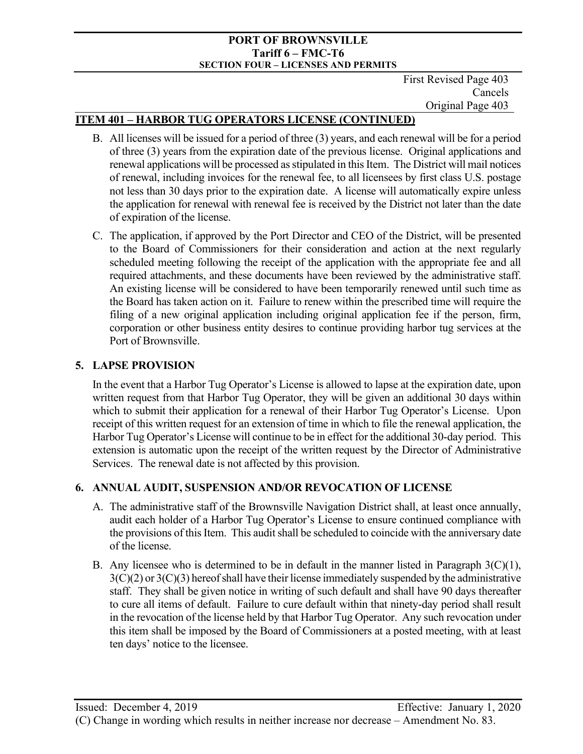First Revised Page 403 Cancels Original Page 403

# **ITEM 401 – HARBOR TUG OPERATORS LICENSE (CONTINUED)**

- B. All licenses will be issued for a period of three (3) years, and each renewal will be for a period of three (3) years from the expiration date of the previous license. Original applications and renewal applications will be processed as stipulated in this Item. The District will mail notices of renewal, including invoices for the renewal fee, to all licensees by first class U.S. postage not less than 30 days prior to the expiration date. A license will automatically expire unless the application for renewal with renewal fee is received by the District not later than the date of expiration of the license.
- C. The application, if approved by the Port Director and CEO of the District, will be presented to the Board of Commissioners for their consideration and action at the next regularly scheduled meeting following the receipt of the application with the appropriate fee and all required attachments, and these documents have been reviewed by the administrative staff. An existing license will be considered to have been temporarily renewed until such time as the Board has taken action on it. Failure to renew within the prescribed time will require the filing of a new original application including original application fee if the person, firm, corporation or other business entity desires to continue providing harbor tug services at the Port of Brownsville.

## **5. LAPSE PROVISION**

In the event that a Harbor Tug Operator's License is allowed to lapse at the expiration date, upon written request from that Harbor Tug Operator, they will be given an additional 30 days within which to submit their application for a renewal of their Harbor Tug Operator's License. Upon receipt of this written request for an extension of time in which to file the renewal application, the Harbor Tug Operator's License will continue to be in effect for the additional 30-day period. This extension is automatic upon the receipt of the written request by the Director of Administrative Services. The renewal date is not affected by this provision.

## **6. ANNUAL AUDIT, SUSPENSION AND/OR REVOCATION OF LICENSE**

- A. The administrative staff of the Brownsville Navigation District shall, at least once annually, audit each holder of a Harbor Tug Operator's License to ensure continued compliance with the provisions of this Item. This audit shall be scheduled to coincide with the anniversary date of the license.
- B. Any licensee who is determined to be in default in the manner listed in Paragraph  $3(C)(1)$ ,  $3(C)(2)$  or  $3(C)(3)$  hereof shall have their license immediately suspended by the administrative staff. They shall be given notice in writing of such default and shall have 90 days thereafter to cure all items of default. Failure to cure default within that ninety-day period shall result in the revocation of the license held by that Harbor Tug Operator. Any such revocation under this item shall be imposed by the Board of Commissioners at a posted meeting, with at least ten days' notice to the licensee.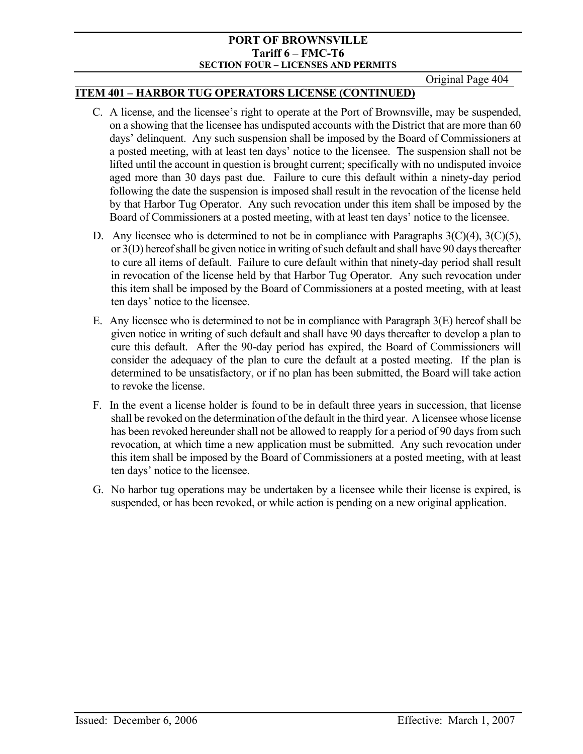Original Page 404

## **ITEM 401 – HARBOR TUG OPERATORS LICENSE (CONTINUED)**

- C. A license, and the licensee's right to operate at the Port of Brownsville, may be suspended, on a showing that the licensee has undisputed accounts with the District that are more than 60 days' delinquent. Any such suspension shall be imposed by the Board of Commissioners at a posted meeting, with at least ten days' notice to the licensee. The suspension shall not be lifted until the account in question is brought current; specifically with no undisputed invoice aged more than 30 days past due. Failure to cure this default within a ninety-day period following the date the suspension is imposed shall result in the revocation of the license held by that Harbor Tug Operator. Any such revocation under this item shall be imposed by the Board of Commissioners at a posted meeting, with at least ten days' notice to the licensee.
- D. Any licensee who is determined to not be in compliance with Paragraphs  $3(C)(4)$ ,  $3(C)(5)$ , or 3(D) hereof shall be given notice in writing of such default and shall have 90 days thereafter to cure all items of default. Failure to cure default within that ninety-day period shall result in revocation of the license held by that Harbor Tug Operator. Any such revocation under this item shall be imposed by the Board of Commissioners at a posted meeting, with at least ten days' notice to the licensee.
- E. Any licensee who is determined to not be in compliance with Paragraph 3(E) hereof shall be given notice in writing of such default and shall have 90 days thereafter to develop a plan to cure this default. After the 90-day period has expired, the Board of Commissioners will consider the adequacy of the plan to cure the default at a posted meeting. If the plan is determined to be unsatisfactory, or if no plan has been submitted, the Board will take action to revoke the license.
- F. In the event a license holder is found to be in default three years in succession, that license shall be revoked on the determination of the default in the third year. A licensee whose license has been revoked hereunder shall not be allowed to reapply for a period of 90 days from such revocation, at which time a new application must be submitted. Any such revocation under this item shall be imposed by the Board of Commissioners at a posted meeting, with at least ten days' notice to the licensee.
- G. No harbor tug operations may be undertaken by a licensee while their license is expired, is suspended, or has been revoked, or while action is pending on a new original application.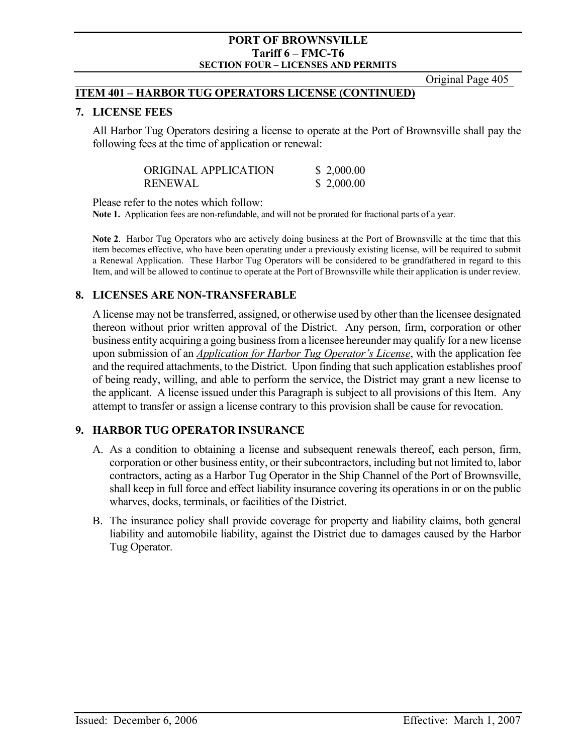Original Page 405

#### **ITEM 401 – HARBOR TUG OPERATORS LICENSE (CONTINUED)**

#### **7. LICENSE FEES**

All Harbor Tug Operators desiring a license to operate at the Port of Brownsville shall pay the following fees at the time of application or renewal:

| ORIGINAL APPLICATION | \$2,000.00 |
|----------------------|------------|
| <b>RENEWAL</b>       | \$2,000.00 |

Please refer to the notes which follow:

**Note 1.** Application fees are non-refundable, and will not be prorated for fractional parts of a year.

**Note 2**. Harbor Tug Operators who are actively doing business at the Port of Brownsville at the time that this item becomes effective, who have been operating under a previously existing license, will be required to submit a Renewal Application. These Harbor Tug Operators will be considered to be grandfathered in regard to this Item, and will be allowed to continue to operate at the Port of Brownsville while their application is under review.

## **8. LICENSES ARE NON-TRANSFERABLE**

A license may not be transferred, assigned, or otherwise used by other than the licensee designated thereon without prior written approval of the District. Any person, firm, corporation or other business entity acquiring a going business from a licensee hereunder may qualify for a new license upon submission of an *Application for Harbor Tug Operator's License*, with the application fee and the required attachments, to the District. Upon finding that such application establishes proof of being ready, willing, and able to perform the service, the District may grant a new license to the applicant. A license issued under this Paragraph is subject to all provisions of this Item. Any attempt to transfer or assign a license contrary to this provision shall be cause for revocation.

#### **9. HARBOR TUG OPERATOR INSURANCE**

- A. As a condition to obtaining a license and subsequent renewals thereof, each person, firm, corporation or other business entity, or their subcontractors, including but not limited to, labor contractors, acting as a Harbor Tug Operator in the Ship Channel of the Port of Brownsville, shall keep in full force and effect liability insurance covering its operations in or on the public wharves, docks, terminals, or facilities of the District.
- B. The insurance policy shall provide coverage for property and liability claims, both general liability and automobile liability, against the District due to damages caused by the Harbor Tug Operator.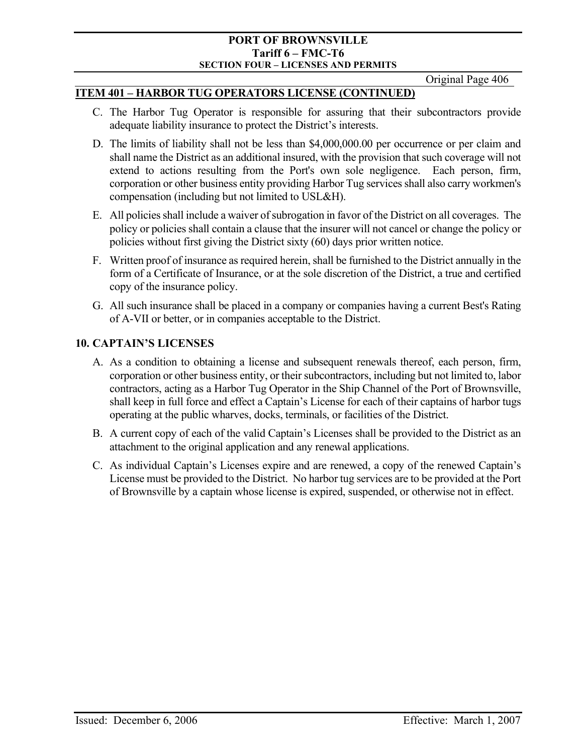Original Page 406

#### **ITEM 401 – HARBOR TUG OPERATORS LICENSE (CONTINUED)**

- C. The Harbor Tug Operator is responsible for assuring that their subcontractors provide adequate liability insurance to protect the District's interests.
- D. The limits of liability shall not be less than \$4,000,000.00 per occurrence or per claim and shall name the District as an additional insured, with the provision that such coverage will not extend to actions resulting from the Port's own sole negligence. Each person, firm, corporation or other business entity providing Harbor Tug services shall also carry workmen's compensation (including but not limited to USL&H).
- E. All policies shall include a waiver of subrogation in favor of the District on all coverages. The policy or policies shall contain a clause that the insurer will not cancel or change the policy or policies without first giving the District sixty (60) days prior written notice.
- F. Written proof of insurance as required herein, shall be furnished to the District annually in the form of a Certificate of Insurance, or at the sole discretion of the District, a true and certified copy of the insurance policy.
- G. All such insurance shall be placed in a company or companies having a current Best's Rating of A-VII or better, or in companies acceptable to the District.

## **10. CAPTAIN'S LICENSES**

- A. As a condition to obtaining a license and subsequent renewals thereof, each person, firm, corporation or other business entity, or their subcontractors, including but not limited to, labor contractors, acting as a Harbor Tug Operator in the Ship Channel of the Port of Brownsville, shall keep in full force and effect a Captain's License for each of their captains of harbor tugs operating at the public wharves, docks, terminals, or facilities of the District.
- B. A current copy of each of the valid Captain's Licenses shall be provided to the District as an attachment to the original application and any renewal applications.
- C. As individual Captain's Licenses expire and are renewed, a copy of the renewed Captain's License must be provided to the District. No harbor tug services are to be provided at the Port of Brownsville by a captain whose license is expired, suspended, or otherwise not in effect.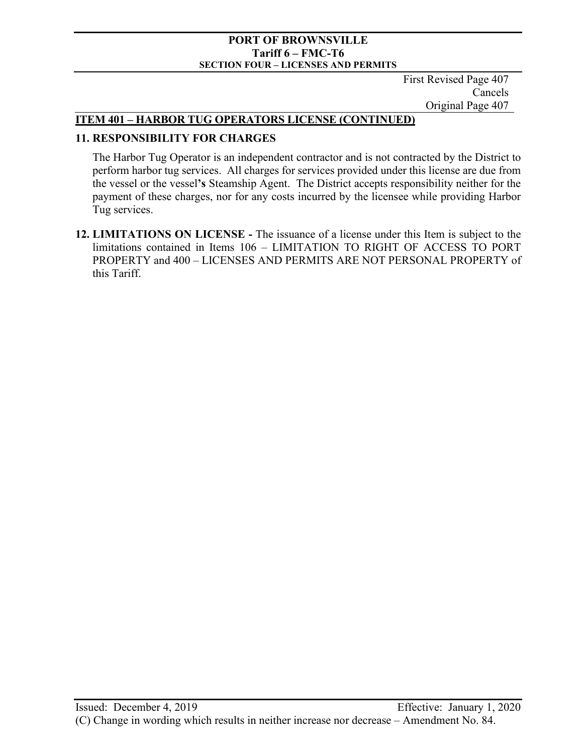First Revised Page 407 Cancels Original Page 407

## **ITEM 401 – HARBOR TUG OPERATORS LICENSE (CONTINUED)**

## **11. RESPONSIBILITY FOR CHARGES**

The Harbor Tug Operator is an independent contractor and is not contracted by the District to perform harbor tug services. All charges for services provided under this license are due from the vessel or the vessel**'s** Steamship Agent. The District accepts responsibility neither for the payment of these charges, nor for any costs incurred by the licensee while providing Harbor Tug services.

**12. LIMITATIONS ON LICENSE -** The issuance of a license under this Item is subject to the limitations contained in Items 106 – LIMITATION TO RIGHT OF ACCESS TO PORT PROPERTY and 400 – LICENSES AND PERMITS ARE NOT PERSONAL PROPERTY of this Tariff.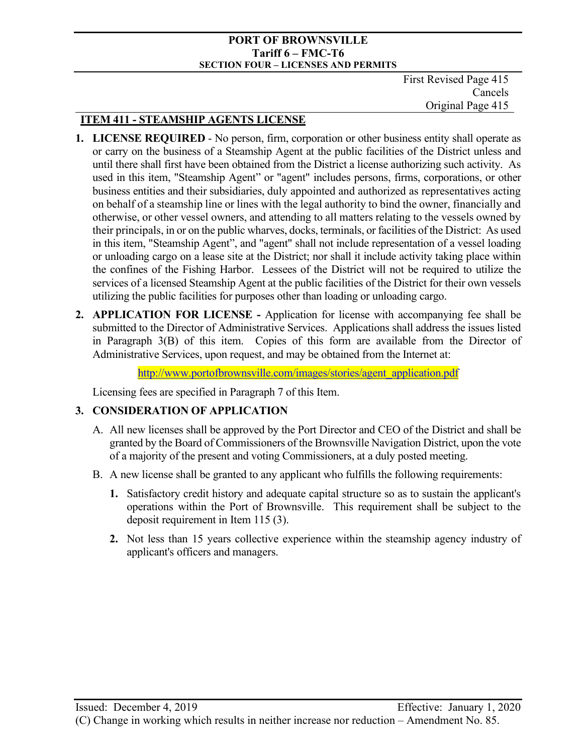First Revised Page 415 Cancels Original Page 415

# **ITEM 411 - STEAMSHIP AGENTS LICENSE**

- **1. LICENSE REQUIRED** No person, firm, corporation or other business entity shall operate as or carry on the business of a Steamship Agent at the public facilities of the District unless and until there shall first have been obtained from the District a license authorizing such activity. As used in this item, "Steamship Agent" or "agent" includes persons, firms, corporations, or other business entities and their subsidiaries, duly appointed and authorized as representatives acting on behalf of a steamship line or lines with the legal authority to bind the owner, financially and otherwise, or other vessel owners, and attending to all matters relating to the vessels owned by their principals, in or on the public wharves, docks, terminals, or facilities of the District: As used in this item, "Steamship Agent", and "agent" shall not include representation of a vessel loading or unloading cargo on a lease site at the District; nor shall it include activity taking place within the confines of the Fishing Harbor. Lessees of the District will not be required to utilize the services of a licensed Steamship Agent at the public facilities of the District for their own vessels utilizing the public facilities for purposes other than loading or unloading cargo.
- **2. APPLICATION FOR LICENSE** Application for license with accompanying fee shall be submitted to the Director of Administrative Services. Applications shall address the issues listed in Paragraph 3(B) of this item. Copies of this form are available from the Director of Administrative Services, upon request, and may be obtained from the Internet at:

[http://www.portofbrownsville.com/images/stories/agent\\_application.pdf](http://www.portofbrownsville.com/images/stories/agent_application.pdf)

Licensing fees are specified in Paragraph 7 of this Item.

# **3. CONSIDERATION OF APPLICATION**

- A. All new licenses shall be approved by the Port Director and CEO of the District and shall be granted by the Board of Commissioners of the Brownsville Navigation District, upon the vote of a majority of the present and voting Commissioners, at a duly posted meeting.
- B. A new license shall be granted to any applicant who fulfills the following requirements:
	- **1.** Satisfactory credit history and adequate capital structure so as to sustain the applicant's operations within the Port of Brownsville. This requirement shall be subject to the deposit requirement in Item 115 (3).
	- **2.** Not less than 15 years collective experience within the steamship agency industry of applicant's officers and managers.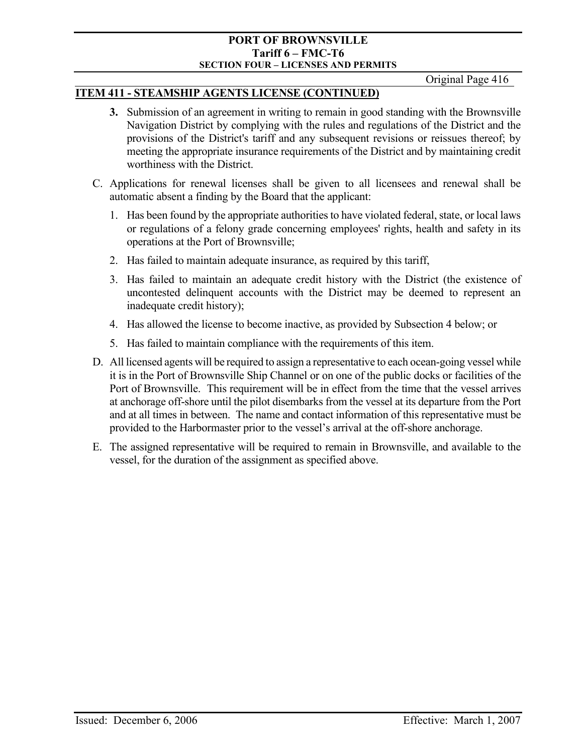Original Page 416

## **ITEM 411 - STEAMSHIP AGENTS LICENSE (CONTINUED)**

- **3.** Submission of an agreement in writing to remain in good standing with the Brownsville Navigation District by complying with the rules and regulations of the District and the provisions of the District's tariff and any subsequent revisions or reissues thereof; by meeting the appropriate insurance requirements of the District and by maintaining credit worthiness with the District.
- C. Applications for renewal licenses shall be given to all licensees and renewal shall be automatic absent a finding by the Board that the applicant:
	- 1. Has been found by the appropriate authorities to have violated federal, state, or local laws or regulations of a felony grade concerning employees' rights, health and safety in its operations at the Port of Brownsville;
	- 2. Has failed to maintain adequate insurance, as required by this tariff,
	- 3. Has failed to maintain an adequate credit history with the District (the existence of uncontested delinquent accounts with the District may be deemed to represent an inadequate credit history);
	- 4. Has allowed the license to become inactive, as provided by Subsection 4 below; or
	- 5. Has failed to maintain compliance with the requirements of this item.
- D. All licensed agents will be required to assign a representative to each ocean-going vessel while it is in the Port of Brownsville Ship Channel or on one of the public docks or facilities of the Port of Brownsville. This requirement will be in effect from the time that the vessel arrives at anchorage off-shore until the pilot disembarks from the vessel at its departure from the Port and at all times in between. The name and contact information of this representative must be provided to the Harbormaster prior to the vessel's arrival at the off-shore anchorage.
- E. The assigned representative will be required to remain in Brownsville, and available to the vessel, for the duration of the assignment as specified above.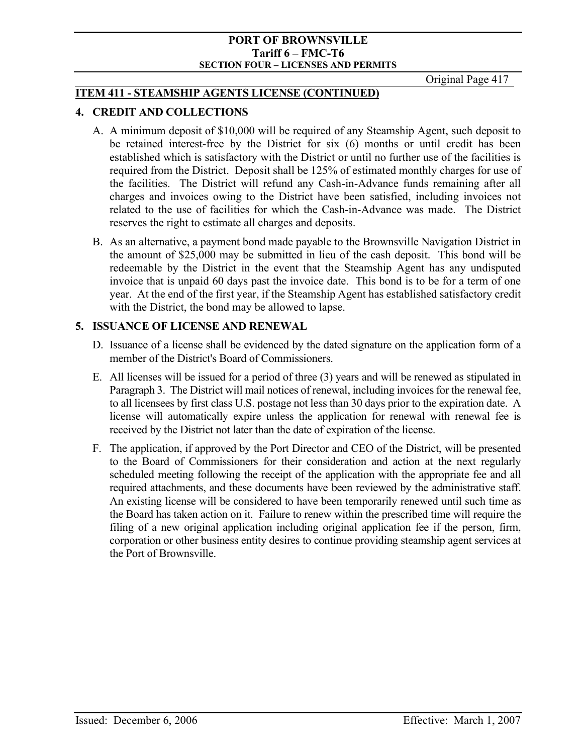Original Page 417

## **ITEM 411 - STEAMSHIP AGENTS LICENSE (CONTINUED)**

## **4. CREDIT AND COLLECTIONS**

- A. A minimum deposit of \$10,000 will be required of any Steamship Agent, such deposit to be retained interest-free by the District for six (6) months or until credit has been established which is satisfactory with the District or until no further use of the facilities is required from the District. Deposit shall be 125% of estimated monthly charges for use of the facilities. The District will refund any Cash-in-Advance funds remaining after all charges and invoices owing to the District have been satisfied, including invoices not related to the use of facilities for which the Cash-in-Advance was made. The District reserves the right to estimate all charges and deposits.
- B. As an alternative, a payment bond made payable to the Brownsville Navigation District in the amount of \$25,000 may be submitted in lieu of the cash deposit. This bond will be redeemable by the District in the event that the Steamship Agent has any undisputed invoice that is unpaid 60 days past the invoice date. This bond is to be for a term of one year. At the end of the first year, if the Steamship Agent has established satisfactory credit with the District, the bond may be allowed to lapse.

## **5. ISSUANCE OF LICENSE AND RENEWAL**

- D. Issuance of a license shall be evidenced by the dated signature on the application form of a member of the District's Board of Commissioners.
- E. All licenses will be issued for a period of three (3) years and will be renewed as stipulated in Paragraph 3. The District will mail notices of renewal, including invoices for the renewal fee, to all licensees by first class U.S. postage not less than 30 days prior to the expiration date. A license will automatically expire unless the application for renewal with renewal fee is received by the District not later than the date of expiration of the license.
- F. The application, if approved by the Port Director and CEO of the District, will be presented to the Board of Commissioners for their consideration and action at the next regularly scheduled meeting following the receipt of the application with the appropriate fee and all required attachments, and these documents have been reviewed by the administrative staff. An existing license will be considered to have been temporarily renewed until such time as the Board has taken action on it. Failure to renew within the prescribed time will require the filing of a new original application including original application fee if the person, firm, corporation or other business entity desires to continue providing steamship agent services at the Port of Brownsville.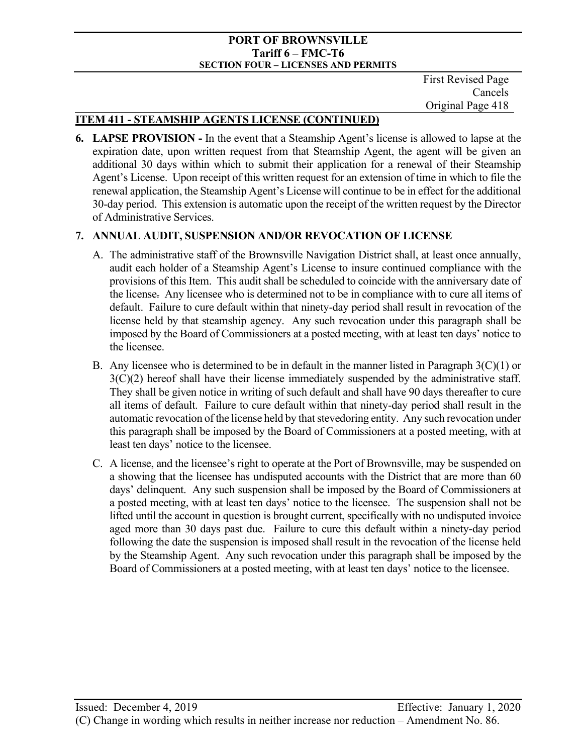First Revised Page Cancels Original Page 418

# **ITEM 411 - STEAMSHIP AGENTS LICENSE (CONTINUED)**

**6. LAPSE PROVISION -** In the event that a Steamship Agent's license is allowed to lapse at the expiration date, upon written request from that Steamship Agent, the agent will be given an additional 30 days within which to submit their application for a renewal of their Steamship Agent's License. Upon receipt of this written request for an extension of time in which to file the renewal application, the Steamship Agent's License will continue to be in effect for the additional 30-day period. This extension is automatic upon the receipt of the written request by the Director of Administrative Services.

## **7. ANNUAL AUDIT, SUSPENSION AND/OR REVOCATION OF LICENSE**

- A. The administrative staff of the Brownsville Navigation District shall, at least once annually, audit each holder of a Steamship Agent's License to insure continued compliance with the provisions of this Item. This audit shall be scheduled to coincide with the anniversary date of the license. Any licensee who is determined not to be in compliance with to cure all items of default. Failure to cure default within that ninety-day period shall result in revocation of the license held by that steamship agency. Any such revocation under this paragraph shall be imposed by the Board of Commissioners at a posted meeting, with at least ten days' notice to the licensee.
- B. Any licensee who is determined to be in default in the manner listed in Paragraph  $3(C)(1)$  or  $3(C)(2)$  hereof shall have their license immediately suspended by the administrative staff. They shall be given notice in writing of such default and shall have 90 days thereafter to cure all items of default. Failure to cure default within that ninety-day period shall result in the automatic revocation of the license held by that stevedoring entity. Any such revocation under this paragraph shall be imposed by the Board of Commissioners at a posted meeting, with at least ten days' notice to the licensee.
- C. A license, and the licensee's right to operate at the Port of Brownsville, may be suspended on a showing that the licensee has undisputed accounts with the District that are more than 60 days' delinquent. Any such suspension shall be imposed by the Board of Commissioners at a posted meeting, with at least ten days' notice to the licensee. The suspension shall not be lifted until the account in question is brought current, specifically with no undisputed invoice aged more than 30 days past due. Failure to cure this default within a ninety-day period following the date the suspension is imposed shall result in the revocation of the license held by the Steamship Agent. Any such revocation under this paragraph shall be imposed by the Board of Commissioners at a posted meeting, with at least ten days' notice to the licensee.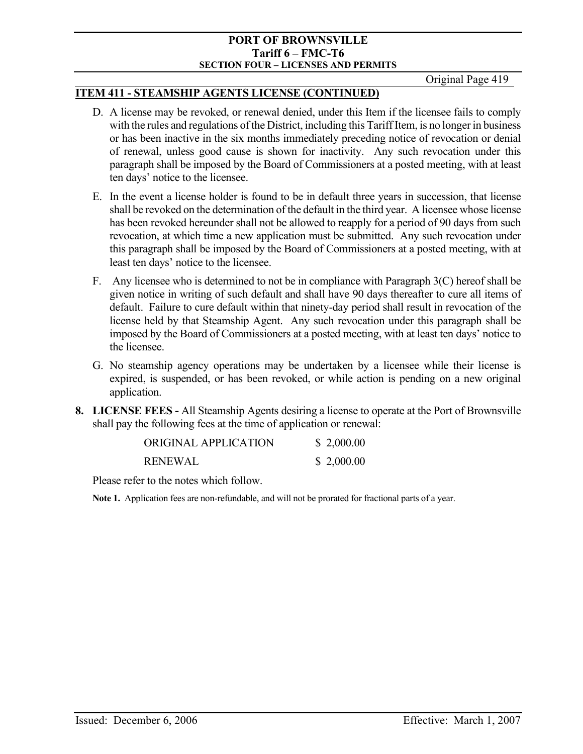Original Page 419

## **ITEM 411 - STEAMSHIP AGENTS LICENSE (CONTINUED)**

- D. A license may be revoked, or renewal denied, under this Item if the licensee fails to comply with the rules and regulations of the District, including this Tariff Item, is no longer in business or has been inactive in the six months immediately preceding notice of revocation or denial of renewal, unless good cause is shown for inactivity. Any such revocation under this paragraph shall be imposed by the Board of Commissioners at a posted meeting, with at least ten days' notice to the licensee.
- E. In the event a license holder is found to be in default three years in succession, that license shall be revoked on the determination of the default in the third year. A licensee whose license has been revoked hereunder shall not be allowed to reapply for a period of 90 days from such revocation, at which time a new application must be submitted. Any such revocation under this paragraph shall be imposed by the Board of Commissioners at a posted meeting, with at least ten days' notice to the licensee.
- F. Any licensee who is determined to not be in compliance with Paragraph 3(C) hereof shall be given notice in writing of such default and shall have 90 days thereafter to cure all items of default. Failure to cure default within that ninety-day period shall result in revocation of the license held by that Steamship Agent. Any such revocation under this paragraph shall be imposed by the Board of Commissioners at a posted meeting, with at least ten days' notice to the licensee.
- G. No steamship agency operations may be undertaken by a licensee while their license is expired, is suspended, or has been revoked, or while action is pending on a new original application.
- **8. LICENSE FEES** All Steamship Agents desiring a license to operate at the Port of Brownsville shall pay the following fees at the time of application or renewal:

| ORIGINAL APPLICATION | \$2,000.00 |
|----------------------|------------|
| <b>RENEWAL</b>       | \$2,000.00 |

Please refer to the notes which follow.

**Note 1.** Application fees are non-refundable, and will not be prorated for fractional parts of a year.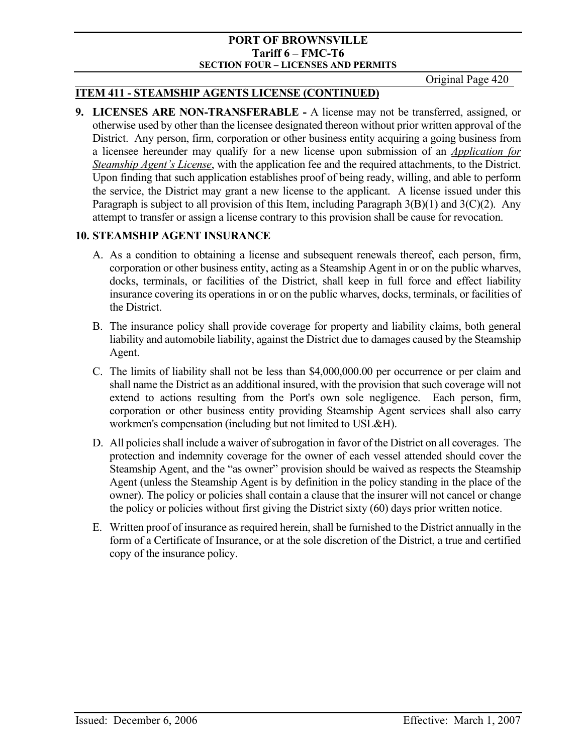Original Page 420

## **ITEM 411 - STEAMSHIP AGENTS LICENSE (CONTINUED)**

**9. LICENSES ARE NON-TRANSFERABLE -** A license may not be transferred, assigned, or otherwise used by other than the licensee designated thereon without prior written approval of the District. Any person, firm, corporation or other business entity acquiring a going business from a licensee hereunder may qualify for a new license upon submission of an *Application for Steamship Agent's License*, with the application fee and the required attachments, to the District. Upon finding that such application establishes proof of being ready, willing, and able to perform the service, the District may grant a new license to the applicant. A license issued under this Paragraph is subject to all provision of this Item, including Paragraph  $3(B)(1)$  and  $3(C)(2)$ . Any attempt to transfer or assign a license contrary to this provision shall be cause for revocation.

## **10. STEAMSHIP AGENT INSURANCE**

- A. As a condition to obtaining a license and subsequent renewals thereof, each person, firm, corporation or other business entity, acting as a Steamship Agent in or on the public wharves, docks, terminals, or facilities of the District, shall keep in full force and effect liability insurance covering its operations in or on the public wharves, docks, terminals, or facilities of the District.
- B. The insurance policy shall provide coverage for property and liability claims, both general liability and automobile liability, against the District due to damages caused by the Steamship Agent.
- C. The limits of liability shall not be less than \$4,000,000.00 per occurrence or per claim and shall name the District as an additional insured, with the provision that such coverage will not extend to actions resulting from the Port's own sole negligence. Each person, firm, corporation or other business entity providing Steamship Agent services shall also carry workmen's compensation (including but not limited to USL&H).
- D. All policies shall include a waiver of subrogation in favor of the District on all coverages. The protection and indemnity coverage for the owner of each vessel attended should cover the Steamship Agent, and the "as owner" provision should be waived as respects the Steamship Agent (unless the Steamship Agent is by definition in the policy standing in the place of the owner). The policy or policies shall contain a clause that the insurer will not cancel or change the policy or policies without first giving the District sixty (60) days prior written notice.
- E. Written proof of insurance as required herein, shall be furnished to the District annually in the form of a Certificate of Insurance, or at the sole discretion of the District, a true and certified copy of the insurance policy.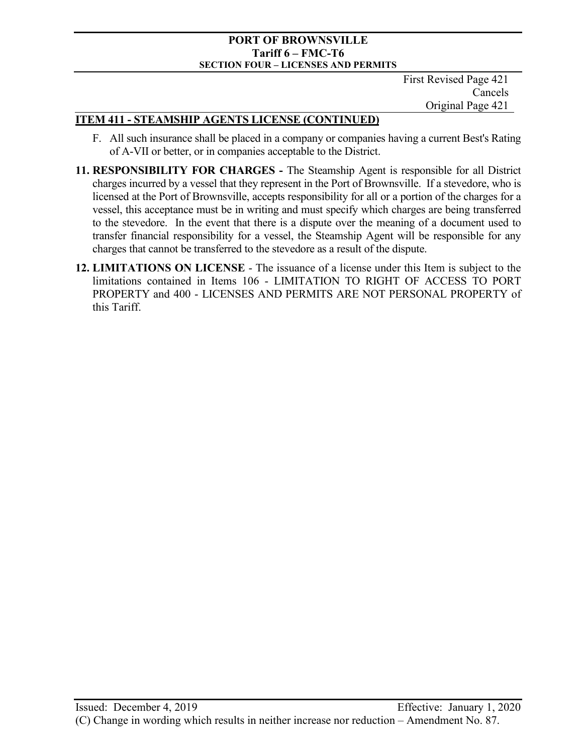First Revised Page 421 Cancels Original Page 421

## **ITEM 411 - STEAMSHIP AGENTS LICENSE (CONTINUED)**

- F. All such insurance shall be placed in a company or companies having a current Best's Rating of A-VII or better, or in companies acceptable to the District.
- **11. RESPONSIBILITY FOR CHARGES** The Steamship Agent is responsible for all District charges incurred by a vessel that they represent in the Port of Brownsville. If a stevedore, who is licensed at the Port of Brownsville, accepts responsibility for all or a portion of the charges for a vessel, this acceptance must be in writing and must specify which charges are being transferred to the stevedore. In the event that there is a dispute over the meaning of a document used to transfer financial responsibility for a vessel, the Steamship Agent will be responsible for any charges that cannot be transferred to the stevedore as a result of the dispute.
- **12. LIMITATIONS ON LICENSE** The issuance of a license under this Item is subject to the limitations contained in Items 106 - LIMITATION TO RIGHT OF ACCESS TO PORT PROPERTY and 400 - LICENSES AND PERMITS ARE NOT PERSONAL PROPERTY of this Tariff.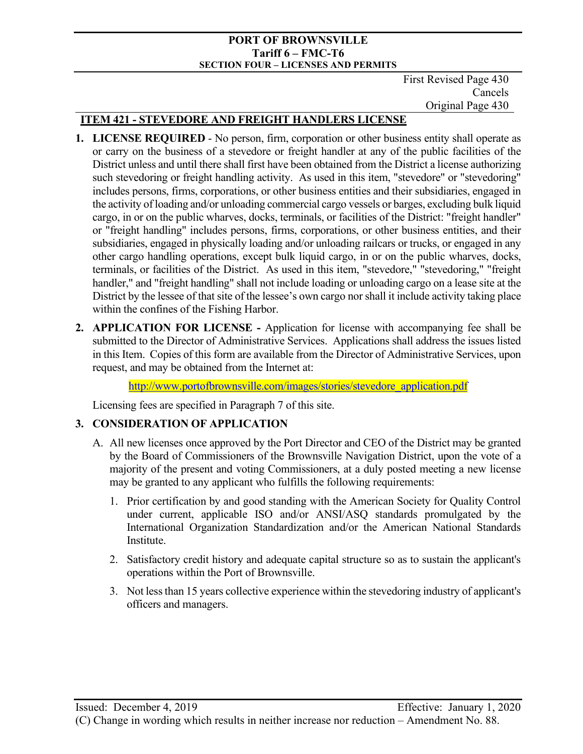First Revised Page 430 Cancels Original Page 430

# **ITEM 421 - STEVEDORE AND FREIGHT HANDLERS LICENSE**

- **1. LICENSE REQUIRED** No person, firm, corporation or other business entity shall operate as or carry on the business of a stevedore or freight handler at any of the public facilities of the District unless and until there shall first have been obtained from the District a license authorizing such stevedoring or freight handling activity. As used in this item, "stevedore" or "stevedoring" includes persons, firms, corporations, or other business entities and their subsidiaries, engaged in the activity of loading and/or unloading commercial cargo vessels or barges, excluding bulk liquid cargo, in or on the public wharves, docks, terminals, or facilities of the District: "freight handler" or "freight handling" includes persons, firms, corporations, or other business entities, and their subsidiaries, engaged in physically loading and/or unloading railcars or trucks, or engaged in any other cargo handling operations, except bulk liquid cargo, in or on the public wharves, docks, terminals, or facilities of the District. As used in this item, "stevedore," "stevedoring," "freight handler," and "freight handling" shall not include loading or unloading cargo on a lease site at the District by the lessee of that site of the lessee's own cargo nor shall it include activity taking place within the confines of the Fishing Harbor.
- **2. APPLICATION FOR LICENSE** Application for license with accompanying fee shall be submitted to the Director of Administrative Services. Applications shall address the issues listed in this Item. Copies of this form are available from the Director of Administrative Services, upon request, and may be obtained from the Internet at:

[http://www.portofbrownsville.com/images/stories/stevedore\\_application.pdf](http://www.portofbrownsville.com/images/stories/stevedore_application.pdf)

Licensing fees are specified in Paragraph 7 of this site.

# **3. CONSIDERATION OF APPLICATION**

- A. All new licenses once approved by the Port Director and CEO of the District may be granted by the Board of Commissioners of the Brownsville Navigation District, upon the vote of a majority of the present and voting Commissioners, at a duly posted meeting a new license may be granted to any applicant who fulfills the following requirements:
	- 1. Prior certification by and good standing with the American Society for Quality Control under current, applicable ISO and/or ANSI/ASQ standards promulgated by the International Organization Standardization and/or the American National Standards Institute.
	- 2. Satisfactory credit history and adequate capital structure so as to sustain the applicant's operations within the Port of Brownsville.
	- 3. Not less than 15 years collective experience within the stevedoring industry of applicant's officers and managers.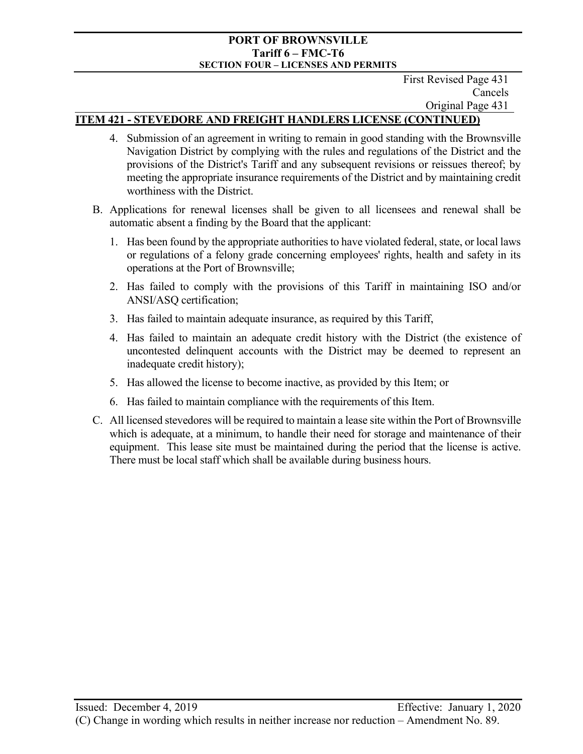First Revised Page 431 Cancels Original Page 431

## **ITEM 421 - STEVEDORE AND FREIGHT HANDLERS LICENSE (CONTINUED)**

- 4. Submission of an agreement in writing to remain in good standing with the Brownsville Navigation District by complying with the rules and regulations of the District and the provisions of the District's Tariff and any subsequent revisions or reissues thereof; by meeting the appropriate insurance requirements of the District and by maintaining credit worthiness with the District.
- B. Applications for renewal licenses shall be given to all licensees and renewal shall be automatic absent a finding by the Board that the applicant:
	- 1. Has been found by the appropriate authorities to have violated federal, state, or local laws or regulations of a felony grade concerning employees' rights, health and safety in its operations at the Port of Brownsville;
	- 2. Has failed to comply with the provisions of this Tariff in maintaining ISO and/or ANSI/ASQ certification;
	- 3. Has failed to maintain adequate insurance, as required by this Tariff,
	- 4. Has failed to maintain an adequate credit history with the District (the existence of uncontested delinquent accounts with the District may be deemed to represent an inadequate credit history);
	- 5. Has allowed the license to become inactive, as provided by this Item; or
	- 6. Has failed to maintain compliance with the requirements of this Item.
- C. All licensed stevedores will be required to maintain a lease site within the Port of Brownsville which is adequate, at a minimum, to handle their need for storage and maintenance of their equipment. This lease site must be maintained during the period that the license is active. There must be local staff which shall be available during business hours.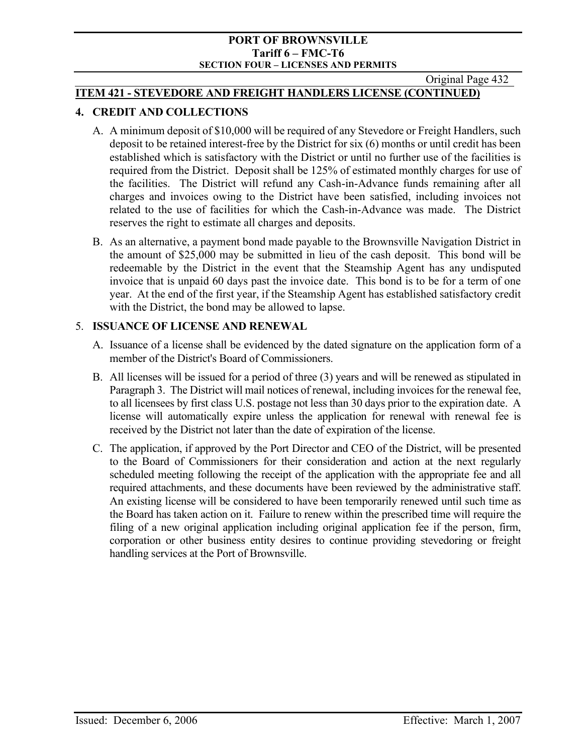Original Page 432

## **ITEM 421 - STEVEDORE AND FREIGHT HANDLERS LICENSE (CONTINUED)**

# **4. CREDIT AND COLLECTIONS**

- A. A minimum deposit of \$10,000 will be required of any Stevedore or Freight Handlers, such deposit to be retained interest-free by the District for six (6) months or until credit has been established which is satisfactory with the District or until no further use of the facilities is required from the District. Deposit shall be 125% of estimated monthly charges for use of the facilities. The District will refund any Cash-in-Advance funds remaining after all charges and invoices owing to the District have been satisfied, including invoices not related to the use of facilities for which the Cash-in-Advance was made. The District reserves the right to estimate all charges and deposits.
- B. As an alternative, a payment bond made payable to the Brownsville Navigation District in the amount of \$25,000 may be submitted in lieu of the cash deposit. This bond will be redeemable by the District in the event that the Steamship Agent has any undisputed invoice that is unpaid 60 days past the invoice date. This bond is to be for a term of one year. At the end of the first year, if the Steamship Agent has established satisfactory credit with the District, the bond may be allowed to lapse.

## 5. **ISSUANCE OF LICENSE AND RENEWAL**

- A. Issuance of a license shall be evidenced by the dated signature on the application form of a member of the District's Board of Commissioners.
- B. All licenses will be issued for a period of three (3) years and will be renewed as stipulated in Paragraph 3. The District will mail notices of renewal, including invoices for the renewal fee, to all licensees by first class U.S. postage not less than 30 days prior to the expiration date. A license will automatically expire unless the application for renewal with renewal fee is received by the District not later than the date of expiration of the license.
- C. The application, if approved by the Port Director and CEO of the District, will be presented to the Board of Commissioners for their consideration and action at the next regularly scheduled meeting following the receipt of the application with the appropriate fee and all required attachments, and these documents have been reviewed by the administrative staff. An existing license will be considered to have been temporarily renewed until such time as the Board has taken action on it. Failure to renew within the prescribed time will require the filing of a new original application including original application fee if the person, firm, corporation or other business entity desires to continue providing stevedoring or freight handling services at the Port of Brownsville.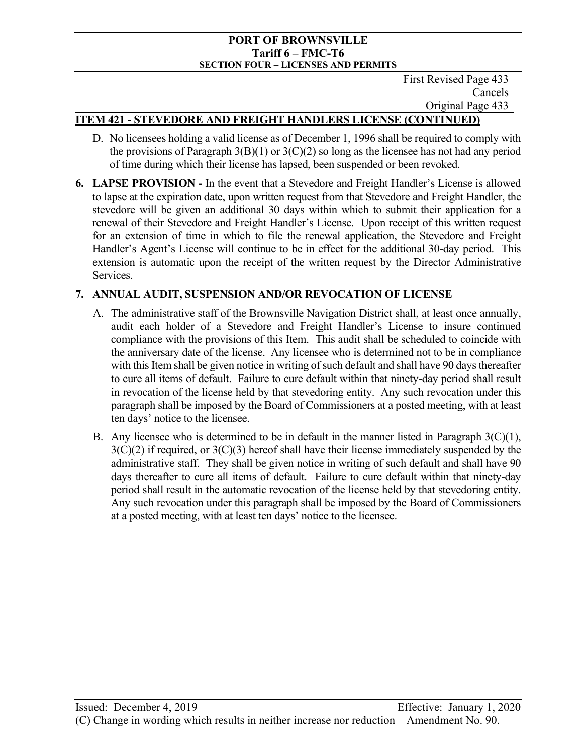First Revised Page 433 Cancels Original Page 433

## **ITEM 421 - STEVEDORE AND FREIGHT HANDLERS LICENSE (CONTINUED)**

- D. No licensees holding a valid license as of December 1, 1996 shall be required to comply with the provisions of Paragraph  $3(B)(1)$  or  $3(C)(2)$  so long as the licensee has not had any period of time during which their license has lapsed, been suspended or been revoked.
- **6. LAPSE PROVISION** In the event that a Stevedore and Freight Handler's License is allowed to lapse at the expiration date, upon written request from that Stevedore and Freight Handler, the stevedore will be given an additional 30 days within which to submit their application for a renewal of their Stevedore and Freight Handler's License. Upon receipt of this written request for an extension of time in which to file the renewal application, the Stevedore and Freight Handler's Agent's License will continue to be in effect for the additional 30-day period. This extension is automatic upon the receipt of the written request by the Director Administrative Services.

## **7. ANNUAL AUDIT, SUSPENSION AND/OR REVOCATION OF LICENSE**

- A. The administrative staff of the Brownsville Navigation District shall, at least once annually, audit each holder of a Stevedore and Freight Handler's License to insure continued compliance with the provisions of this Item. This audit shall be scheduled to coincide with the anniversary date of the license. Any licensee who is determined not to be in compliance with this Item shall be given notice in writing of such default and shall have 90 days thereafter to cure all items of default. Failure to cure default within that ninety-day period shall result in revocation of the license held by that stevedoring entity. Any such revocation under this paragraph shall be imposed by the Board of Commissioners at a posted meeting, with at least ten days' notice to the licensee.
- B. Any licensee who is determined to be in default in the manner listed in Paragraph  $3(C)(1)$ ,  $3(C)(2)$  if required, or  $3(C)(3)$  hereof shall have their license immediately suspended by the administrative staff. They shall be given notice in writing of such default and shall have 90 days thereafter to cure all items of default. Failure to cure default within that ninety-day period shall result in the automatic revocation of the license held by that stevedoring entity. Any such revocation under this paragraph shall be imposed by the Board of Commissioners at a posted meeting, with at least ten days' notice to the licensee.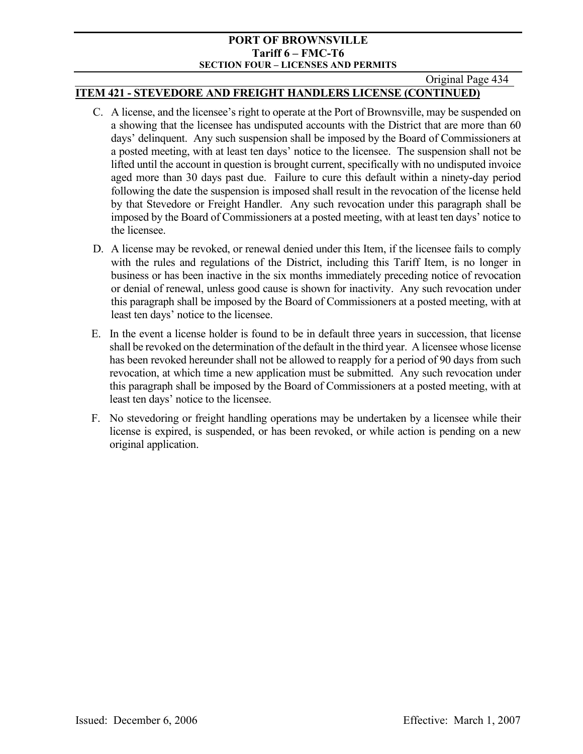#### Original Page 434

## **ITEM 421 - STEVEDORE AND FREIGHT HANDLERS LICENSE (CONTINUED)**

- C. A license, and the licensee's right to operate at the Port of Brownsville, may be suspended on a showing that the licensee has undisputed accounts with the District that are more than 60 days' delinquent. Any such suspension shall be imposed by the Board of Commissioners at a posted meeting, with at least ten days' notice to the licensee. The suspension shall not be lifted until the account in question is brought current, specifically with no undisputed invoice aged more than 30 days past due. Failure to cure this default within a ninety-day period following the date the suspension is imposed shall result in the revocation of the license held by that Stevedore or Freight Handler. Any such revocation under this paragraph shall be imposed by the Board of Commissioners at a posted meeting, with at least ten days' notice to the licensee.
- D. A license may be revoked, or renewal denied under this Item, if the licensee fails to comply with the rules and regulations of the District, including this Tariff Item, is no longer in business or has been inactive in the six months immediately preceding notice of revocation or denial of renewal, unless good cause is shown for inactivity. Any such revocation under this paragraph shall be imposed by the Board of Commissioners at a posted meeting, with at least ten days' notice to the licensee.
- E. In the event a license holder is found to be in default three years in succession, that license shall be revoked on the determination of the default in the third year. A licensee whose license has been revoked hereunder shall not be allowed to reapply for a period of 90 days from such revocation, at which time a new application must be submitted. Any such revocation under this paragraph shall be imposed by the Board of Commissioners at a posted meeting, with at least ten days' notice to the licensee.
- F. No stevedoring or freight handling operations may be undertaken by a licensee while their license is expired, is suspended, or has been revoked, or while action is pending on a new original application.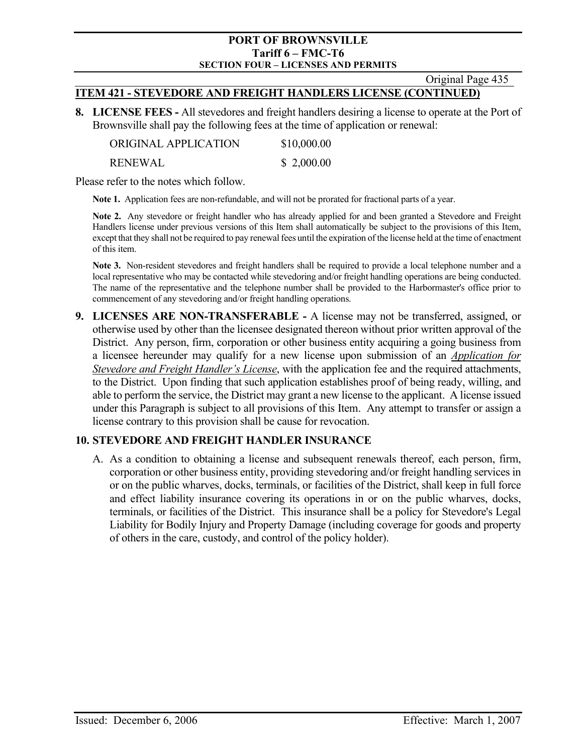Original Page 435

## **ITEM 421 - STEVEDORE AND FREIGHT HANDLERS LICENSE (CONTINUED)**

**8. LICENSE FEES -** All stevedores and freight handlers desiring a license to operate at the Port of Brownsville shall pay the following fees at the time of application or renewal:

| ORIGINAL APPLICATION | \$10,000.00 |
|----------------------|-------------|
| <b>RENEWAL</b>       | \$2,000.00  |

Please refer to the notes which follow.

**Note 1.** Application fees are non-refundable, and will not be prorated for fractional parts of a year.

**Note 2.** Any stevedore or freight handler who has already applied for and been granted a Stevedore and Freight Handlers license under previous versions of this Item shall automatically be subject to the provisions of this Item, except that they shall not be required to pay renewal fees until the expiration of the license held at the time of enactment of this item.

**Note 3.** Non-resident stevedores and freight handlers shall be required to provide a local telephone number and a local representative who may be contacted while stevedoring and/or freight handling operations are being conducted. The name of the representative and the telephone number shall be provided to the Harbormaster's office prior to commencement of any stevedoring and/or freight handling operations.

**9. LICENSES ARE NON-TRANSFERABLE -** A license may not be transferred, assigned, or otherwise used by other than the licensee designated thereon without prior written approval of the District. Any person, firm, corporation or other business entity acquiring a going business from a licensee hereunder may qualify for a new license upon submission of an *Application for Stevedore and Freight Handler's License*, with the application fee and the required attachments, to the District. Upon finding that such application establishes proof of being ready, willing, and able to perform the service, the District may grant a new license to the applicant. A license issued under this Paragraph is subject to all provisions of this Item. Any attempt to transfer or assign a license contrary to this provision shall be cause for revocation.

## **10. STEVEDORE AND FREIGHT HANDLER INSURANCE**

A. As a condition to obtaining a license and subsequent renewals thereof, each person, firm, corporation or other business entity, providing stevedoring and/or freight handling services in or on the public wharves, docks, terminals, or facilities of the District, shall keep in full force and effect liability insurance covering its operations in or on the public wharves, docks, terminals, or facilities of the District. This insurance shall be a policy for Stevedore's Legal Liability for Bodily Injury and Property Damage (including coverage for goods and property of others in the care, custody, and control of the policy holder).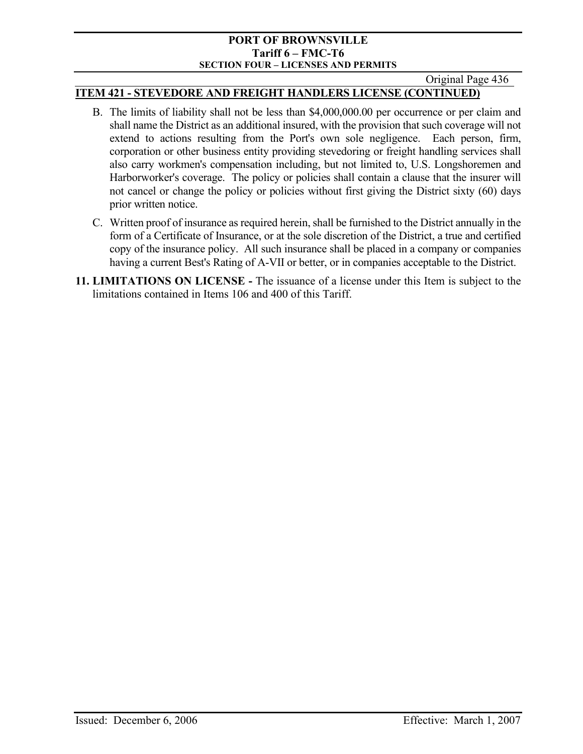## Original Page 436

## **ITEM 421 - STEVEDORE AND FREIGHT HANDLERS LICENSE (CONTINUED)**

- B. The limits of liability shall not be less than \$4,000,000.00 per occurrence or per claim and shall name the District as an additional insured, with the provision that such coverage will not extend to actions resulting from the Port's own sole negligence. Each person, firm, corporation or other business entity providing stevedoring or freight handling services shall also carry workmen's compensation including, but not limited to, U.S. Longshoremen and Harborworker's coverage. The policy or policies shall contain a clause that the insurer will not cancel or change the policy or policies without first giving the District sixty (60) days prior written notice.
- C. Written proof of insurance as required herein, shall be furnished to the District annually in the form of a Certificate of Insurance, or at the sole discretion of the District, a true and certified copy of the insurance policy. All such insurance shall be placed in a company or companies having a current Best's Rating of A-VII or better, or in companies acceptable to the District.
- **11. LIMITATIONS ON LICENSE** The issuance of a license under this Item is subject to the limitations contained in Items 106 and 400 of this Tariff.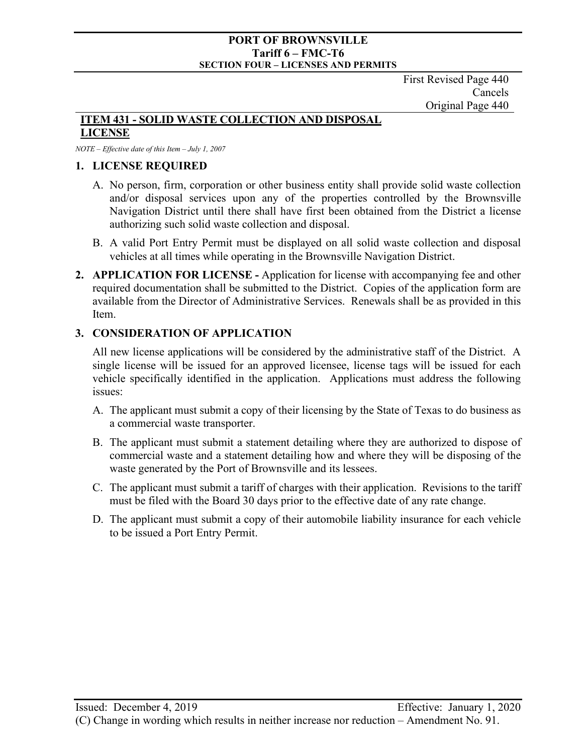First Revised Page 440 Cancels Original Page 440

#### **ITEM 431 - SOLID WASTE COLLECTION AND DISPOSAL LICENSE**

#### *NOTE – Effective date of this Item – July 1, 2007*

## **1. LICENSE REQUIRED**

- A. No person, firm, corporation or other business entity shall provide solid waste collection and/or disposal services upon any of the properties controlled by the Brownsville Navigation District until there shall have first been obtained from the District a license authorizing such solid waste collection and disposal.
- B. A valid Port Entry Permit must be displayed on all solid waste collection and disposal vehicles at all times while operating in the Brownsville Navigation District.
- **2. APPLICATION FOR LICENSE** Application for license with accompanying fee and other required documentation shall be submitted to the District. Copies of the application form are available from the Director of Administrative Services. Renewals shall be as provided in this Item.

## **3. CONSIDERATION OF APPLICATION**

All new license applications will be considered by the administrative staff of the District. A single license will be issued for an approved licensee, license tags will be issued for each vehicle specifically identified in the application. Applications must address the following issues:

- A. The applicant must submit a copy of their licensing by the State of Texas to do business as a commercial waste transporter.
- B. The applicant must submit a statement detailing where they are authorized to dispose of commercial waste and a statement detailing how and where they will be disposing of the waste generated by the Port of Brownsville and its lessees.
- C. The applicant must submit a tariff of charges with their application. Revisions to the tariff must be filed with the Board 30 days prior to the effective date of any rate change.
- D. The applicant must submit a copy of their automobile liability insurance for each vehicle to be issued a Port Entry Permit.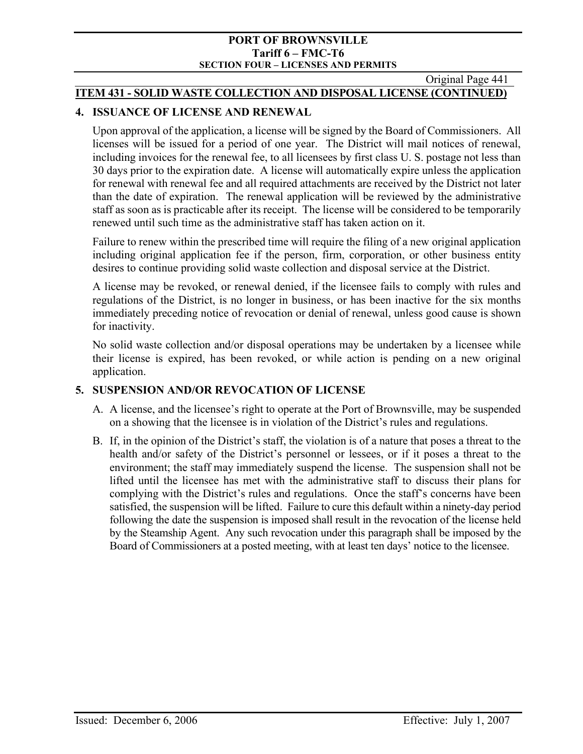Original Page 441

## **ITEM 431 - SOLID WASTE COLLECTION AND DISPOSAL LICENSE (CONTINUED)**

## **4. ISSUANCE OF LICENSE AND RENEWAL**

Upon approval of the application, a license will be signed by the Board of Commissioners. All licenses will be issued for a period of one year. The District will mail notices of renewal, including invoices for the renewal fee, to all licensees by first class U. S. postage not less than 30 days prior to the expiration date. A license will automatically expire unless the application for renewal with renewal fee and all required attachments are received by the District not later than the date of expiration. The renewal application will be reviewed by the administrative staff as soon as is practicable after its receipt. The license will be considered to be temporarily renewed until such time as the administrative staff has taken action on it.

Failure to renew within the prescribed time will require the filing of a new original application including original application fee if the person, firm, corporation, or other business entity desires to continue providing solid waste collection and disposal service at the District.

A license may be revoked, or renewal denied, if the licensee fails to comply with rules and regulations of the District, is no longer in business, or has been inactive for the six months immediately preceding notice of revocation or denial of renewal, unless good cause is shown for inactivity.

No solid waste collection and/or disposal operations may be undertaken by a licensee while their license is expired, has been revoked, or while action is pending on a new original application.

# **5. SUSPENSION AND/OR REVOCATION OF LICENSE**

- A. A license, and the licensee's right to operate at the Port of Brownsville, may be suspended on a showing that the licensee is in violation of the District's rules and regulations.
- B. If, in the opinion of the District's staff, the violation is of a nature that poses a threat to the health and/or safety of the District's personnel or lessees, or if it poses a threat to the environment; the staff may immediately suspend the license. The suspension shall not be lifted until the licensee has met with the administrative staff to discuss their plans for complying with the District's rules and regulations. Once the staff's concerns have been satisfied, the suspension will be lifted. Failure to cure this default within a ninety-day period following the date the suspension is imposed shall result in the revocation of the license held by the Steamship Agent. Any such revocation under this paragraph shall be imposed by the Board of Commissioners at a posted meeting, with at least ten days' notice to the licensee.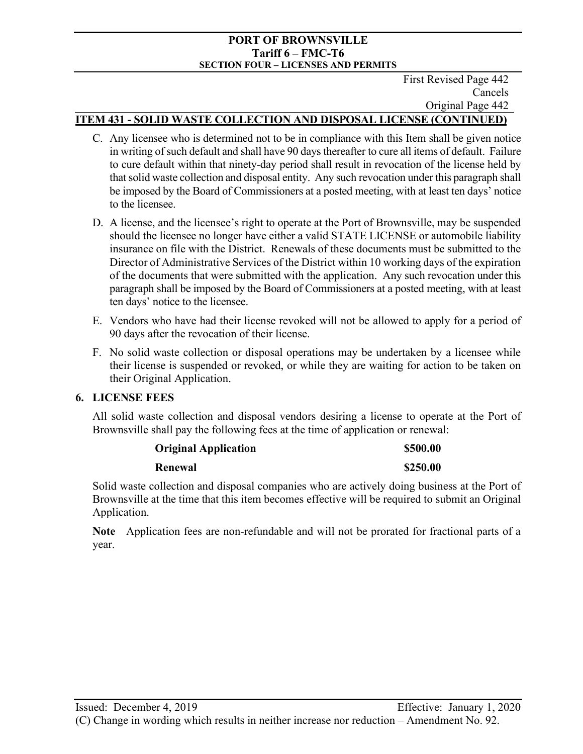#### First Revised Page 442 Cancels Original Page 442 **ITEM 431 - SOLID WASTE COLLECTION AND DISPOSAL LICENSE (CONTINUED)**

- C. Any licensee who is determined not to be in compliance with this Item shall be given notice in writing of such default and shall have 90 days thereafter to cure all items of default. Failure to cure default within that ninety-day period shall result in revocation of the license held by that solid waste collection and disposal entity. Any such revocation under this paragraph shall be imposed by the Board of Commissioners at a posted meeting, with at least ten days' notice to the licensee.
- D. A license, and the licensee's right to operate at the Port of Brownsville, may be suspended should the licensee no longer have either a valid STATE LICENSE or automobile liability insurance on file with the District. Renewals of these documents must be submitted to the Director of Administrative Services of the District within 10 working days of the expiration of the documents that were submitted with the application. Any such revocation under this paragraph shall be imposed by the Board of Commissioners at a posted meeting, with at least ten days' notice to the licensee.
- E. Vendors who have had their license revoked will not be allowed to apply for a period of 90 days after the revocation of their license.
- F. No solid waste collection or disposal operations may be undertaken by a licensee while their license is suspended or revoked, or while they are waiting for action to be taken on their Original Application.

# **6. LICENSE FEES**

All solid waste collection and disposal vendors desiring a license to operate at the Port of Brownsville shall pay the following fees at the time of application or renewal:

# **Original Application \$500.00**

## **Renewal** \$250.00

Solid waste collection and disposal companies who are actively doing business at the Port of Brownsville at the time that this item becomes effective will be required to submit an Original Application.

**Note** Application fees are non-refundable and will not be prorated for fractional parts of a year.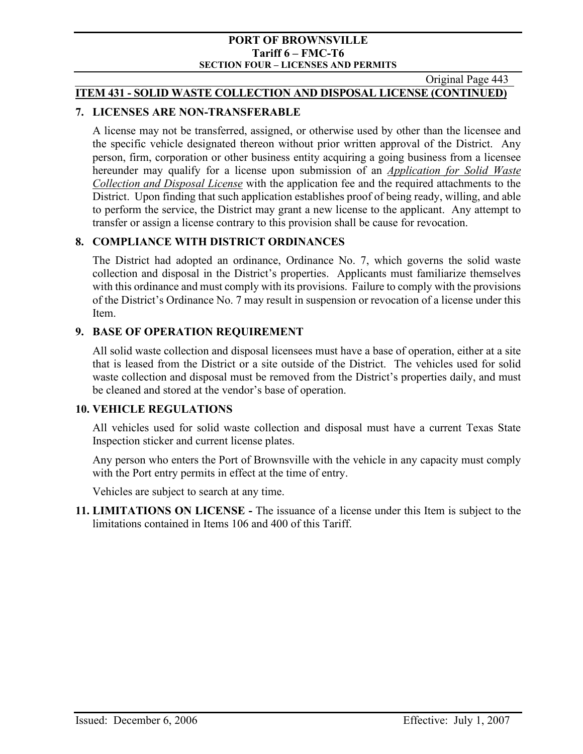Original Page 443

## **ITEM 431 - SOLID WASTE COLLECTION AND DISPOSAL LICENSE (CONTINUED)**

## **7. LICENSES ARE NON-TRANSFERABLE**

A license may not be transferred, assigned, or otherwise used by other than the licensee and the specific vehicle designated thereon without prior written approval of the District. Any person, firm, corporation or other business entity acquiring a going business from a licensee hereunder may qualify for a license upon submission of an *Application for Solid Waste Collection and Disposal License* with the application fee and the required attachments to the District. Upon finding that such application establishes proof of being ready, willing, and able to perform the service, the District may grant a new license to the applicant. Any attempt to transfer or assign a license contrary to this provision shall be cause for revocation.

## **8. COMPLIANCE WITH DISTRICT ORDINANCES**

The District had adopted an ordinance, Ordinance No. 7, which governs the solid waste collection and disposal in the District's properties. Applicants must familiarize themselves with this ordinance and must comply with its provisions. Failure to comply with the provisions of the District's Ordinance No. 7 may result in suspension or revocation of a license under this Item.

## **9. BASE OF OPERATION REQUIREMENT**

All solid waste collection and disposal licensees must have a base of operation, either at a site that is leased from the District or a site outside of the District. The vehicles used for solid waste collection and disposal must be removed from the District's properties daily, and must be cleaned and stored at the vendor's base of operation.

## **10. VEHICLE REGULATIONS**

All vehicles used for solid waste collection and disposal must have a current Texas State Inspection sticker and current license plates.

Any person who enters the Port of Brownsville with the vehicle in any capacity must comply with the Port entry permits in effect at the time of entry.

Vehicles are subject to search at any time.

**11. LIMITATIONS ON LICENSE -** The issuance of a license under this Item is subject to the limitations contained in Items 106 and 400 of this Tariff.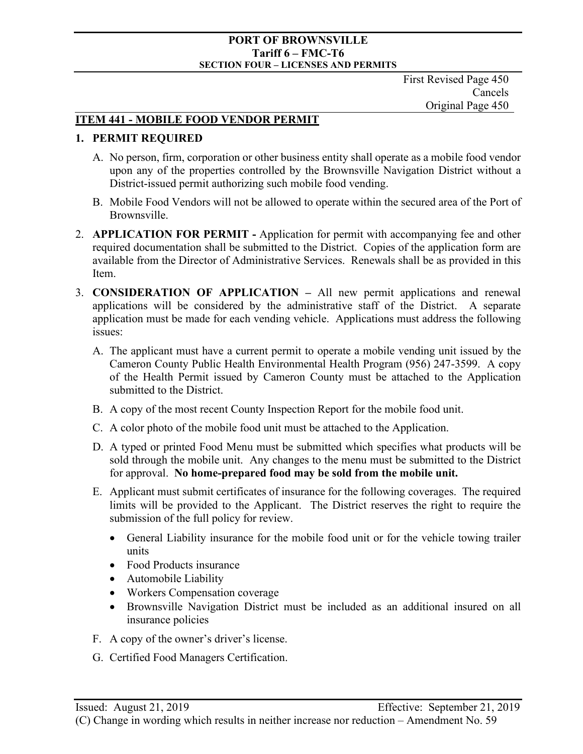First Revised Page 450 Cancels Original Page 450

## **ITEM 441 - MOBILE FOOD VENDOR PERMIT**

## **1. PERMIT REQUIRED**

- A. No person, firm, corporation or other business entity shall operate as a mobile food vendor upon any of the properties controlled by the Brownsville Navigation District without a District-issued permit authorizing such mobile food vending.
- B. Mobile Food Vendors will not be allowed to operate within the secured area of the Port of Brownsville.
- 2. **APPLICATION FOR PERMIT** Application for permit with accompanying fee and other required documentation shall be submitted to the District. Copies of the application form are available from the Director of Administrative Services. Renewals shall be as provided in this Item.
- 3. **CONSIDERATION OF APPLICATION** All new permit applications and renewal applications will be considered by the administrative staff of the District. A separate application must be made for each vending vehicle. Applications must address the following issues:
	- A. The applicant must have a current permit to operate a mobile vending unit issued by the Cameron County Public Health Environmental Health Program (956) 247-3599. A copy of the Health Permit issued by Cameron County must be attached to the Application submitted to the District.
	- B. A copy of the most recent County Inspection Report for the mobile food unit.
	- C. A color photo of the mobile food unit must be attached to the Application.
	- D. A typed or printed Food Menu must be submitted which specifies what products will be sold through the mobile unit. Any changes to the menu must be submitted to the District for approval. **No home-prepared food may be sold from the mobile unit.**
	- E. Applicant must submit certificates of insurance for the following coverages. The required limits will be provided to the Applicant. The District reserves the right to require the submission of the full policy for review.
		- General Liability insurance for the mobile food unit or for the vehicle towing trailer units
		- Food Products insurance
		- Automobile Liability
		- Workers Compensation coverage
		- Brownsville Navigation District must be included as an additional insured on all insurance policies
	- F. A copy of the owner's driver's license.
	- G. Certified Food Managers Certification.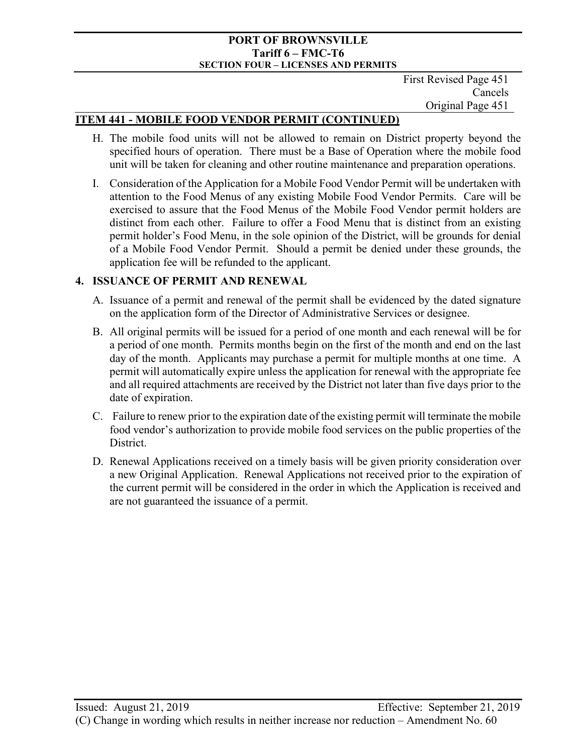First Revised Page 451 Cancels Original Page 451

## **ITEM 441 - MOBILE FOOD VENDOR PERMIT (CONTINUED)**

- H. The mobile food units will not be allowed to remain on District property beyond the specified hours of operation. There must be a Base of Operation where the mobile food unit will be taken for cleaning and other routine maintenance and preparation operations.
- I. Consideration of the Application for a Mobile Food Vendor Permit will be undertaken with attention to the Food Menus of any existing Mobile Food Vendor Permits. Care will be exercised to assure that the Food Menus of the Mobile Food Vendor permit holders are distinct from each other. Failure to offer a Food Menu that is distinct from an existing permit holder's Food Menu, in the sole opinion of the District, will be grounds for denial of a Mobile Food Vendor Permit. Should a permit be denied under these grounds, the application fee will be refunded to the applicant.

## **4. ISSUANCE OF PERMIT AND RENEWAL**

- A. Issuance of a permit and renewal of the permit shall be evidenced by the dated signature on the application form of the Director of Administrative Services or designee.
- B. All original permits will be issued for a period of one month and each renewal will be for a period of one month. Permits months begin on the first of the month and end on the last day of the month. Applicants may purchase a permit for multiple months at one time. A permit will automatically expire unless the application for renewal with the appropriate fee and all required attachments are received by the District not later than five days prior to the date of expiration.
- C. Failure to renew prior to the expiration date of the existing permit will terminate the mobile food vendor's authorization to provide mobile food services on the public properties of the District.
- D. Renewal Applications received on a timely basis will be given priority consideration over a new Original Application. Renewal Applications not received prior to the expiration of the current permit will be considered in the order in which the Application is received and are not guaranteed the issuance of a permit.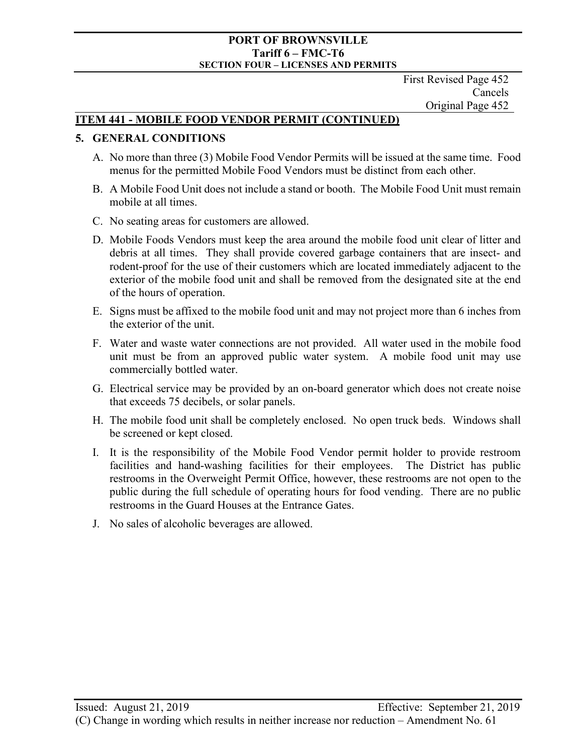First Revised Page 452 Cancels Original Page 452

## **ITEM 441 - MOBILE FOOD VENDOR PERMIT (CONTINUED)**

## **5. GENERAL CONDITIONS**

- A. No more than three (3) Mobile Food Vendor Permits will be issued at the same time. Food menus for the permitted Mobile Food Vendors must be distinct from each other.
- B. A Mobile Food Unit does not include a stand or booth. The Mobile Food Unit must remain mobile at all times.
- C. No seating areas for customers are allowed.
- D. Mobile Foods Vendors must keep the area around the mobile food unit clear of litter and debris at all times. They shall provide covered garbage containers that are insect- and rodent-proof for the use of their customers which are located immediately adjacent to the exterior of the mobile food unit and shall be removed from the designated site at the end of the hours of operation.
- E. Signs must be affixed to the mobile food unit and may not project more than 6 inches from the exterior of the unit.
- F. Water and waste water connections are not provided. All water used in the mobile food unit must be from an approved public water system. A mobile food unit may use commercially bottled water.
- G. Electrical service may be provided by an on-board generator which does not create noise that exceeds 75 decibels, or solar panels.
- H. The mobile food unit shall be completely enclosed. No open truck beds. Windows shall be screened or kept closed.
- I. It is the responsibility of the Mobile Food Vendor permit holder to provide restroom facilities and hand-washing facilities for their employees. The District has public restrooms in the Overweight Permit Office, however, these restrooms are not open to the public during the full schedule of operating hours for food vending. There are no public restrooms in the Guard Houses at the Entrance Gates.
- J. No sales of alcoholic beverages are allowed.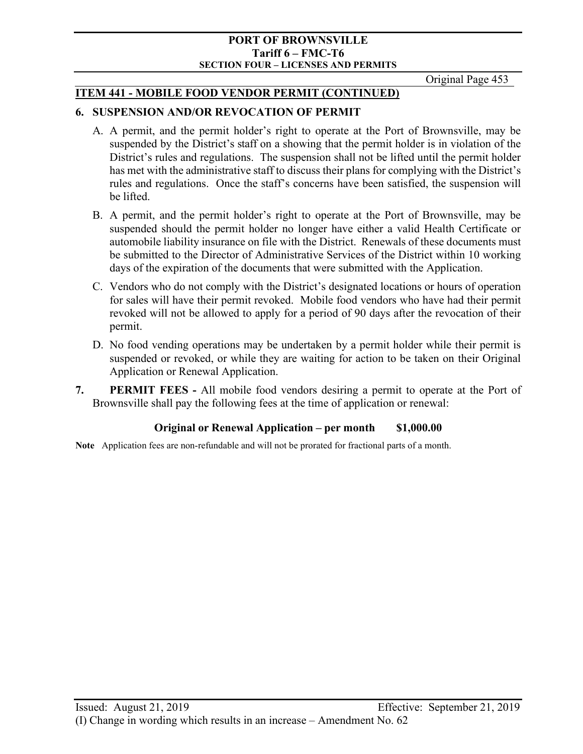Original Page 453

# **ITEM 441 - MOBILE FOOD VENDOR PERMIT (CONTINUED)**

## **6. SUSPENSION AND/OR REVOCATION OF PERMIT**

- A. A permit, and the permit holder's right to operate at the Port of Brownsville, may be suspended by the District's staff on a showing that the permit holder is in violation of the District's rules and regulations. The suspension shall not be lifted until the permit holder has met with the administrative staff to discuss their plans for complying with the District's rules and regulations. Once the staff's concerns have been satisfied, the suspension will be lifted.
- B. A permit, and the permit holder's right to operate at the Port of Brownsville, may be suspended should the permit holder no longer have either a valid Health Certificate or automobile liability insurance on file with the District. Renewals of these documents must be submitted to the Director of Administrative Services of the District within 10 working days of the expiration of the documents that were submitted with the Application.
- C. Vendors who do not comply with the District's designated locations or hours of operation for sales will have their permit revoked. Mobile food vendors who have had their permit revoked will not be allowed to apply for a period of 90 days after the revocation of their permit.
- D. No food vending operations may be undertaken by a permit holder while their permit is suspended or revoked, or while they are waiting for action to be taken on their Original Application or Renewal Application.
- **7. PERMIT FEES** All mobile food vendors desiring a permit to operate at the Port of Brownsville shall pay the following fees at the time of application or renewal:

# **Original or Renewal Application – per month \$1,000.00**

**Note** Application fees are non-refundable and will not be prorated for fractional parts of a month.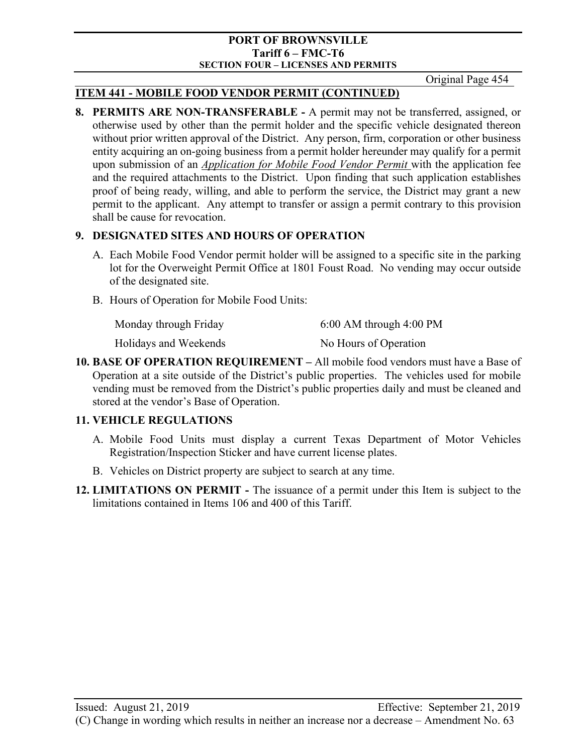Original Page 454

## **ITEM 441 - MOBILE FOOD VENDOR PERMIT (CONTINUED)**

**8. PERMITS ARE NON-TRANSFERABLE -** A permit may not be transferred, assigned, or otherwise used by other than the permit holder and the specific vehicle designated thereon without prior written approval of the District. Any person, firm, corporation or other business entity acquiring an on-going business from a permit holder hereunder may qualify for a permit upon submission of an *Application for Mobile Food Vendor Permit* with the application fee and the required attachments to the District. Upon finding that such application establishes proof of being ready, willing, and able to perform the service, the District may grant a new permit to the applicant. Any attempt to transfer or assign a permit contrary to this provision shall be cause for revocation.

## **9. DESIGNATED SITES AND HOURS OF OPERATION**

- A. Each Mobile Food Vendor permit holder will be assigned to a specific site in the parking lot for the Overweight Permit Office at 1801 Foust Road. No vending may occur outside of the designated site.
- B. Hours of Operation for Mobile Food Units:

| Monday through Friday | $6:00$ AM through $4:00$ PM |
|-----------------------|-----------------------------|
| Holidays and Weekends | No Hours of Operation       |

**10. BASE OF OPERATION REQUIREMENT –** All mobile food vendors must have a Base of Operation at a site outside of the District's public properties. The vehicles used for mobile vending must be removed from the District's public properties daily and must be cleaned and stored at the vendor's Base of Operation.

## **11. VEHICLE REGULATIONS**

- A. Mobile Food Units must display a current Texas Department of Motor Vehicles Registration/Inspection Sticker and have current license plates.
- B. Vehicles on District property are subject to search at any time.
- **12. LIMITATIONS ON PERMIT** The issuance of a permit under this Item is subject to the limitations contained in Items 106 and 400 of this Tariff.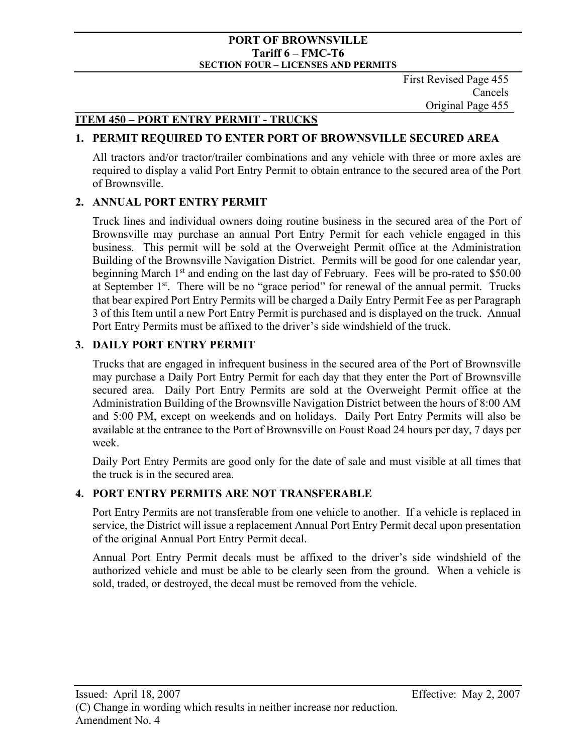First Revised Page 455 Cancels Original Page 455

## **ITEM 450 – PORT ENTRY PERMIT - TRUCKS**

## **1. PERMIT REQUIRED TO ENTER PORT OF BROWNSVILLE SECURED AREA**

All tractors and/or tractor/trailer combinations and any vehicle with three or more axles are required to display a valid Port Entry Permit to obtain entrance to the secured area of the Port of Brownsville.

## **2. ANNUAL PORT ENTRY PERMIT**

Truck lines and individual owners doing routine business in the secured area of the Port of Brownsville may purchase an annual Port Entry Permit for each vehicle engaged in this business. This permit will be sold at the Overweight Permit office at the Administration Building of the Brownsville Navigation District. Permits will be good for one calendar year, beginning March  $1<sup>st</sup>$  and ending on the last day of February. Fees will be pro-rated to \$50.00 at September  $1<sup>st</sup>$ . There will be no "grace period" for renewal of the annual permit. Trucks that bear expired Port Entry Permits will be charged a Daily Entry Permit Fee as per Paragraph 3 of this Item until a new Port Entry Permit is purchased and is displayed on the truck. Annual Port Entry Permits must be affixed to the driver's side windshield of the truck.

## **3. DAILY PORT ENTRY PERMIT**

Trucks that are engaged in infrequent business in the secured area of the Port of Brownsville may purchase a Daily Port Entry Permit for each day that they enter the Port of Brownsville secured area. Daily Port Entry Permits are sold at the Overweight Permit office at the Administration Building of the Brownsville Navigation District between the hours of 8:00 AM and 5:00 PM, except on weekends and on holidays. Daily Port Entry Permits will also be available at the entrance to the Port of Brownsville on Foust Road 24 hours per day, 7 days per week.

Daily Port Entry Permits are good only for the date of sale and must visible at all times that the truck is in the secured area.

## **4. PORT ENTRY PERMITS ARE NOT TRANSFERABLE**

Port Entry Permits are not transferable from one vehicle to another. If a vehicle is replaced in service, the District will issue a replacement Annual Port Entry Permit decal upon presentation of the original Annual Port Entry Permit decal.

Annual Port Entry Permit decals must be affixed to the driver's side windshield of the authorized vehicle and must be able to be clearly seen from the ground. When a vehicle is sold, traded, or destroyed, the decal must be removed from the vehicle.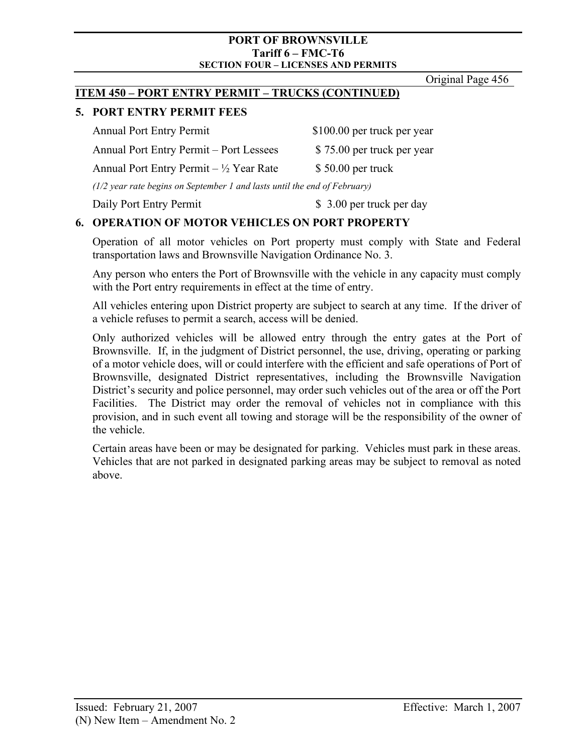Original Page 456

## **ITEM 450 – PORT ENTRY PERMIT – TRUCKS (CONTINUED)**

# **5. PORT ENTRY PERMIT FEES**

Annual Port Entry Permit \$100.00 per truck per year Annual Port Entry Permit – Port Lessees \$75.00 per truck per year Annual Port Entry Permit  $- \frac{1}{2}$  Year Rate \$ 50.00 per truck *(1/2 year rate begins on September 1 and lasts until the end of February)*

Daily Port Entry Permit  $$3.00$  per truck per day

# **6. OPERATION OF MOTOR VEHICLES ON PORT PROPERTY**

Operation of all motor vehicles on Port property must comply with State and Federal transportation laws and Brownsville Navigation Ordinance No. 3.

Any person who enters the Port of Brownsville with the vehicle in any capacity must comply with the Port entry requirements in effect at the time of entry.

All vehicles entering upon District property are subject to search at any time. If the driver of a vehicle refuses to permit a search, access will be denied.

Only authorized vehicles will be allowed entry through the entry gates at the Port of Brownsville. If, in the judgment of District personnel, the use, driving, operating or parking of a motor vehicle does, will or could interfere with the efficient and safe operations of Port of Brownsville, designated District representatives, including the Brownsville Navigation District's security and police personnel, may order such vehicles out of the area or off the Port Facilities. The District may order the removal of vehicles not in compliance with this provision, and in such event all towing and storage will be the responsibility of the owner of the vehicle.

Certain areas have been or may be designated for parking. Vehicles must park in these areas. Vehicles that are not parked in designated parking areas may be subject to removal as noted above.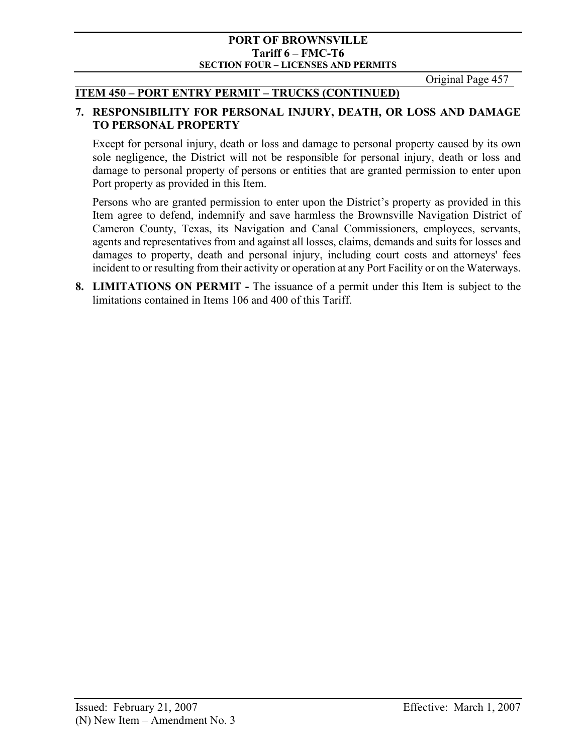Original Page 457

## **ITEM 450 – PORT ENTRY PERMIT – TRUCKS (CONTINUED)**

## **7. RESPONSIBILITY FOR PERSONAL INJURY, DEATH, OR LOSS AND DAMAGE TO PERSONAL PROPERTY**

Except for personal injury, death or loss and damage to personal property caused by its own sole negligence, the District will not be responsible for personal injury, death or loss and damage to personal property of persons or entities that are granted permission to enter upon Port property as provided in this Item.

Persons who are granted permission to enter upon the District's property as provided in this Item agree to defend, indemnify and save harmless the Brownsville Navigation District of Cameron County, Texas, its Navigation and Canal Commissioners, employees, servants, agents and representatives from and against all losses, claims, demands and suits for losses and damages to property, death and personal injury, including court costs and attorneys' fees incident to or resulting from their activity or operation at any Port Facility or on the Waterways.

**8. LIMITATIONS ON PERMIT -** The issuance of a permit under this Item is subject to the limitations contained in Items 106 and 400 of this Tariff.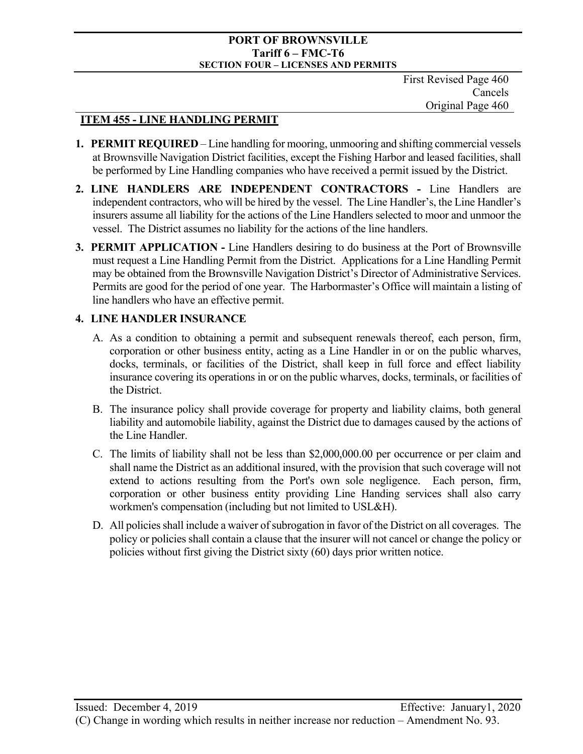### **PORT OF BROWNSVILLE Tariff 6 – FMC-T6 SECTION FOUR – LICENSES AND PERMITS**

First Revised Page 460 Cancels Original Page 460

# **ITEM 455 - LINE HANDLING PERMIT**

- **1. PERMIT REQUIRED** Line handling for mooring, unmooring and shifting commercial vessels at Brownsville Navigation District facilities, except the Fishing Harbor and leased facilities, shall be performed by Line Handling companies who have received a permit issued by the District.
- **2. LINE HANDLERS ARE INDEPENDENT CONTRACTORS** Line Handlers are independent contractors, who will be hired by the vessel. The Line Handler's, the Line Handler's insurers assume all liability for the actions of the Line Handlers selected to moor and unmoor the vessel. The District assumes no liability for the actions of the line handlers.
- **3. PERMIT APPLICATION** Line Handlers desiring to do business at the Port of Brownsville must request a Line Handling Permit from the District. Applications for a Line Handling Permit may be obtained from the Brownsville Navigation District's Director of Administrative Services. Permits are good for the period of one year. The Harbormaster's Office will maintain a listing of line handlers who have an effective permit.

# **4. LINE HANDLER INSURANCE**

- A. As a condition to obtaining a permit and subsequent renewals thereof, each person, firm, corporation or other business entity, acting as a Line Handler in or on the public wharves, docks, terminals, or facilities of the District, shall keep in full force and effect liability insurance covering its operations in or on the public wharves, docks, terminals, or facilities of the District.
- B. The insurance policy shall provide coverage for property and liability claims, both general liability and automobile liability, against the District due to damages caused by the actions of the Line Handler.
- C. The limits of liability shall not be less than \$2,000,000.00 per occurrence or per claim and shall name the District as an additional insured, with the provision that such coverage will not extend to actions resulting from the Port's own sole negligence. Each person, firm, corporation or other business entity providing Line Handing services shall also carry workmen's compensation (including but not limited to USL&H).
- D. All policies shall include a waiver of subrogation in favor of the District on all coverages. The policy or policies shall contain a clause that the insurer will not cancel or change the policy or policies without first giving the District sixty (60) days prior written notice.